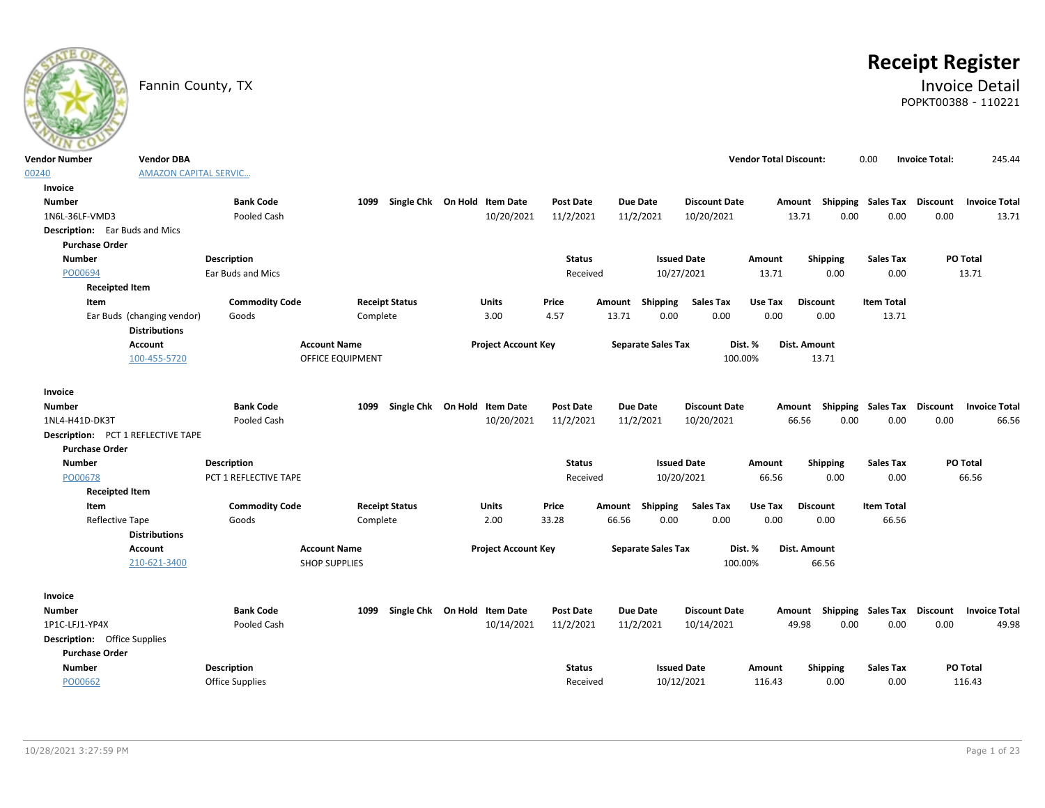# **Receipt Register**

### Fannin County, TX **Invoice Detail** POPKT00388 - 110221

| <b>Vendor Number</b>                      | <b>Vendor DBA</b>            |                        |                      |                              |                            |                  |        |                           |                      | <b>Vendor Total Discount:</b> |                           | 0.00              | <b>Invoice Total:</b> | 245.44                                           |
|-------------------------------------------|------------------------------|------------------------|----------------------|------------------------------|----------------------------|------------------|--------|---------------------------|----------------------|-------------------------------|---------------------------|-------------------|-----------------------|--------------------------------------------------|
| 00240                                     | <b>AMAZON CAPITAL SERVIC</b> |                        |                      |                              |                            |                  |        |                           |                      |                               |                           |                   |                       |                                                  |
| Invoice                                   |                              |                        |                      |                              |                            |                  |        |                           |                      |                               |                           |                   |                       |                                                  |
| <b>Number</b>                             |                              | <b>Bank Code</b>       | 1099                 | Single Chk On Hold Item Date |                            | <b>Post Date</b> |        | Due Date                  | <b>Discount Date</b> |                               | Amount Shipping Sales Tax |                   | <b>Discount</b>       | <b>Invoice Total</b>                             |
| 1N6L-36LF-VMD3                            |                              | Pooled Cash            |                      |                              | 10/20/2021                 | 11/2/2021        |        | 11/2/2021                 | 10/20/2021           |                               | 0.00<br>13.71             | 0.00              | 0.00                  | 13.71                                            |
| <b>Description:</b> Ear Buds and Mics     |                              |                        |                      |                              |                            |                  |        |                           |                      |                               |                           |                   |                       |                                                  |
| <b>Purchase Order</b>                     |                              |                        |                      |                              |                            |                  |        |                           |                      |                               |                           |                   |                       |                                                  |
| <b>Number</b>                             |                              | <b>Description</b>     |                      |                              |                            | <b>Status</b>    |        |                           | <b>Issued Date</b>   | Amount                        | Shipping                  | <b>Sales Tax</b>  |                       | PO Total                                         |
| PO00694                                   |                              | Ear Buds and Mics      |                      |                              |                            | Received         |        | 10/27/2021                |                      | 13.71                         | 0.00                      | 0.00              |                       | 13.71                                            |
| <b>Receipted Item</b>                     |                              |                        |                      |                              |                            |                  |        |                           |                      |                               |                           |                   |                       |                                                  |
| Item                                      |                              | <b>Commodity Code</b>  |                      | <b>Receipt Status</b>        | Units                      | Price            | Amount | Shipping                  | <b>Sales Tax</b>     | Use Tax                       | <b>Discount</b>           | <b>Item Total</b> |                       |                                                  |
|                                           | Ear Buds (changing vendor)   | Goods                  | Complete             |                              | 3.00                       | 4.57             | 13.71  | 0.00                      | 0.00                 | 0.00                          | 0.00                      | 13.71             |                       |                                                  |
|                                           | <b>Distributions</b>         |                        |                      |                              |                            |                  |        |                           |                      |                               |                           |                   |                       |                                                  |
|                                           | Account                      |                        | <b>Account Name</b>  |                              | <b>Project Account Key</b> |                  |        | <b>Separate Sales Tax</b> |                      | Dist. %                       | Dist. Amount              |                   |                       |                                                  |
|                                           | 100-455-5720                 |                        | OFFICE EQUIPMENT     |                              |                            |                  |        |                           | 100.00%              |                               | 13.71                     |                   |                       |                                                  |
|                                           |                              |                        |                      |                              |                            |                  |        |                           |                      |                               |                           |                   |                       |                                                  |
| Invoice                                   |                              |                        |                      |                              |                            |                  |        |                           |                      |                               |                           |                   |                       |                                                  |
| <b>Number</b>                             |                              | <b>Bank Code</b>       | 1099                 | Single Chk On Hold Item Date |                            | <b>Post Date</b> |        | Due Date                  | <b>Discount Date</b> |                               |                           |                   |                       | Amount Shipping Sales Tax Discount Invoice Total |
| 1NL4-H41D-DK3T                            |                              | Pooled Cash            |                      |                              | 10/20/2021                 | 11/2/2021        |        | 11/2/2021                 | 10/20/2021           |                               | 66.56<br>0.00             | 0.00              | 0.00                  | 66.56                                            |
| <b>Description: PCT 1 REFLECTIVE TAPE</b> |                              |                        |                      |                              |                            |                  |        |                           |                      |                               |                           |                   |                       |                                                  |
| <b>Purchase Order</b>                     |                              |                        |                      |                              |                            |                  |        |                           |                      |                               |                           |                   |                       |                                                  |
| <b>Number</b>                             |                              | <b>Description</b>     |                      |                              |                            | <b>Status</b>    |        |                           | <b>Issued Date</b>   | Amount                        | Shipping                  | <b>Sales Tax</b>  |                       | PO Total                                         |
| PO00678                                   |                              | PCT 1 REFLECTIVE TAPE  |                      |                              |                            | Received         |        | 10/20/2021                |                      | 66.56                         | 0.00                      | 0.00              |                       | 66.56                                            |
| <b>Receipted Item</b>                     |                              |                        |                      |                              |                            |                  |        |                           |                      |                               |                           |                   |                       |                                                  |
| Item                                      |                              | <b>Commodity Code</b>  |                      | <b>Receipt Status</b>        | Units                      | Price            | Amount | Shipping                  | <b>Sales Tax</b>     | Use Tax                       | <b>Discount</b>           | <b>Item Total</b> |                       |                                                  |
| Reflective Tape                           |                              | Goods                  | Complete             |                              | 2.00                       | 33.28            | 66.56  | 0.00                      | 0.00                 | 0.00                          | 0.00                      | 66.56             |                       |                                                  |
|                                           | <b>Distributions</b>         |                        |                      |                              |                            |                  |        |                           |                      |                               |                           |                   |                       |                                                  |
|                                           | Account                      |                        | <b>Account Name</b>  |                              | <b>Project Account Key</b> |                  |        | <b>Separate Sales Tax</b> |                      | Dist. %                       | <b>Dist. Amount</b>       |                   |                       |                                                  |
|                                           | 210-621-3400                 |                        | <b>SHOP SUPPLIES</b> |                              |                            |                  |        |                           | 100.00%              |                               | 66.56                     |                   |                       |                                                  |
|                                           |                              |                        |                      |                              |                            |                  |        |                           |                      |                               |                           |                   |                       |                                                  |
| Invoice                                   |                              |                        |                      |                              |                            |                  |        |                           |                      |                               |                           |                   |                       |                                                  |
| <b>Number</b>                             |                              | <b>Bank Code</b>       | 1099                 | Single Chk On Hold Item Date |                            | <b>Post Date</b> |        | Due Date                  | <b>Discount Date</b> |                               | Amount Shipping Sales Tax |                   | Discount              | <b>Invoice Total</b>                             |
| 1P1C-LFJ1-YP4X                            |                              | Pooled Cash            |                      |                              | 10/14/2021                 | 11/2/2021        |        | 11/2/2021                 | 10/14/2021           |                               | 49.98<br>0.00             | 0.00              | 0.00                  | 49.98                                            |
| <b>Description:</b> Office Supplies       |                              |                        |                      |                              |                            |                  |        |                           |                      |                               |                           |                   |                       |                                                  |
| <b>Purchase Order</b>                     |                              |                        |                      |                              |                            |                  |        |                           |                      |                               |                           |                   |                       |                                                  |
| <b>Number</b>                             |                              | <b>Description</b>     |                      |                              |                            | <b>Status</b>    |        |                           | <b>Issued Date</b>   | Amount                        | <b>Shipping</b>           | <b>Sales Tax</b>  |                       | PO Total                                         |
| PO00662                                   |                              | <b>Office Supplies</b> |                      |                              |                            | Received         |        | 10/12/2021                |                      | 116.43                        | 0.00                      | 0.00              |                       | 116.43                                           |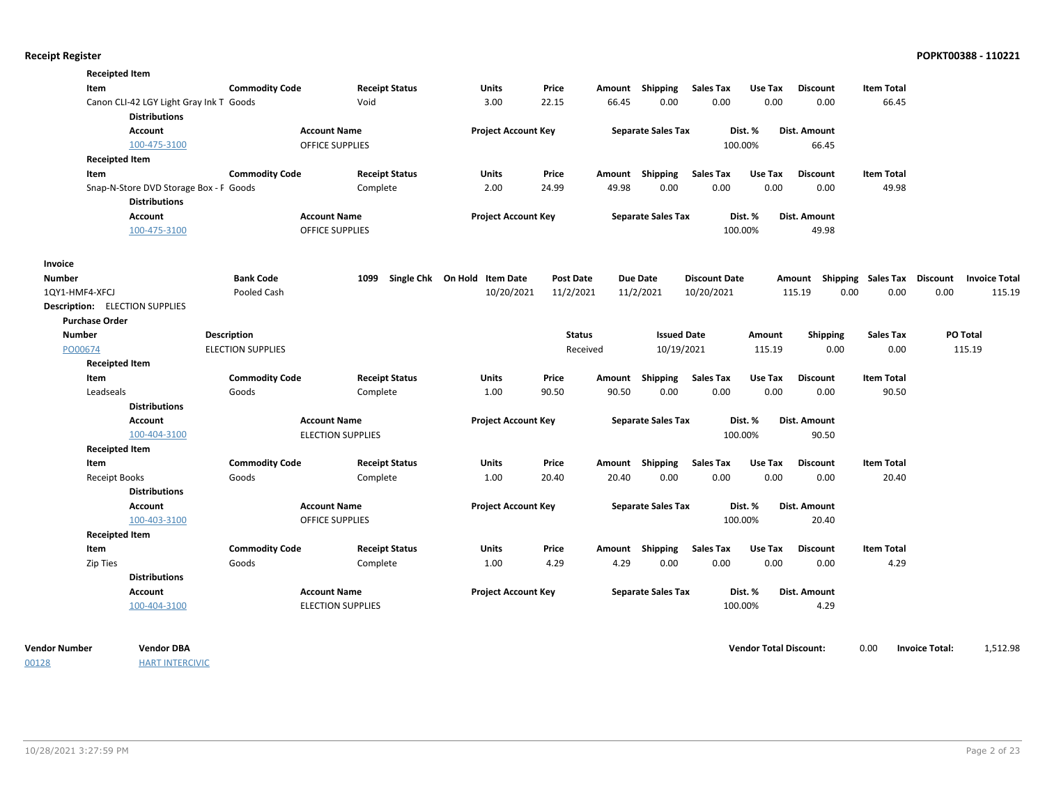| <b>Commodity Code</b><br><b>Receipt Status</b><br><b>Sales Tax</b><br><b>Item Total</b><br>Item<br><b>Units</b><br>Price<br>Amount Shipping<br>Use Tax<br><b>Discount</b><br>0.00<br>0.00<br>Canon CLI-42 LGY Light Gray Ink T Goods<br>Void<br>3.00<br>22.15<br>66.45<br>0.00<br>0.00<br>66.45<br><b>Distributions</b><br><b>Account Name</b><br><b>Project Account Key</b><br><b>Separate Sales Tax</b><br>Dist. %<br>Dist. Amount<br><b>Account</b><br><b>OFFICE SUPPLIES</b><br>100.00%<br>100-475-3100<br>66.45<br><b>Receipted Item</b><br><b>Commodity Code</b><br><b>Receipt Status</b><br><b>Units</b><br>Price<br>Amount Shipping<br>Sales Tax<br>Use Tax<br><b>Discount</b><br><b>Item Total</b><br>Item<br>2.00<br>49.98<br>0.00<br>0.00<br>0.00<br>0.00<br>49.98<br>Snap-N-Store DVD Storage Box - F Goods<br>Complete<br>24.99<br><b>Distributions</b><br><b>Account Name</b><br><b>Project Account Key</b><br><b>Separate Sales Tax</b><br>Dist. %<br><b>Account</b><br>Dist. Amount<br><b>OFFICE SUPPLIES</b><br>100.00%<br>100-475-3100<br>49.98<br>Invoice<br><b>Bank Code</b><br>Single Chk On Hold Item Date<br>Number<br>1099<br><b>Post Date</b><br><b>Due Date</b><br><b>Discount Date</b><br>Amount Shipping Sales Tax Discount<br><b>Invoice Total</b><br>10/20/2021<br>11/2/2021<br>11/2/2021<br>0.00<br>0.00<br>0.00<br>Pooled Cash<br>10/20/2021<br>115.19<br>1QY1-HMF4-XFCJ<br><b>Description:</b> ELECTION SUPPLIES<br><b>Purchase Order</b><br><b>Number</b><br><b>Description</b><br><b>Status</b><br><b>Issued Date</b><br>Shipping<br><b>Sales Tax</b><br>PO Total<br>Amount<br>0.00<br>115.19<br>PO00674<br><b>ELECTION SUPPLIES</b><br>Received<br>10/19/2021<br>115.19<br>0.00<br><b>Receipted Item</b><br><b>Commodity Code</b><br>Shipping<br><b>Sales Tax</b><br>Use Tax<br><b>Item Total</b><br>Item<br><b>Receipt Status</b><br><b>Units</b><br>Price<br><b>Discount</b><br>Amount<br>0.00<br>0.00<br>0.00<br>Leadseals<br>Goods<br>Complete<br>1.00<br>90.50<br>90.50<br>0.00<br>90.50<br><b>Distributions</b><br><b>Account Name</b><br><b>Separate Sales Tax</b><br>Dist. %<br><b>Account</b><br><b>Project Account Key</b><br>Dist. Amount<br>100-404-3100<br>100.00%<br><b>ELECTION SUPPLIES</b><br>90.50<br><b>Receipted Item</b><br><b>Commodity Code</b><br><b>Receipt Status</b><br>Amount Shipping<br><b>Sales Tax</b><br>Use Tax<br><b>Item Total</b><br>Item<br><b>Units</b><br>Price<br><b>Discount</b><br>Goods<br>1.00<br>20.40<br>0.00<br>0.00<br>0.00<br>0.00<br><b>Receipt Books</b><br>Complete<br>20.40<br>20.40<br><b>Distributions</b><br><b>Account Name</b><br><b>Account</b><br><b>Project Account Key</b><br><b>Separate Sales Tax</b><br>Dist. %<br>Dist. Amount<br>100.00%<br>100-403-3100<br><b>OFFICE SUPPLIES</b><br>20.40<br><b>Receipted Item</b><br><b>Commodity Code</b><br><b>Sales Tax</b><br>Use Tax<br><b>Receipt Status</b><br><b>Units</b><br>Price<br>Shipping<br><b>Discount</b><br><b>Item Total</b><br>Item<br>Amount<br>Goods<br>1.00<br>4.29<br>0.00<br>0.00<br>0.00<br>4.29<br>Zip Ties<br>Complete<br>4.29<br>0.00<br><b>Distributions</b><br><b>Account Name</b><br><b>Account</b><br><b>Project Account Key</b><br><b>Separate Sales Tax</b><br>Dist. %<br>Dist. Amount | <b>Receipted Item</b> |  |  |  |  |  |        |
|----------------------------------------------------------------------------------------------------------------------------------------------------------------------------------------------------------------------------------------------------------------------------------------------------------------------------------------------------------------------------------------------------------------------------------------------------------------------------------------------------------------------------------------------------------------------------------------------------------------------------------------------------------------------------------------------------------------------------------------------------------------------------------------------------------------------------------------------------------------------------------------------------------------------------------------------------------------------------------------------------------------------------------------------------------------------------------------------------------------------------------------------------------------------------------------------------------------------------------------------------------------------------------------------------------------------------------------------------------------------------------------------------------------------------------------------------------------------------------------------------------------------------------------------------------------------------------------------------------------------------------------------------------------------------------------------------------------------------------------------------------------------------------------------------------------------------------------------------------------------------------------------------------------------------------------------------------------------------------------------------------------------------------------------------------------------------------------------------------------------------------------------------------------------------------------------------------------------------------------------------------------------------------------------------------------------------------------------------------------------------------------------------------------------------------------------------------------------------------------------------------------------------------------------------------------------------------------------------------------------------------------------------------------------------------------------------------------------------------------------------------------------------------------------------------------------------------------------------------------------------------------------------------------------------------------------------------------------------------------------------------------------------------------------------------------------------------------------------------------------------------------------------------------------------------------------------------------------------------------------------------------------|-----------------------|--|--|--|--|--|--------|
|                                                                                                                                                                                                                                                                                                                                                                                                                                                                                                                                                                                                                                                                                                                                                                                                                                                                                                                                                                                                                                                                                                                                                                                                                                                                                                                                                                                                                                                                                                                                                                                                                                                                                                                                                                                                                                                                                                                                                                                                                                                                                                                                                                                                                                                                                                                                                                                                                                                                                                                                                                                                                                                                                                                                                                                                                                                                                                                                                                                                                                                                                                                                                                                                                                                                      |                       |  |  |  |  |  |        |
|                                                                                                                                                                                                                                                                                                                                                                                                                                                                                                                                                                                                                                                                                                                                                                                                                                                                                                                                                                                                                                                                                                                                                                                                                                                                                                                                                                                                                                                                                                                                                                                                                                                                                                                                                                                                                                                                                                                                                                                                                                                                                                                                                                                                                                                                                                                                                                                                                                                                                                                                                                                                                                                                                                                                                                                                                                                                                                                                                                                                                                                                                                                                                                                                                                                                      |                       |  |  |  |  |  |        |
|                                                                                                                                                                                                                                                                                                                                                                                                                                                                                                                                                                                                                                                                                                                                                                                                                                                                                                                                                                                                                                                                                                                                                                                                                                                                                                                                                                                                                                                                                                                                                                                                                                                                                                                                                                                                                                                                                                                                                                                                                                                                                                                                                                                                                                                                                                                                                                                                                                                                                                                                                                                                                                                                                                                                                                                                                                                                                                                                                                                                                                                                                                                                                                                                                                                                      |                       |  |  |  |  |  |        |
|                                                                                                                                                                                                                                                                                                                                                                                                                                                                                                                                                                                                                                                                                                                                                                                                                                                                                                                                                                                                                                                                                                                                                                                                                                                                                                                                                                                                                                                                                                                                                                                                                                                                                                                                                                                                                                                                                                                                                                                                                                                                                                                                                                                                                                                                                                                                                                                                                                                                                                                                                                                                                                                                                                                                                                                                                                                                                                                                                                                                                                                                                                                                                                                                                                                                      |                       |  |  |  |  |  |        |
|                                                                                                                                                                                                                                                                                                                                                                                                                                                                                                                                                                                                                                                                                                                                                                                                                                                                                                                                                                                                                                                                                                                                                                                                                                                                                                                                                                                                                                                                                                                                                                                                                                                                                                                                                                                                                                                                                                                                                                                                                                                                                                                                                                                                                                                                                                                                                                                                                                                                                                                                                                                                                                                                                                                                                                                                                                                                                                                                                                                                                                                                                                                                                                                                                                                                      |                       |  |  |  |  |  |        |
|                                                                                                                                                                                                                                                                                                                                                                                                                                                                                                                                                                                                                                                                                                                                                                                                                                                                                                                                                                                                                                                                                                                                                                                                                                                                                                                                                                                                                                                                                                                                                                                                                                                                                                                                                                                                                                                                                                                                                                                                                                                                                                                                                                                                                                                                                                                                                                                                                                                                                                                                                                                                                                                                                                                                                                                                                                                                                                                                                                                                                                                                                                                                                                                                                                                                      |                       |  |  |  |  |  |        |
|                                                                                                                                                                                                                                                                                                                                                                                                                                                                                                                                                                                                                                                                                                                                                                                                                                                                                                                                                                                                                                                                                                                                                                                                                                                                                                                                                                                                                                                                                                                                                                                                                                                                                                                                                                                                                                                                                                                                                                                                                                                                                                                                                                                                                                                                                                                                                                                                                                                                                                                                                                                                                                                                                                                                                                                                                                                                                                                                                                                                                                                                                                                                                                                                                                                                      |                       |  |  |  |  |  |        |
|                                                                                                                                                                                                                                                                                                                                                                                                                                                                                                                                                                                                                                                                                                                                                                                                                                                                                                                                                                                                                                                                                                                                                                                                                                                                                                                                                                                                                                                                                                                                                                                                                                                                                                                                                                                                                                                                                                                                                                                                                                                                                                                                                                                                                                                                                                                                                                                                                                                                                                                                                                                                                                                                                                                                                                                                                                                                                                                                                                                                                                                                                                                                                                                                                                                                      |                       |  |  |  |  |  |        |
|                                                                                                                                                                                                                                                                                                                                                                                                                                                                                                                                                                                                                                                                                                                                                                                                                                                                                                                                                                                                                                                                                                                                                                                                                                                                                                                                                                                                                                                                                                                                                                                                                                                                                                                                                                                                                                                                                                                                                                                                                                                                                                                                                                                                                                                                                                                                                                                                                                                                                                                                                                                                                                                                                                                                                                                                                                                                                                                                                                                                                                                                                                                                                                                                                                                                      |                       |  |  |  |  |  |        |
|                                                                                                                                                                                                                                                                                                                                                                                                                                                                                                                                                                                                                                                                                                                                                                                                                                                                                                                                                                                                                                                                                                                                                                                                                                                                                                                                                                                                                                                                                                                                                                                                                                                                                                                                                                                                                                                                                                                                                                                                                                                                                                                                                                                                                                                                                                                                                                                                                                                                                                                                                                                                                                                                                                                                                                                                                                                                                                                                                                                                                                                                                                                                                                                                                                                                      |                       |  |  |  |  |  |        |
|                                                                                                                                                                                                                                                                                                                                                                                                                                                                                                                                                                                                                                                                                                                                                                                                                                                                                                                                                                                                                                                                                                                                                                                                                                                                                                                                                                                                                                                                                                                                                                                                                                                                                                                                                                                                                                                                                                                                                                                                                                                                                                                                                                                                                                                                                                                                                                                                                                                                                                                                                                                                                                                                                                                                                                                                                                                                                                                                                                                                                                                                                                                                                                                                                                                                      |                       |  |  |  |  |  |        |
|                                                                                                                                                                                                                                                                                                                                                                                                                                                                                                                                                                                                                                                                                                                                                                                                                                                                                                                                                                                                                                                                                                                                                                                                                                                                                                                                                                                                                                                                                                                                                                                                                                                                                                                                                                                                                                                                                                                                                                                                                                                                                                                                                                                                                                                                                                                                                                                                                                                                                                                                                                                                                                                                                                                                                                                                                                                                                                                                                                                                                                                                                                                                                                                                                                                                      |                       |  |  |  |  |  |        |
|                                                                                                                                                                                                                                                                                                                                                                                                                                                                                                                                                                                                                                                                                                                                                                                                                                                                                                                                                                                                                                                                                                                                                                                                                                                                                                                                                                                                                                                                                                                                                                                                                                                                                                                                                                                                                                                                                                                                                                                                                                                                                                                                                                                                                                                                                                                                                                                                                                                                                                                                                                                                                                                                                                                                                                                                                                                                                                                                                                                                                                                                                                                                                                                                                                                                      |                       |  |  |  |  |  |        |
|                                                                                                                                                                                                                                                                                                                                                                                                                                                                                                                                                                                                                                                                                                                                                                                                                                                                                                                                                                                                                                                                                                                                                                                                                                                                                                                                                                                                                                                                                                                                                                                                                                                                                                                                                                                                                                                                                                                                                                                                                                                                                                                                                                                                                                                                                                                                                                                                                                                                                                                                                                                                                                                                                                                                                                                                                                                                                                                                                                                                                                                                                                                                                                                                                                                                      |                       |  |  |  |  |  | 115.19 |
|                                                                                                                                                                                                                                                                                                                                                                                                                                                                                                                                                                                                                                                                                                                                                                                                                                                                                                                                                                                                                                                                                                                                                                                                                                                                                                                                                                                                                                                                                                                                                                                                                                                                                                                                                                                                                                                                                                                                                                                                                                                                                                                                                                                                                                                                                                                                                                                                                                                                                                                                                                                                                                                                                                                                                                                                                                                                                                                                                                                                                                                                                                                                                                                                                                                                      |                       |  |  |  |  |  |        |
|                                                                                                                                                                                                                                                                                                                                                                                                                                                                                                                                                                                                                                                                                                                                                                                                                                                                                                                                                                                                                                                                                                                                                                                                                                                                                                                                                                                                                                                                                                                                                                                                                                                                                                                                                                                                                                                                                                                                                                                                                                                                                                                                                                                                                                                                                                                                                                                                                                                                                                                                                                                                                                                                                                                                                                                                                                                                                                                                                                                                                                                                                                                                                                                                                                                                      |                       |  |  |  |  |  |        |
|                                                                                                                                                                                                                                                                                                                                                                                                                                                                                                                                                                                                                                                                                                                                                                                                                                                                                                                                                                                                                                                                                                                                                                                                                                                                                                                                                                                                                                                                                                                                                                                                                                                                                                                                                                                                                                                                                                                                                                                                                                                                                                                                                                                                                                                                                                                                                                                                                                                                                                                                                                                                                                                                                                                                                                                                                                                                                                                                                                                                                                                                                                                                                                                                                                                                      |                       |  |  |  |  |  |        |
|                                                                                                                                                                                                                                                                                                                                                                                                                                                                                                                                                                                                                                                                                                                                                                                                                                                                                                                                                                                                                                                                                                                                                                                                                                                                                                                                                                                                                                                                                                                                                                                                                                                                                                                                                                                                                                                                                                                                                                                                                                                                                                                                                                                                                                                                                                                                                                                                                                                                                                                                                                                                                                                                                                                                                                                                                                                                                                                                                                                                                                                                                                                                                                                                                                                                      |                       |  |  |  |  |  |        |
|                                                                                                                                                                                                                                                                                                                                                                                                                                                                                                                                                                                                                                                                                                                                                                                                                                                                                                                                                                                                                                                                                                                                                                                                                                                                                                                                                                                                                                                                                                                                                                                                                                                                                                                                                                                                                                                                                                                                                                                                                                                                                                                                                                                                                                                                                                                                                                                                                                                                                                                                                                                                                                                                                                                                                                                                                                                                                                                                                                                                                                                                                                                                                                                                                                                                      |                       |  |  |  |  |  |        |
|                                                                                                                                                                                                                                                                                                                                                                                                                                                                                                                                                                                                                                                                                                                                                                                                                                                                                                                                                                                                                                                                                                                                                                                                                                                                                                                                                                                                                                                                                                                                                                                                                                                                                                                                                                                                                                                                                                                                                                                                                                                                                                                                                                                                                                                                                                                                                                                                                                                                                                                                                                                                                                                                                                                                                                                                                                                                                                                                                                                                                                                                                                                                                                                                                                                                      |                       |  |  |  |  |  |        |
|                                                                                                                                                                                                                                                                                                                                                                                                                                                                                                                                                                                                                                                                                                                                                                                                                                                                                                                                                                                                                                                                                                                                                                                                                                                                                                                                                                                                                                                                                                                                                                                                                                                                                                                                                                                                                                                                                                                                                                                                                                                                                                                                                                                                                                                                                                                                                                                                                                                                                                                                                                                                                                                                                                                                                                                                                                                                                                                                                                                                                                                                                                                                                                                                                                                                      |                       |  |  |  |  |  |        |
|                                                                                                                                                                                                                                                                                                                                                                                                                                                                                                                                                                                                                                                                                                                                                                                                                                                                                                                                                                                                                                                                                                                                                                                                                                                                                                                                                                                                                                                                                                                                                                                                                                                                                                                                                                                                                                                                                                                                                                                                                                                                                                                                                                                                                                                                                                                                                                                                                                                                                                                                                                                                                                                                                                                                                                                                                                                                                                                                                                                                                                                                                                                                                                                                                                                                      |                       |  |  |  |  |  |        |
|                                                                                                                                                                                                                                                                                                                                                                                                                                                                                                                                                                                                                                                                                                                                                                                                                                                                                                                                                                                                                                                                                                                                                                                                                                                                                                                                                                                                                                                                                                                                                                                                                                                                                                                                                                                                                                                                                                                                                                                                                                                                                                                                                                                                                                                                                                                                                                                                                                                                                                                                                                                                                                                                                                                                                                                                                                                                                                                                                                                                                                                                                                                                                                                                                                                                      |                       |  |  |  |  |  |        |
|                                                                                                                                                                                                                                                                                                                                                                                                                                                                                                                                                                                                                                                                                                                                                                                                                                                                                                                                                                                                                                                                                                                                                                                                                                                                                                                                                                                                                                                                                                                                                                                                                                                                                                                                                                                                                                                                                                                                                                                                                                                                                                                                                                                                                                                                                                                                                                                                                                                                                                                                                                                                                                                                                                                                                                                                                                                                                                                                                                                                                                                                                                                                                                                                                                                                      |                       |  |  |  |  |  |        |
|                                                                                                                                                                                                                                                                                                                                                                                                                                                                                                                                                                                                                                                                                                                                                                                                                                                                                                                                                                                                                                                                                                                                                                                                                                                                                                                                                                                                                                                                                                                                                                                                                                                                                                                                                                                                                                                                                                                                                                                                                                                                                                                                                                                                                                                                                                                                                                                                                                                                                                                                                                                                                                                                                                                                                                                                                                                                                                                                                                                                                                                                                                                                                                                                                                                                      |                       |  |  |  |  |  |        |
|                                                                                                                                                                                                                                                                                                                                                                                                                                                                                                                                                                                                                                                                                                                                                                                                                                                                                                                                                                                                                                                                                                                                                                                                                                                                                                                                                                                                                                                                                                                                                                                                                                                                                                                                                                                                                                                                                                                                                                                                                                                                                                                                                                                                                                                                                                                                                                                                                                                                                                                                                                                                                                                                                                                                                                                                                                                                                                                                                                                                                                                                                                                                                                                                                                                                      |                       |  |  |  |  |  |        |
|                                                                                                                                                                                                                                                                                                                                                                                                                                                                                                                                                                                                                                                                                                                                                                                                                                                                                                                                                                                                                                                                                                                                                                                                                                                                                                                                                                                                                                                                                                                                                                                                                                                                                                                                                                                                                                                                                                                                                                                                                                                                                                                                                                                                                                                                                                                                                                                                                                                                                                                                                                                                                                                                                                                                                                                                                                                                                                                                                                                                                                                                                                                                                                                                                                                                      |                       |  |  |  |  |  |        |
|                                                                                                                                                                                                                                                                                                                                                                                                                                                                                                                                                                                                                                                                                                                                                                                                                                                                                                                                                                                                                                                                                                                                                                                                                                                                                                                                                                                                                                                                                                                                                                                                                                                                                                                                                                                                                                                                                                                                                                                                                                                                                                                                                                                                                                                                                                                                                                                                                                                                                                                                                                                                                                                                                                                                                                                                                                                                                                                                                                                                                                                                                                                                                                                                                                                                      |                       |  |  |  |  |  |        |
|                                                                                                                                                                                                                                                                                                                                                                                                                                                                                                                                                                                                                                                                                                                                                                                                                                                                                                                                                                                                                                                                                                                                                                                                                                                                                                                                                                                                                                                                                                                                                                                                                                                                                                                                                                                                                                                                                                                                                                                                                                                                                                                                                                                                                                                                                                                                                                                                                                                                                                                                                                                                                                                                                                                                                                                                                                                                                                                                                                                                                                                                                                                                                                                                                                                                      |                       |  |  |  |  |  |        |
|                                                                                                                                                                                                                                                                                                                                                                                                                                                                                                                                                                                                                                                                                                                                                                                                                                                                                                                                                                                                                                                                                                                                                                                                                                                                                                                                                                                                                                                                                                                                                                                                                                                                                                                                                                                                                                                                                                                                                                                                                                                                                                                                                                                                                                                                                                                                                                                                                                                                                                                                                                                                                                                                                                                                                                                                                                                                                                                                                                                                                                                                                                                                                                                                                                                                      |                       |  |  |  |  |  |        |
|                                                                                                                                                                                                                                                                                                                                                                                                                                                                                                                                                                                                                                                                                                                                                                                                                                                                                                                                                                                                                                                                                                                                                                                                                                                                                                                                                                                                                                                                                                                                                                                                                                                                                                                                                                                                                                                                                                                                                                                                                                                                                                                                                                                                                                                                                                                                                                                                                                                                                                                                                                                                                                                                                                                                                                                                                                                                                                                                                                                                                                                                                                                                                                                                                                                                      |                       |  |  |  |  |  |        |
|                                                                                                                                                                                                                                                                                                                                                                                                                                                                                                                                                                                                                                                                                                                                                                                                                                                                                                                                                                                                                                                                                                                                                                                                                                                                                                                                                                                                                                                                                                                                                                                                                                                                                                                                                                                                                                                                                                                                                                                                                                                                                                                                                                                                                                                                                                                                                                                                                                                                                                                                                                                                                                                                                                                                                                                                                                                                                                                                                                                                                                                                                                                                                                                                                                                                      |                       |  |  |  |  |  |        |
|                                                                                                                                                                                                                                                                                                                                                                                                                                                                                                                                                                                                                                                                                                                                                                                                                                                                                                                                                                                                                                                                                                                                                                                                                                                                                                                                                                                                                                                                                                                                                                                                                                                                                                                                                                                                                                                                                                                                                                                                                                                                                                                                                                                                                                                                                                                                                                                                                                                                                                                                                                                                                                                                                                                                                                                                                                                                                                                                                                                                                                                                                                                                                                                                                                                                      |                       |  |  |  |  |  |        |
|                                                                                                                                                                                                                                                                                                                                                                                                                                                                                                                                                                                                                                                                                                                                                                                                                                                                                                                                                                                                                                                                                                                                                                                                                                                                                                                                                                                                                                                                                                                                                                                                                                                                                                                                                                                                                                                                                                                                                                                                                                                                                                                                                                                                                                                                                                                                                                                                                                                                                                                                                                                                                                                                                                                                                                                                                                                                                                                                                                                                                                                                                                                                                                                                                                                                      |                       |  |  |  |  |  |        |
|                                                                                                                                                                                                                                                                                                                                                                                                                                                                                                                                                                                                                                                                                                                                                                                                                                                                                                                                                                                                                                                                                                                                                                                                                                                                                                                                                                                                                                                                                                                                                                                                                                                                                                                                                                                                                                                                                                                                                                                                                                                                                                                                                                                                                                                                                                                                                                                                                                                                                                                                                                                                                                                                                                                                                                                                                                                                                                                                                                                                                                                                                                                                                                                                                                                                      |                       |  |  |  |  |  |        |
| 100.00%<br>4.29<br>100-404-3100<br><b>ELECTION SUPPLIES</b>                                                                                                                                                                                                                                                                                                                                                                                                                                                                                                                                                                                                                                                                                                                                                                                                                                                                                                                                                                                                                                                                                                                                                                                                                                                                                                                                                                                                                                                                                                                                                                                                                                                                                                                                                                                                                                                                                                                                                                                                                                                                                                                                                                                                                                                                                                                                                                                                                                                                                                                                                                                                                                                                                                                                                                                                                                                                                                                                                                                                                                                                                                                                                                                                          |                       |  |  |  |  |  |        |
|                                                                                                                                                                                                                                                                                                                                                                                                                                                                                                                                                                                                                                                                                                                                                                                                                                                                                                                                                                                                                                                                                                                                                                                                                                                                                                                                                                                                                                                                                                                                                                                                                                                                                                                                                                                                                                                                                                                                                                                                                                                                                                                                                                                                                                                                                                                                                                                                                                                                                                                                                                                                                                                                                                                                                                                                                                                                                                                                                                                                                                                                                                                                                                                                                                                                      |                       |  |  |  |  |  |        |

00128

**HART INTERCIVIC** 

**Vendor Number Vendor Total Discount:** 1,512.98 **Vendor DBA** 0.00 **Invoice Total:**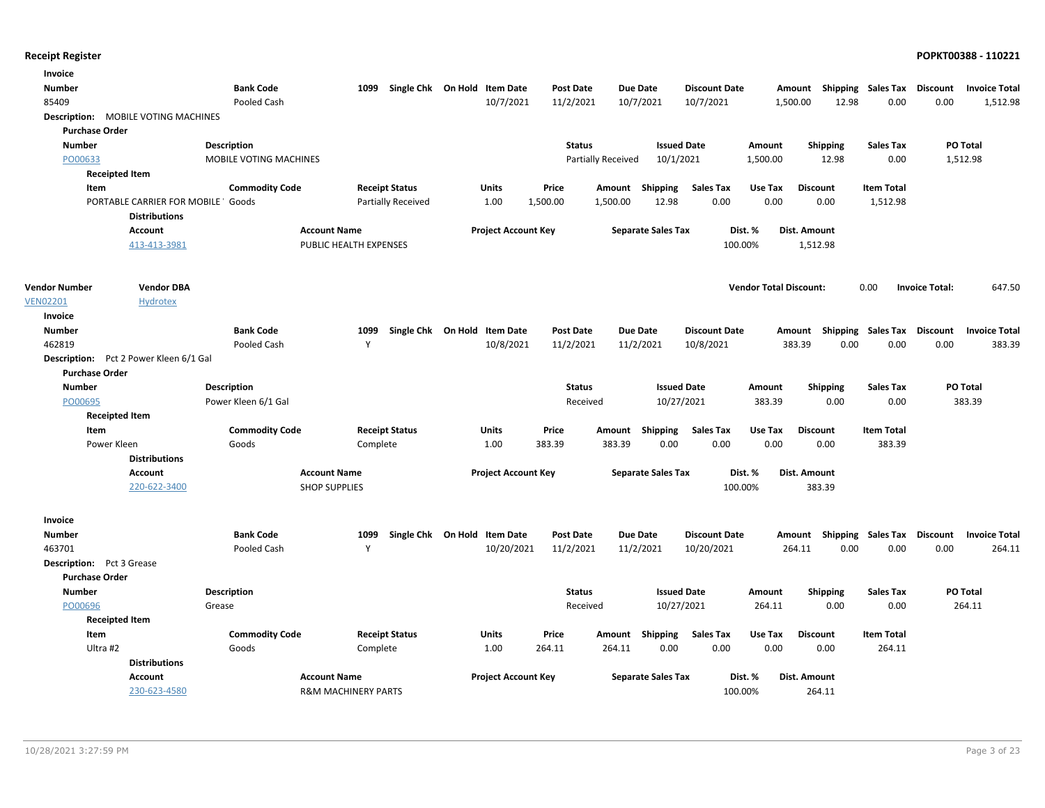| Invoice                          |                                            |                        |                                |                              |                            |                  |                           |                           |                      |                               |                           |                    |                       |                      |
|----------------------------------|--------------------------------------------|------------------------|--------------------------------|------------------------------|----------------------------|------------------|---------------------------|---------------------------|----------------------|-------------------------------|---------------------------|--------------------|-----------------------|----------------------|
| Number                           |                                            | <b>Bank Code</b>       | 1099                           | Single Chk On Hold Item Date |                            | <b>Post Date</b> |                           | <b>Due Date</b>           | <b>Discount Date</b> |                               | Amount Shipping Sales Tax |                    | <b>Discount</b>       | <b>Invoice Total</b> |
| 85409                            |                                            | Pooled Cash            |                                |                              | 10/7/2021                  | 11/2/2021        |                           | 10/7/2021                 | 10/7/2021            |                               | 12.98<br>1,500.00         | 0.00               | 0.00                  | 1,512.98             |
|                                  | <b>Description: MOBILE VOTING MACHINES</b> |                        |                                |                              |                            |                  |                           |                           |                      |                               |                           |                    |                       |                      |
| <b>Purchase Order</b>            |                                            |                        |                                |                              |                            |                  |                           |                           |                      |                               |                           |                    |                       |                      |
| <b>Number</b>                    |                                            | Description            |                                |                              |                            | <b>Status</b>    |                           | <b>Issued Date</b>        |                      | Amount                        | <b>Shipping</b>           | <b>Sales Tax</b>   |                       | PO Total             |
| PO00633                          |                                            | MOBILE VOTING MACHINES |                                |                              |                            |                  | <b>Partially Received</b> | 10/1/2021                 |                      | 1,500.00                      | 12.98                     | 0.00               |                       | 1,512.98             |
|                                  | <b>Receipted Item</b>                      |                        |                                |                              |                            |                  |                           |                           |                      |                               |                           |                    |                       |                      |
| Item                             |                                            | <b>Commodity Code</b>  | <b>Receipt Status</b>          |                              | <b>Units</b>               | Price            | Amount                    | <b>Shipping</b>           | <b>Sales Tax</b>     | Use Tax                       | <b>Discount</b>           | <b>Item Total</b>  |                       |                      |
|                                  | PORTABLE CARRIER FOR MOBILE ' Goods        |                        |                                | Partially Received           | 1.00                       | 1,500.00         | 1,500.00                  | 12.98                     | 0.00                 | 0.00                          | 0.00                      | 1,512.98           |                       |                      |
|                                  | <b>Distributions</b>                       |                        |                                |                              |                            |                  |                           |                           |                      |                               |                           |                    |                       |                      |
|                                  | <b>Account</b>                             |                        | <b>Account Name</b>            |                              | <b>Project Account Key</b> |                  |                           | <b>Separate Sales Tax</b> |                      | Dist. %                       | Dist. Amount              |                    |                       |                      |
|                                  | 413-413-3981                               |                        | PUBLIC HEALTH EXPENSES         |                              |                            |                  |                           |                           | 100.00%              |                               | 1,512.98                  |                    |                       |                      |
|                                  |                                            |                        |                                |                              |                            |                  |                           |                           |                      |                               |                           |                    |                       |                      |
| <b>Vendor Number</b>             | <b>Vendor DBA</b>                          |                        |                                |                              |                            |                  |                           |                           |                      | <b>Vendor Total Discount:</b> |                           | 0.00               | <b>Invoice Total:</b> | 647.50               |
| <b>VEN02201</b>                  | <b>Hydrotex</b>                            |                        |                                |                              |                            |                  |                           |                           |                      |                               |                           |                    |                       |                      |
| Invoice                          |                                            |                        |                                |                              |                            |                  |                           |                           |                      |                               |                           |                    |                       |                      |
| <b>Number</b>                    |                                            | <b>Bank Code</b>       | 1099                           | Single Chk On Hold Item Date |                            | <b>Post Date</b> |                           | <b>Due Date</b>           | <b>Discount Date</b> |                               | Amount                    | Shipping Sales Tax | <b>Discount</b>       | <b>Invoice Total</b> |
| 462819                           |                                            | Pooled Cash            | Y                              |                              | 10/8/2021                  | 11/2/2021        |                           | 11/2/2021                 | 10/8/2021            |                               | 383.39<br>0.00            | 0.00               | 0.00                  | 383.39               |
|                                  | Description: Pct 2 Power Kleen 6/1 Gal     |                        |                                |                              |                            |                  |                           |                           |                      |                               |                           |                    |                       |                      |
| <b>Purchase Order</b>            |                                            |                        |                                |                              |                            |                  |                           |                           |                      |                               |                           |                    |                       |                      |
| <b>Number</b>                    |                                            | <b>Description</b>     |                                |                              |                            | <b>Status</b>    |                           | <b>Issued Date</b>        |                      | Amount                        | <b>Shipping</b>           | Sales Tax          |                       | PO Total             |
| PO00695                          |                                            | Power Kleen 6/1 Gal    |                                |                              |                            | Received         |                           | 10/27/2021                |                      | 383.39                        | 0.00                      | 0.00               |                       | 383.39               |
|                                  | <b>Receipted Item</b>                      |                        |                                |                              |                            |                  |                           |                           |                      |                               |                           |                    |                       |                      |
| Item                             |                                            | <b>Commodity Code</b>  | <b>Receipt Status</b>          |                              | Units                      | Price            |                           | Amount Shipping           | <b>Sales Tax</b>     | Use Tax                       | <b>Discount</b>           | <b>Item Total</b>  |                       |                      |
|                                  | Power Kleen                                | Goods                  | Complete                       |                              | 1.00                       | 383.39           | 383.39                    | 0.00                      | 0.00                 | 0.00                          | 0.00                      | 383.39             |                       |                      |
|                                  | <b>Distributions</b>                       |                        |                                |                              |                            |                  |                           |                           |                      |                               |                           |                    |                       |                      |
|                                  | Account                                    |                        | <b>Account Name</b>            |                              | <b>Project Account Key</b> |                  |                           | <b>Separate Sales Tax</b> |                      | Dist. %                       | <b>Dist. Amount</b>       |                    |                       |                      |
|                                  | 220-622-3400                               |                        | <b>SHOP SUPPLIES</b>           |                              |                            |                  |                           |                           | 100.00%              |                               | 383.39                    |                    |                       |                      |
| Invoice                          |                                            |                        |                                |                              |                            |                  |                           |                           |                      |                               |                           |                    |                       |                      |
| <b>Number</b>                    |                                            | <b>Bank Code</b>       | 1099                           | Single Chk On Hold Item Date |                            | <b>Post Date</b> |                           | <b>Due Date</b>           | <b>Discount Date</b> |                               | Amount                    | Shipping Sales Tax | <b>Discount</b>       | <b>Invoice Total</b> |
| 463701                           |                                            | Pooled Cash            | Y                              |                              | 10/20/2021                 | 11/2/2021        |                           | 11/2/2021                 | 10/20/2021           |                               | 0.00<br>264.11            | 0.00               | 0.00                  | 264.11               |
| <b>Description:</b> Pct 3 Grease |                                            |                        |                                |                              |                            |                  |                           |                           |                      |                               |                           |                    |                       |                      |
| <b>Purchase Order</b>            |                                            |                        |                                |                              |                            |                  |                           |                           |                      |                               |                           |                    |                       |                      |
| <b>Number</b>                    |                                            | Description            |                                |                              |                            | <b>Status</b>    |                           | <b>Issued Date</b>        |                      | Amount                        | Shipping                  | <b>Sales Tax</b>   |                       | PO Total             |
| PO00696                          |                                            | Grease                 |                                |                              |                            | Received         |                           | 10/27/2021                |                      | 264.11                        | 0.00                      | 0.00               |                       | 264.11               |
|                                  | <b>Receipted Item</b>                      |                        |                                |                              |                            |                  |                           |                           |                      |                               |                           |                    |                       |                      |
| Item                             |                                            | <b>Commodity Code</b>  | <b>Receipt Status</b>          |                              | Units                      | Price            | Amount                    | Shipping                  | Sales Tax            | Use Tax                       | <b>Discount</b>           | <b>Item Total</b>  |                       |                      |
| Ultra #2                         |                                            | Goods                  | Complete                       |                              | 1.00                       | 264.11           | 264.11                    | 0.00                      | 0.00                 | 0.00                          | 0.00                      | 264.11             |                       |                      |
|                                  | <b>Distributions</b>                       |                        |                                |                              |                            |                  |                           |                           |                      |                               |                           |                    |                       |                      |
|                                  | <b>Account</b>                             |                        | <b>Account Name</b>            |                              | <b>Project Account Key</b> |                  |                           | <b>Separate Sales Tax</b> |                      | Dist. %                       | <b>Dist. Amount</b>       |                    |                       |                      |
|                                  | 230-623-4580                               |                        | <b>R&amp;M MACHINERY PARTS</b> |                              |                            |                  |                           |                           | 100.00%              |                               | 264.11                    |                    |                       |                      |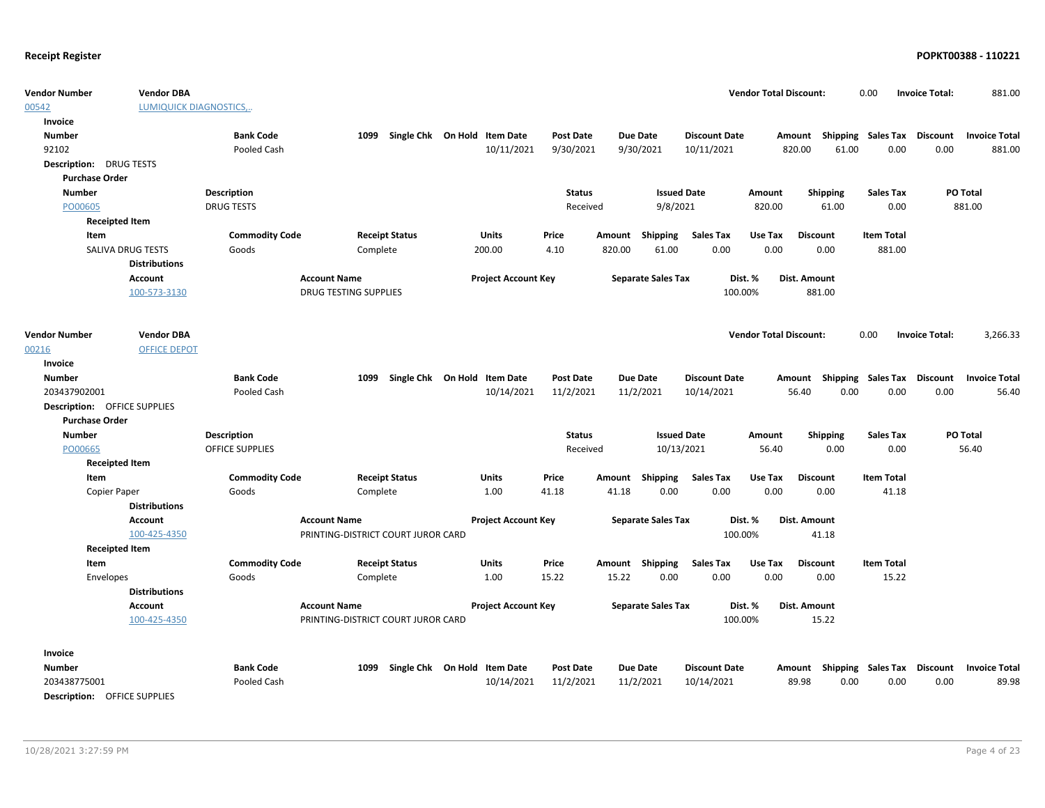| <b>Vendor Number</b>                | <b>Vendor DBA</b>              |                        |                                    |                              |                            |                  |        |                           |                      | <b>Vendor Total Discount:</b> |              |                 | 0.00                      | <b>Invoice Total:</b> | 881.00               |
|-------------------------------------|--------------------------------|------------------------|------------------------------------|------------------------------|----------------------------|------------------|--------|---------------------------|----------------------|-------------------------------|--------------|-----------------|---------------------------|-----------------------|----------------------|
| 00542                               | <b>LUMIQUICK DIAGNOSTICS,.</b> |                        |                                    |                              |                            |                  |        |                           |                      |                               |              |                 |                           |                       |                      |
| Invoice                             |                                |                        |                                    |                              |                            |                  |        |                           |                      |                               |              |                 |                           |                       |                      |
| <b>Number</b>                       |                                | <b>Bank Code</b>       | 1099                               | Single Chk On Hold Item Date |                            | <b>Post Date</b> |        | Due Date                  | <b>Discount Date</b> |                               |              |                 | Amount Shipping Sales Tax | <b>Discount</b>       | <b>Invoice Total</b> |
| 92102                               |                                | Pooled Cash            |                                    |                              | 10/11/2021                 | 9/30/2021        |        | 9/30/2021                 | 10/11/2021           |                               | 820.00       | 61.00           | 0.00                      | 0.00                  | 881.00               |
| <b>Description: DRUG TESTS</b>      |                                |                        |                                    |                              |                            |                  |        |                           |                      |                               |              |                 |                           |                       |                      |
| <b>Purchase Order</b>               |                                |                        |                                    |                              |                            |                  |        |                           |                      |                               |              |                 |                           |                       |                      |
| <b>Number</b>                       |                                | <b>Description</b>     |                                    |                              |                            | <b>Status</b>    |        | <b>Issued Date</b>        |                      | Amount                        |              | <b>Shipping</b> | <b>Sales Tax</b>          |                       | PO Total             |
| PO00605                             |                                | <b>DRUG TESTS</b>      |                                    |                              |                            | Received         |        | 9/8/2021                  |                      | 820.00                        |              | 61.00           | 0.00                      |                       | 881.00               |
| <b>Receipted Item</b>               |                                |                        |                                    |                              |                            |                  |        |                           |                      |                               |              |                 |                           |                       |                      |
| Item                                |                                | <b>Commodity Code</b>  | <b>Receipt Status</b>              |                              | <b>Units</b>               | Price            | Amount | Shipping                  | <b>Sales Tax</b>     | Use Tax                       |              | <b>Discount</b> | <b>Item Total</b>         |                       |                      |
|                                     | <b>SALIVA DRUG TESTS</b>       | Goods                  | Complete                           |                              | 200.00                     | 4.10             | 820.00 | 61.00                     | 0.00                 | 0.00                          |              | 0.00            | 881.00                    |                       |                      |
|                                     | <b>Distributions</b>           |                        |                                    |                              |                            |                  |        |                           |                      |                               |              |                 |                           |                       |                      |
|                                     | <b>Account</b>                 |                        | <b>Account Name</b>                |                              | <b>Project Account Key</b> |                  |        | <b>Separate Sales Tax</b> |                      | Dist. %                       | Dist. Amount |                 |                           |                       |                      |
|                                     | 100-573-3130                   |                        | <b>DRUG TESTING SUPPLIES</b>       |                              |                            |                  |        |                           |                      | 100.00%                       |              | 881.00          |                           |                       |                      |
|                                     |                                |                        |                                    |                              |                            |                  |        |                           |                      |                               |              |                 |                           |                       |                      |
|                                     |                                |                        |                                    |                              |                            |                  |        |                           |                      |                               |              |                 |                           |                       |                      |
| <b>Vendor Number</b>                | <b>Vendor DBA</b>              |                        |                                    |                              |                            |                  |        |                           |                      | <b>Vendor Total Discount:</b> |              |                 | 0.00                      | <b>Invoice Total:</b> | 3,266.33             |
| 00216                               | <b>OFFICE DEPOT</b>            |                        |                                    |                              |                            |                  |        |                           |                      |                               |              |                 |                           |                       |                      |
| Invoice                             |                                |                        |                                    |                              |                            |                  |        |                           |                      |                               |              |                 |                           |                       |                      |
| <b>Number</b>                       |                                | <b>Bank Code</b>       | 1099                               | Single Chk On Hold Item Date |                            | <b>Post Date</b> |        | Due Date                  | <b>Discount Date</b> |                               | Amount       | Shipping        | Sales Tax                 | <b>Discount</b>       | <b>Invoice Total</b> |
| 203437902001                        |                                | Pooled Cash            |                                    |                              | 10/14/2021                 | 11/2/2021        |        | 11/2/2021                 | 10/14/2021           |                               | 56.40        | 0.00            | 0.00                      | 0.00                  | 56.40                |
| <b>Description: OFFICE SUPPLIES</b> |                                |                        |                                    |                              |                            |                  |        |                           |                      |                               |              |                 |                           |                       |                      |
| <b>Purchase Order</b>               |                                |                        |                                    |                              |                            |                  |        |                           |                      |                               |              |                 |                           |                       |                      |
| <b>Number</b>                       |                                | <b>Description</b>     |                                    |                              |                            | <b>Status</b>    |        | <b>Issued Date</b>        |                      | Amount                        |              | <b>Shipping</b> | <b>Sales Tax</b>          |                       | PO Total             |
| PO00665                             |                                | <b>OFFICE SUPPLIES</b> |                                    |                              |                            | Received         |        | 10/13/2021                |                      | 56.40                         |              | 0.00            | 0.00                      |                       | 56.40                |
| <b>Receipted Item</b>               |                                |                        |                                    |                              |                            |                  |        |                           |                      |                               |              |                 |                           |                       |                      |
| Item                                |                                | <b>Commodity Code</b>  | <b>Receipt Status</b>              |                              | <b>Units</b>               | Price            | Amount | Shipping                  | <b>Sales Tax</b>     | Use Tax                       |              | <b>Discount</b> | <b>Item Total</b>         |                       |                      |
| Copier Paper                        |                                | Goods                  | Complete                           |                              | 1.00                       | 41.18            | 41.18  | 0.00                      | 0.00                 | 0.00                          |              | 0.00            | 41.18                     |                       |                      |
|                                     | <b>Distributions</b>           |                        |                                    |                              |                            |                  |        |                           |                      |                               |              |                 |                           |                       |                      |
|                                     | Account                        |                        | <b>Account Name</b>                |                              | <b>Project Account Key</b> |                  |        | <b>Separate Sales Tax</b> |                      | Dist. %                       | Dist. Amount |                 |                           |                       |                      |
|                                     | 100-425-4350                   |                        | PRINTING-DISTRICT COURT JUROR CARD |                              |                            |                  |        |                           |                      | 100.00%                       |              | 41.18           |                           |                       |                      |
| <b>Receipted Item</b>               |                                |                        |                                    |                              |                            |                  |        |                           |                      |                               |              |                 |                           |                       |                      |
| Item                                |                                | <b>Commodity Code</b>  | <b>Receipt Status</b>              |                              | <b>Units</b>               | Price            |        | Amount Shipping           | <b>Sales Tax</b>     | Use Tax                       |              | <b>Discount</b> | <b>Item Total</b>         |                       |                      |
| Envelopes                           |                                | Goods                  | Complete                           |                              | 1.00                       | 15.22            | 15.22  | 0.00                      | 0.00                 | 0.00                          |              | 0.00            | 15.22                     |                       |                      |
|                                     | <b>Distributions</b>           |                        |                                    |                              |                            |                  |        |                           |                      |                               |              |                 |                           |                       |                      |
|                                     | <b>Account</b>                 |                        | <b>Account Name</b>                |                              | <b>Project Account Key</b> |                  |        | <b>Separate Sales Tax</b> |                      | Dist. %                       | Dist. Amount |                 |                           |                       |                      |
|                                     | 100-425-4350                   |                        | PRINTING-DISTRICT COURT JUROR CARD |                              |                            |                  |        |                           |                      | 100.00%                       |              | 15.22           |                           |                       |                      |
|                                     |                                |                        |                                    |                              |                            |                  |        |                           |                      |                               |              |                 |                           |                       |                      |
| Invoice                             |                                |                        |                                    |                              |                            |                  |        |                           |                      |                               |              |                 |                           |                       |                      |
| <b>Number</b>                       |                                | <b>Bank Code</b>       | 1099                               | Single Chk On Hold Item Date |                            | <b>Post Date</b> |        | <b>Due Date</b>           | <b>Discount Date</b> |                               | Amount       |                 | <b>Shipping Sales Tax</b> | Discount              | <b>Invoice Total</b> |
| 203438775001                        |                                | Pooled Cash            |                                    |                              | 10/14/2021                 | 11/2/2021        |        | 11/2/2021                 | 10/14/2021           |                               | 89.98        | 0.00            | 0.00                      | 0.00                  | 89.98                |
| <b>Description: OFFICE SUPPLIES</b> |                                |                        |                                    |                              |                            |                  |        |                           |                      |                               |              |                 |                           |                       |                      |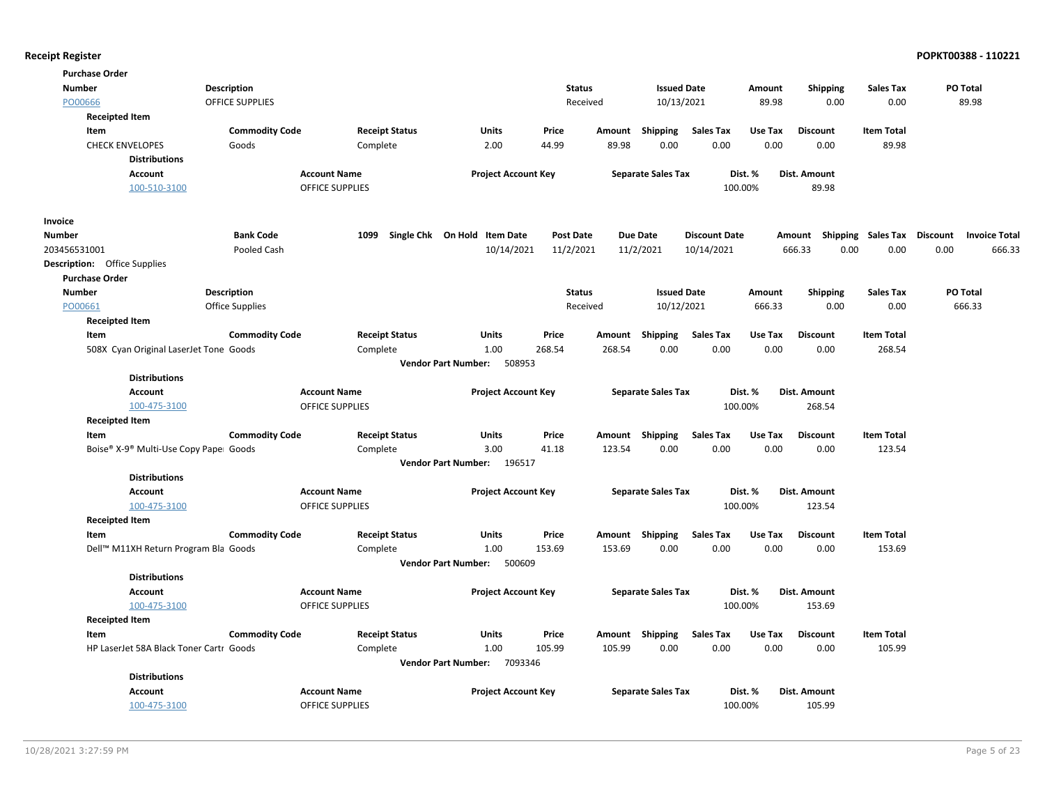| <b>Purchase Order</b>                   |                        |                        |                                       |                  |        |                           |                      |         |                                    |                   |      |                      |
|-----------------------------------------|------------------------|------------------------|---------------------------------------|------------------|--------|---------------------------|----------------------|---------|------------------------------------|-------------------|------|----------------------|
| <b>Number</b>                           | <b>Description</b>     |                        |                                       | <b>Status</b>    |        | <b>Issued Date</b>        |                      | Amount  | <b>Shipping</b>                    | <b>Sales Tax</b>  |      | <b>PO Total</b>      |
| PO00666                                 | OFFICE SUPPLIES        |                        |                                       | Received         |        | 10/13/2021                |                      | 89.98   | 0.00                               | 0.00              |      | 89.98                |
| <b>Receipted Item</b>                   |                        |                        |                                       |                  |        |                           |                      |         |                                    |                   |      |                      |
| Item                                    | <b>Commodity Code</b>  | <b>Receipt Status</b>  | Units                                 | Price            | Amount | Shipping                  | <b>Sales Tax</b>     | Use Tax | <b>Discount</b>                    | <b>Item Total</b> |      |                      |
| <b>CHECK ENVELOPES</b>                  | Goods                  | Complete               | 2.00                                  | 44.99            | 89.98  | 0.00                      | 0.00                 | 0.00    | 0.00                               | 89.98             |      |                      |
| <b>Distributions</b>                    |                        |                        |                                       |                  |        |                           |                      |         |                                    |                   |      |                      |
| Account                                 |                        | <b>Account Name</b>    | <b>Project Account Key</b>            |                  |        | <b>Separate Sales Tax</b> |                      | Dist. % | Dist. Amount                       |                   |      |                      |
| 100-510-3100                            |                        | <b>OFFICE SUPPLIES</b> |                                       |                  |        |                           |                      | 100.00% | 89.98                              |                   |      |                      |
| Invoice                                 |                        |                        |                                       |                  |        |                           |                      |         |                                    |                   |      |                      |
| <b>Number</b>                           | <b>Bank Code</b>       | 1099                   | Single Chk On Hold Item Date          | <b>Post Date</b> |        | <b>Due Date</b>           | <b>Discount Date</b> |         | Amount Shipping Sales Tax Discount |                   |      | <b>Invoice Total</b> |
| 203456531001                            | Pooled Cash            |                        | 10/14/2021                            | 11/2/2021        |        | 11/2/2021                 | 10/14/2021           |         | 0.00<br>666.33                     | 0.00              | 0.00 | 666.33               |
| <b>Description:</b> Office Supplies     |                        |                        |                                       |                  |        |                           |                      |         |                                    |                   |      |                      |
| <b>Purchase Order</b>                   |                        |                        |                                       |                  |        |                           |                      |         |                                    |                   |      |                      |
| <b>Number</b>                           | <b>Description</b>     |                        |                                       | <b>Status</b>    |        | <b>Issued Date</b>        |                      | Amount  | <b>Shipping</b>                    | <b>Sales Tax</b>  |      | PO Total             |
| PO00661                                 | <b>Office Supplies</b> |                        |                                       | Received         |        | 10/12/2021                |                      | 666.33  | 0.00                               | 0.00              |      | 666.33               |
| <b>Receipted Item</b>                   |                        |                        |                                       |                  |        |                           |                      |         |                                    |                   |      |                      |
| Item                                    | <b>Commodity Code</b>  | <b>Receipt Status</b>  | Units                                 | Price            | Amount | Shipping                  | <b>Sales Tax</b>     | Use Tax | <b>Discount</b>                    | <b>Item Total</b> |      |                      |
| 508X Cyan Original LaserJet Tone Goods  |                        | Complete               | 1.00                                  | 268.54           | 268.54 | 0.00                      | 0.00                 | 0.00    | 0.00                               | 268.54            |      |                      |
|                                         |                        |                        | <b>Vendor Part Number:</b><br>508953  |                  |        |                           |                      |         |                                    |                   |      |                      |
| <b>Distributions</b>                    |                        |                        |                                       |                  |        |                           |                      |         |                                    |                   |      |                      |
| <b>Account</b>                          |                        | <b>Account Name</b>    | <b>Project Account Key</b>            |                  |        | <b>Separate Sales Tax</b> |                      | Dist. % | Dist. Amount                       |                   |      |                      |
| 100-475-3100                            |                        | <b>OFFICE SUPPLIES</b> |                                       |                  |        |                           |                      | 100.00% | 268.54                             |                   |      |                      |
| <b>Receipted Item</b>                   |                        |                        |                                       |                  |        |                           |                      |         |                                    |                   |      |                      |
| Item                                    | <b>Commodity Code</b>  | <b>Receipt Status</b>  | Units                                 | Price            | Amount | <b>Shipping</b>           | <b>Sales Tax</b>     | Use Tax | <b>Discount</b>                    | <b>Item Total</b> |      |                      |
| Boise® X-9® Multi-Use Copy Pape⊨ Goods  |                        | Complete               | 3.00                                  | 41.18            | 123.54 | 0.00                      | 0.00                 | 0.00    | 0.00                               | 123.54            |      |                      |
|                                         |                        |                        | <b>Vendor Part Number:</b><br>196517  |                  |        |                           |                      |         |                                    |                   |      |                      |
| <b>Distributions</b>                    |                        |                        |                                       |                  |        |                           |                      |         |                                    |                   |      |                      |
| <b>Account</b>                          |                        | <b>Account Name</b>    | <b>Project Account Key</b>            |                  |        | <b>Separate Sales Tax</b> |                      | Dist. % | Dist. Amount                       |                   |      |                      |
| 100-475-3100                            |                        | <b>OFFICE SUPPLIES</b> |                                       |                  |        |                           |                      | 100.00% | 123.54                             |                   |      |                      |
| <b>Receipted Item</b>                   |                        |                        |                                       |                  |        |                           |                      |         |                                    |                   |      |                      |
| Item                                    | <b>Commodity Code</b>  | <b>Receipt Status</b>  | <b>Units</b>                          | Price            | Amount | Shipping                  | <b>Sales Tax</b>     | Use Tax | <b>Discount</b>                    | <b>Item Total</b> |      |                      |
| Dell™ M11XH Return Program Bla Goods    |                        | Complete               | 1.00                                  | 153.69           | 153.69 | 0.00                      | 0.00                 | 0.00    | 0.00                               | 153.69            |      |                      |
|                                         |                        |                        | Vendor Part Number: 500609            |                  |        |                           |                      |         |                                    |                   |      |                      |
| <b>Distributions</b>                    |                        |                        |                                       |                  |        |                           |                      |         |                                    |                   |      |                      |
| <b>Account</b>                          |                        | <b>Account Name</b>    | <b>Project Account Key</b>            |                  |        | <b>Separate Sales Tax</b> |                      | Dist. % | Dist. Amount                       |                   |      |                      |
| 100-475-3100                            |                        | OFFICE SUPPLIES        |                                       |                  |        |                           |                      | 100.00% | 153.69                             |                   |      |                      |
| <b>Receipted Item</b>                   |                        |                        |                                       |                  |        |                           |                      |         |                                    |                   |      |                      |
| Item                                    | <b>Commodity Code</b>  | <b>Receipt Status</b>  | <b>Units</b>                          | Price            |        | Amount Shipping           | <b>Sales Tax</b>     | Use Tax | <b>Discount</b>                    | <b>Item Total</b> |      |                      |
| HP LaserJet 58A Black Toner Cartr Goods |                        | Complete               | 1.00                                  | 105.99           | 105.99 | 0.00                      | 0.00                 | 0.00    | 0.00                               | 105.99            |      |                      |
|                                         |                        |                        | <b>Vendor Part Number:</b><br>7093346 |                  |        |                           |                      |         |                                    |                   |      |                      |
| <b>Distributions</b>                    |                        |                        |                                       |                  |        |                           |                      |         |                                    |                   |      |                      |
| <b>Account</b>                          |                        | <b>Account Name</b>    | <b>Project Account Key</b>            |                  |        | <b>Separate Sales Tax</b> |                      | Dist. % | Dist. Amount                       |                   |      |                      |
| 100-475-3100                            |                        | <b>OFFICE SUPPLIES</b> |                                       |                  |        |                           |                      | 100.00% | 105.99                             |                   |      |                      |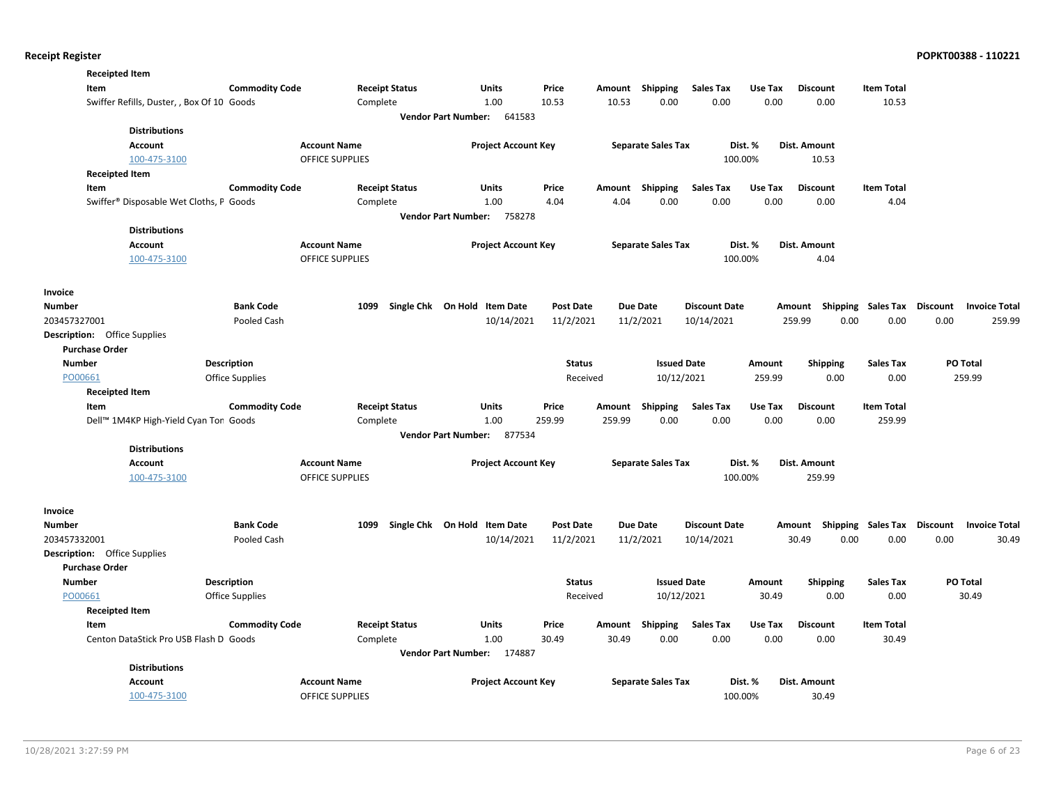| <b>Receipted Item</b>               |                                            |                       |                        |                                      |                            |                            |                  |                 |                           |                      |         |                    |                           |                 |                      |
|-------------------------------------|--------------------------------------------|-----------------------|------------------------|--------------------------------------|----------------------------|----------------------------|------------------|-----------------|---------------------------|----------------------|---------|--------------------|---------------------------|-----------------|----------------------|
| Item                                |                                            | <b>Commodity Code</b> |                        | <b>Receipt Status</b>                |                            | Units                      | Price            | Amount          | Shipping                  | <b>Sales Tax</b>     | Use Tax | <b>Discount</b>    | <b>Item Total</b>         |                 |                      |
|                                     | Swiffer Refills, Duster, , Box Of 10 Goods |                       |                        | Complete                             |                            | 1.00                       | 10.53            | 10.53           | 0.00                      | 0.00                 | 0.00    | 0.00               | 10.53                     |                 |                      |
|                                     |                                            |                       |                        |                                      | <b>Vendor Part Number:</b> | 641583                     |                  |                 |                           |                      |         |                    |                           |                 |                      |
| <b>Distributions</b>                |                                            |                       |                        |                                      |                            |                            |                  |                 |                           |                      |         |                    |                           |                 |                      |
| Account                             |                                            |                       | <b>Account Name</b>    |                                      |                            | <b>Project Account Key</b> |                  |                 | <b>Separate Sales Tax</b> | Dist. %              |         | Dist. Amount       |                           |                 |                      |
| 100-475-3100                        |                                            |                       | <b>OFFICE SUPPLIES</b> |                                      |                            |                            |                  |                 |                           | 100.00%              |         | 10.53              |                           |                 |                      |
| <b>Receipted Item</b>               |                                            |                       |                        |                                      |                            |                            |                  |                 |                           |                      |         |                    |                           |                 |                      |
| Item                                |                                            | <b>Commodity Code</b> |                        | <b>Receipt Status</b>                |                            | Units                      | Price            | Amount          | Shipping                  | <b>Sales Tax</b>     | Use Tax | <b>Discount</b>    | <b>Item Total</b>         |                 |                      |
|                                     | Swiffer® Disposable Wet Cloths, P Goods    |                       |                        | Complete                             |                            | 1.00                       | 4.04             | 4.04            | 0.00                      | 0.00                 | 0.00    | 0.00               | 4.04                      |                 |                      |
|                                     |                                            |                       |                        |                                      | Vendor Part Number: 758278 |                            |                  |                 |                           |                      |         |                    |                           |                 |                      |
| <b>Distributions</b>                |                                            |                       |                        |                                      |                            |                            |                  |                 |                           |                      |         |                    |                           |                 |                      |
| <b>Account</b>                      |                                            |                       | <b>Account Name</b>    |                                      |                            | <b>Project Account Key</b> |                  |                 | <b>Separate Sales Tax</b> | Dist. %              |         | Dist. Amount       |                           |                 |                      |
| 100-475-3100                        |                                            |                       | OFFICE SUPPLIES        |                                      |                            |                            |                  |                 |                           | 100.00%              |         | 4.04               |                           |                 |                      |
|                                     |                                            |                       |                        |                                      |                            |                            |                  |                 |                           |                      |         |                    |                           |                 |                      |
| <b>Invoice</b>                      |                                            |                       |                        |                                      |                            |                            |                  |                 |                           |                      |         |                    |                           |                 |                      |
| <b>Number</b>                       |                                            | <b>Bank Code</b>      |                        | Single Chk On Hold Item Date<br>1099 |                            |                            | <b>Post Date</b> | <b>Due Date</b> |                           | <b>Discount Date</b> |         | Shipping<br>Amount | <b>Sales Tax Discount</b> |                 | <b>Invoice Total</b> |
| 203457327001                        |                                            | Pooled Cash           |                        |                                      |                            | 10/14/2021                 | 11/2/2021        |                 | 11/2/2021                 | 10/14/2021           |         | 0.00<br>259.99     | 0.00                      | 0.00            | 259.99               |
| <b>Description:</b> Office Supplies |                                            |                       |                        |                                      |                            |                            |                  |                 |                           |                      |         |                    |                           |                 |                      |
| <b>Purchase Order</b>               |                                            |                       |                        |                                      |                            |                            |                  |                 |                           |                      |         |                    |                           |                 |                      |
| Number                              | <b>Description</b>                         |                       |                        |                                      |                            |                            | <b>Status</b>    |                 | <b>Issued Date</b>        |                      | Amount  | <b>Shipping</b>    | <b>Sales Tax</b>          | PO Total        |                      |
| PO00661                             | <b>Office Supplies</b>                     |                       |                        |                                      |                            |                            | Received         |                 | 10/12/2021                |                      | 259.99  | 0.00               | 0.00                      |                 | 259.99               |
| <b>Receipted Item</b>               |                                            |                       |                        |                                      |                            |                            |                  |                 |                           |                      |         |                    |                           |                 |                      |
| Item                                |                                            | <b>Commodity Code</b> |                        | <b>Receipt Status</b>                |                            | Units                      | Price            | Amount          | Shipping                  | <b>Sales Tax</b>     | Use Tax | <b>Discount</b>    | <b>Item Total</b>         |                 |                      |
|                                     | Dell™ 1M4KP High-Yield Cyan Ton Goods      |                       |                        | Complete                             |                            | 1.00                       | 259.99           | 259.99          | 0.00                      | 0.00                 | 0.00    | 0.00               | 259.99                    |                 |                      |
|                                     |                                            |                       |                        |                                      | Vendor Part Number: 877534 |                            |                  |                 |                           |                      |         |                    |                           |                 |                      |
| <b>Distributions</b>                |                                            |                       |                        |                                      |                            |                            |                  |                 |                           |                      |         |                    |                           |                 |                      |
| Account                             |                                            |                       | <b>Account Name</b>    |                                      |                            | <b>Project Account Key</b> |                  |                 | <b>Separate Sales Tax</b> | Dist. %              |         | Dist. Amount       |                           |                 |                      |
| 100-475-3100                        |                                            |                       | OFFICE SUPPLIES        |                                      |                            |                            |                  |                 |                           | 100.00%              |         | 259.99             |                           |                 |                      |
|                                     |                                            |                       |                        |                                      |                            |                            |                  |                 |                           |                      |         |                    |                           |                 |                      |
|                                     |                                            |                       |                        |                                      |                            |                            |                  |                 |                           |                      |         |                    |                           |                 |                      |
| Invoice                             |                                            |                       |                        |                                      |                            |                            |                  |                 |                           |                      |         |                    |                           |                 |                      |
| Number                              |                                            | <b>Bank Code</b>      |                        | 1099<br>Single Chk On Hold Item Date |                            |                            | <b>Post Date</b> | <b>Due Date</b> |                           | <b>Discount Date</b> |         | Shipping<br>Amount | Sales Tax                 | <b>Discount</b> | <b>Invoice Total</b> |
| 203457332001                        |                                            | Pooled Cash           |                        |                                      |                            | 10/14/2021                 | 11/2/2021        |                 | 11/2/2021                 | 10/14/2021           |         | 30.49<br>0.00      | 0.00                      | 0.00            | 30.49                |
| <b>Description:</b> Office Supplies |                                            |                       |                        |                                      |                            |                            |                  |                 |                           |                      |         |                    |                           |                 |                      |
| <b>Purchase Order</b>               |                                            |                       |                        |                                      |                            |                            |                  |                 |                           |                      |         |                    |                           |                 |                      |
| <b>Number</b>                       | <b>Description</b>                         |                       |                        |                                      |                            |                            | <b>Status</b>    |                 | <b>Issued Date</b>        |                      | Amount  | <b>Shipping</b>    | <b>Sales Tax</b>          | <b>PO Total</b> |                      |
| PO00661                             | Office Supplies                            |                       |                        |                                      |                            |                            | Received         |                 | 10/12/2021                |                      | 30.49   | 0.00               | 0.00                      |                 | 30.49                |
| <b>Receipted Item</b>               |                                            |                       |                        |                                      |                            |                            |                  |                 |                           |                      |         |                    |                           |                 |                      |
| Item                                |                                            | <b>Commodity Code</b> |                        | <b>Receipt Status</b>                |                            | <b>Units</b>               | Price            | Amount          | Shipping                  | <b>Sales Tax</b>     | Use Tax | <b>Discount</b>    | <b>Item Total</b>         |                 |                      |
|                                     | Centon DataStick Pro USB Flash D Goods     |                       |                        | Complete                             |                            | 1.00                       | 30.49            | 30.49           | 0.00                      | 0.00                 | 0.00    | 0.00               | 30.49                     |                 |                      |
|                                     |                                            |                       |                        |                                      | <b>Vendor Part Number:</b> | 174887                     |                  |                 |                           |                      |         |                    |                           |                 |                      |
| <b>Distributions</b>                |                                            |                       |                        |                                      |                            |                            |                  |                 |                           |                      |         |                    |                           |                 |                      |
| <b>Account</b>                      |                                            |                       | <b>Account Name</b>    |                                      |                            | <b>Project Account Key</b> |                  |                 | <b>Separate Sales Tax</b> | Dist. %              |         | Dist. Amount       |                           |                 |                      |
| 100-475-3100                        |                                            |                       | OFFICE SUPPLIES        |                                      |                            |                            |                  |                 |                           | 100.00%              |         | 30.49              |                           |                 |                      |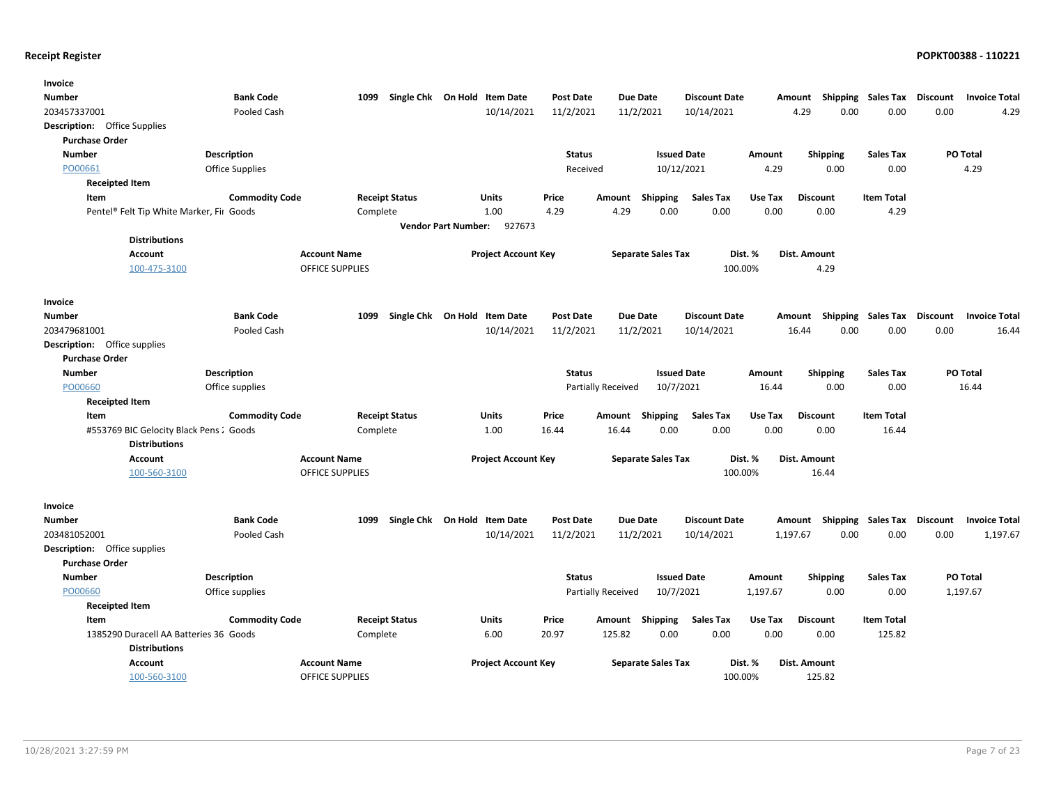| Invoice                                  |                        |                        |                              |                            |                            |                  |                    |                           |                      |          |                           |                   |                 |                      |
|------------------------------------------|------------------------|------------------------|------------------------------|----------------------------|----------------------------|------------------|--------------------|---------------------------|----------------------|----------|---------------------------|-------------------|-----------------|----------------------|
| <b>Number</b>                            | <b>Bank Code</b>       | 1099                   | Single Chk On Hold Item Date |                            |                            | <b>Post Date</b> | <b>Due Date</b>    |                           | <b>Discount Date</b> |          | Amount Shipping Sales Tax |                   | Discount        | <b>Invoice Total</b> |
| 203457337001                             | Pooled Cash            |                        |                              |                            | 10/14/2021                 | 11/2/2021        | 11/2/2021          |                           | 10/14/2021           |          | 4.29<br>0.00              | 0.00              | 0.00            | 4.29                 |
| <b>Description:</b> Office Supplies      |                        |                        |                              |                            |                            |                  |                    |                           |                      |          |                           |                   |                 |                      |
| <b>Purchase Order</b>                    |                        |                        |                              |                            |                            |                  |                    |                           |                      |          |                           |                   |                 |                      |
| <b>Number</b>                            | <b>Description</b>     |                        |                              |                            |                            | <b>Status</b>    |                    | <b>Issued Date</b>        |                      | Amount   | <b>Shipping</b>           | <b>Sales Tax</b>  |                 | PO Total             |
| PO00661                                  | <b>Office Supplies</b> |                        |                              |                            |                            | Received         |                    | 10/12/2021                |                      | 4.29     | 0.00                      | 0.00              |                 | 4.29                 |
| <b>Receipted Item</b>                    |                        |                        |                              |                            |                            |                  |                    |                           |                      |          |                           |                   |                 |                      |
| Item                                     | <b>Commodity Code</b>  | <b>Receipt Status</b>  |                              |                            | Units                      | Price            | Amount             | Shipping                  | <b>Sales Tax</b>     | Use Tax  | <b>Discount</b>           | <b>Item Total</b> |                 |                      |
| Pentel® Felt Tip White Marker, Fir Goods |                        | Complete               |                              |                            | 1.00                       | 4.29             | 4.29               | 0.00                      | 0.00                 | 0.00     | 0.00                      | 4.29              |                 |                      |
|                                          |                        |                        |                              | <b>Vendor Part Number:</b> | 927673                     |                  |                    |                           |                      |          |                           |                   |                 |                      |
| <b>Distributions</b>                     |                        |                        |                              |                            |                            |                  |                    |                           |                      |          |                           |                   |                 |                      |
| <b>Account</b>                           |                        | <b>Account Name</b>    |                              |                            | <b>Project Account Key</b> |                  |                    | <b>Separate Sales Tax</b> | Dist. %              |          | Dist. Amount              |                   |                 |                      |
| 100-475-3100                             |                        | <b>OFFICE SUPPLIES</b> |                              |                            |                            |                  |                    |                           | 100.00%              |          | 4.29                      |                   |                 |                      |
|                                          |                        |                        |                              |                            |                            |                  |                    |                           |                      |          |                           |                   |                 |                      |
| Invoice                                  |                        |                        |                              |                            |                            |                  |                    |                           |                      |          |                           |                   |                 |                      |
| <b>Number</b>                            | <b>Bank Code</b>       | 1099                   | Single Chk On Hold Item Date |                            |                            | Post Date        | <b>Due Date</b>    |                           | <b>Discount Date</b> |          | Amount Shipping Sales Tax |                   | Discount        | <b>Invoice Total</b> |
| 203479681001                             | Pooled Cash            |                        |                              |                            | 10/14/2021                 | 11/2/2021        | 11/2/2021          |                           | 10/14/2021           |          | 0.00<br>16.44             | 0.00              | 0.00            | 16.44                |
| <b>Description:</b> Office supplies      |                        |                        |                              |                            |                            |                  |                    |                           |                      |          |                           |                   |                 |                      |
| <b>Purchase Order</b>                    |                        |                        |                              |                            |                            |                  |                    |                           |                      |          |                           |                   |                 |                      |
| <b>Number</b>                            | Description            |                        |                              |                            |                            | <b>Status</b>    |                    | <b>Issued Date</b>        |                      | Amount   | <b>Shipping</b>           | <b>Sales Tax</b>  |                 | PO Total             |
| PO00660                                  | Office supplies        |                        |                              |                            |                            |                  | Partially Received | 10/7/2021                 |                      | 16.44    | 0.00                      | 0.00              |                 | 16.44                |
| <b>Receipted Item</b>                    |                        |                        |                              |                            |                            |                  |                    |                           |                      |          |                           |                   |                 |                      |
| Item                                     | <b>Commodity Code</b>  | <b>Receipt Status</b>  |                              |                            | <b>Units</b>               | Price            | Amount             | Shipping                  | <b>Sales Tax</b>     | Use Tax  | <b>Discount</b>           | <b>Item Total</b> |                 |                      |
| #553769 BIC Gelocity Black Pens: Goods   |                        | Complete               |                              |                            | 1.00                       | 16.44            | 16.44              | 0.00                      | 0.00                 | 0.00     | 0.00                      | 16.44             |                 |                      |
| <b>Distributions</b>                     |                        |                        |                              |                            |                            |                  |                    |                           |                      |          |                           |                   |                 |                      |
| <b>Account</b>                           |                        | <b>Account Name</b>    |                              |                            | <b>Project Account Key</b> |                  |                    | <b>Separate Sales Tax</b> | Dist. %              |          | Dist. Amount              |                   |                 |                      |
| 100-560-3100                             |                        | <b>OFFICE SUPPLIES</b> |                              |                            |                            |                  |                    |                           | 100.00%              |          | 16.44                     |                   |                 |                      |
|                                          |                        |                        |                              |                            |                            |                  |                    |                           |                      |          |                           |                   |                 |                      |
| Invoice                                  |                        |                        |                              |                            |                            |                  |                    |                           |                      |          |                           |                   |                 |                      |
| Number                                   | <b>Bank Code</b>       | 1099                   | Single Chk On Hold Item Date |                            |                            | <b>Post Date</b> | <b>Due Date</b>    |                           | <b>Discount Date</b> |          | Amount Shipping Sales Tax |                   | <b>Discount</b> | <b>Invoice Total</b> |
| 203481052001                             | Pooled Cash            |                        |                              |                            | 10/14/2021                 | 11/2/2021        | 11/2/2021          |                           | 10/14/2021           |          | 1,197.67<br>0.00          | 0.00              | 0.00            | 1,197.67             |
| <b>Description:</b> Office supplies      |                        |                        |                              |                            |                            |                  |                    |                           |                      |          |                           |                   |                 |                      |
| <b>Purchase Order</b>                    |                        |                        |                              |                            |                            |                  |                    |                           |                      |          |                           |                   |                 |                      |
| <b>Number</b>                            | <b>Description</b>     |                        |                              |                            |                            | <b>Status</b>    |                    | <b>Issued Date</b>        |                      | Amount   | <b>Shipping</b>           | <b>Sales Tax</b>  |                 | PO Total             |
| PO00660                                  | Office supplies        |                        |                              |                            |                            |                  | Partially Received | 10/7/2021                 |                      | 1,197.67 | 0.00                      | 0.00              |                 | 1,197.67             |
| <b>Receipted Item</b>                    |                        |                        |                              |                            |                            |                  |                    |                           |                      |          |                           |                   |                 |                      |
| Item                                     | <b>Commodity Code</b>  | <b>Receipt Status</b>  |                              |                            | Units                      | Price            | Amount             | Shipping                  | <b>Sales Tax</b>     | Use Tax  | <b>Discount</b>           | <b>Item Total</b> |                 |                      |
| 1385290 Duracell AA Batteries 36 Goods   |                        | Complete               |                              |                            | 6.00                       | 20.97            | 125.82             | 0.00                      | 0.00                 | 0.00     | 0.00                      | 125.82            |                 |                      |
| <b>Distributions</b>                     |                        |                        |                              |                            |                            |                  |                    |                           |                      |          |                           |                   |                 |                      |
| <b>Account</b>                           |                        | <b>Account Name</b>    |                              |                            | <b>Project Account Key</b> |                  |                    | <b>Separate Sales Tax</b> | Dist. %              |          | Dist. Amount              |                   |                 |                      |
| 100-560-3100                             |                        | <b>OFFICE SUPPLIES</b> |                              |                            |                            |                  |                    |                           | 100.00%              |          | 125.82                    |                   |                 |                      |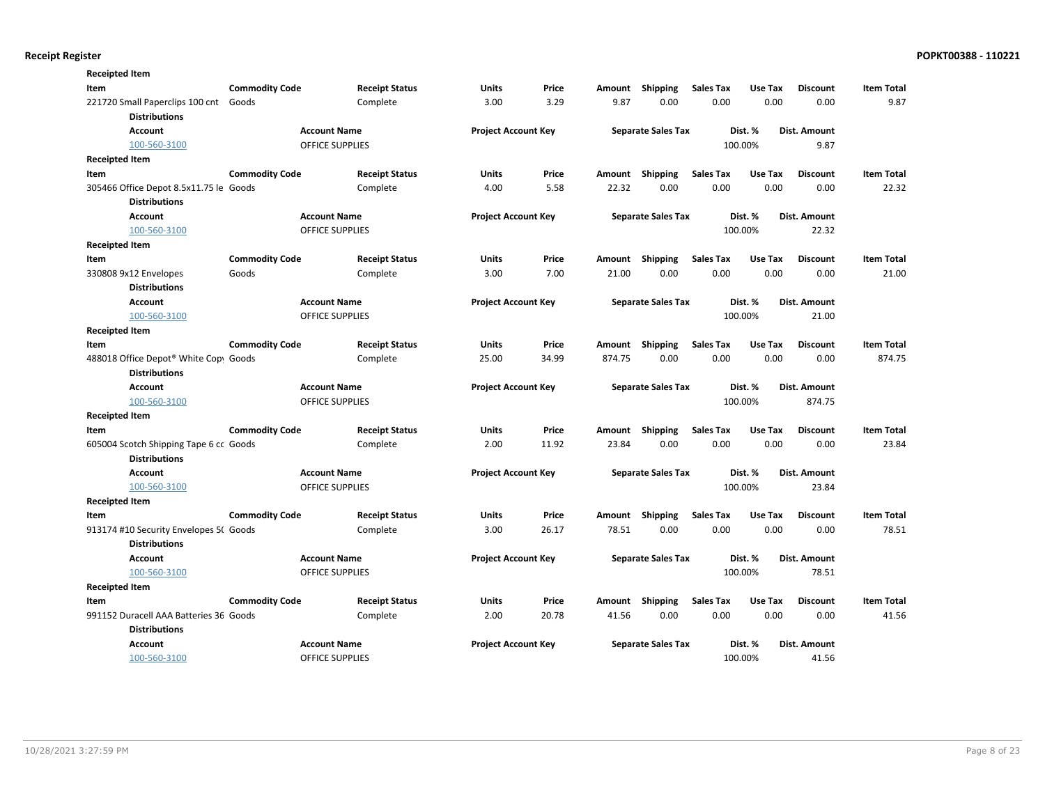| <b>Receipted Item</b>                                         |                       |                        |                       |                            |       |        |                           |                  |         |                 |                   |
|---------------------------------------------------------------|-----------------------|------------------------|-----------------------|----------------------------|-------|--------|---------------------------|------------------|---------|-----------------|-------------------|
| Item                                                          | <b>Commodity Code</b> |                        | <b>Receipt Status</b> | <b>Units</b>               | Price | Amount | Shipping                  | <b>Sales Tax</b> | Use Tax | <b>Discount</b> | <b>Item Total</b> |
| 221720 Small Paperclips 100 cnt Goods<br><b>Distributions</b> |                       |                        | Complete              | 3.00                       | 3.29  | 9.87   | 0.00                      | 0.00             | 0.00    | 0.00            | 9.87              |
| <b>Account</b>                                                |                       | <b>Account Name</b>    |                       | <b>Project Account Key</b> |       |        | <b>Separate Sales Tax</b> |                  | Dist. % | Dist. Amount    |                   |
| 100-560-3100                                                  |                       | <b>OFFICE SUPPLIES</b> |                       |                            |       |        |                           |                  | 100.00% | 9.87            |                   |
| <b>Receipted Item</b>                                         |                       |                        |                       |                            |       |        |                           |                  |         |                 |                   |
| Item                                                          | <b>Commodity Code</b> |                        | <b>Receipt Status</b> | Units                      | Price | Amount | Shipping                  | <b>Sales Tax</b> | Use Tax | <b>Discount</b> | <b>Item Total</b> |
| 305466 Office Depot 8.5x11.75 le Goods                        |                       |                        | Complete              | 4.00                       | 5.58  | 22.32  | 0.00                      | 0.00             | 0.00    | 0.00            | 22.32             |
| <b>Distributions</b>                                          |                       |                        |                       |                            |       |        |                           |                  |         |                 |                   |
| <b>Account</b>                                                |                       | <b>Account Name</b>    |                       | <b>Project Account Key</b> |       |        | <b>Separate Sales Tax</b> |                  | Dist. % | Dist. Amount    |                   |
| 100-560-3100                                                  |                       | <b>OFFICE SUPPLIES</b> |                       |                            |       |        |                           |                  | 100.00% | 22.32           |                   |
| <b>Receipted Item</b>                                         |                       |                        |                       |                            |       |        |                           |                  |         |                 |                   |
| Item                                                          | <b>Commodity Code</b> |                        | <b>Receipt Status</b> | <b>Units</b>               | Price | Amount | <b>Shipping</b>           | <b>Sales Tax</b> | Use Tax | <b>Discount</b> | <b>Item Total</b> |
| 330808 9x12 Envelopes                                         | Goods                 |                        | Complete              | 3.00                       | 7.00  | 21.00  | 0.00                      | 0.00             | 0.00    | 0.00            | 21.00             |
| <b>Distributions</b>                                          |                       |                        |                       |                            |       |        |                           |                  |         |                 |                   |
| Account                                                       |                       | <b>Account Name</b>    |                       | <b>Project Account Key</b> |       |        | <b>Separate Sales Tax</b> |                  | Dist. % | Dist. Amount    |                   |
| 100-560-3100                                                  |                       | <b>OFFICE SUPPLIES</b> |                       |                            |       |        |                           |                  | 100.00% | 21.00           |                   |
| <b>Receipted Item</b>                                         |                       |                        |                       |                            |       |        |                           |                  |         |                 |                   |
| Item                                                          | <b>Commodity Code</b> |                        | <b>Receipt Status</b> | Units                      | Price |        | Amount Shipping           | <b>Sales Tax</b> | Use Tax | <b>Discount</b> | <b>Item Total</b> |
| 488018 Office Depot® White Copy Goods                         |                       |                        | Complete              | 25.00                      | 34.99 | 874.75 | 0.00                      | 0.00             | 0.00    | 0.00            | 874.75            |
| <b>Distributions</b>                                          |                       |                        |                       |                            |       |        |                           |                  |         |                 |                   |
| <b>Account</b>                                                |                       | <b>Account Name</b>    |                       | <b>Project Account Key</b> |       |        | <b>Separate Sales Tax</b> |                  | Dist. % | Dist. Amount    |                   |
| 100-560-3100                                                  |                       | <b>OFFICE SUPPLIES</b> |                       |                            |       |        |                           |                  | 100.00% | 874.75          |                   |
| <b>Receipted Item</b>                                         |                       |                        |                       |                            |       |        |                           |                  |         |                 |                   |
| Item                                                          | <b>Commodity Code</b> |                        | <b>Receipt Status</b> | Units                      | Price | Amount | <b>Shipping</b>           | <b>Sales Tax</b> | Use Tax | <b>Discount</b> | <b>Item Total</b> |
| 605004 Scotch Shipping Tape 6 cc Goods                        |                       |                        | Complete              | 2.00                       | 11.92 | 23.84  | 0.00                      | 0.00             | 0.00    | 0.00            | 23.84             |
| <b>Distributions</b>                                          |                       |                        |                       |                            |       |        |                           |                  |         |                 |                   |
| Account                                                       |                       | <b>Account Name</b>    |                       | <b>Project Account Key</b> |       |        | <b>Separate Sales Tax</b> |                  | Dist. % | Dist. Amount    |                   |
| 100-560-3100                                                  |                       | OFFICE SUPPLIES        |                       |                            |       |        |                           |                  | 100.00% | 23.84           |                   |
| <b>Receipted Item</b>                                         |                       |                        |                       |                            |       |        |                           |                  |         |                 |                   |
| Item                                                          | <b>Commodity Code</b> |                        | <b>Receipt Status</b> | <b>Units</b>               | Price | Amount | <b>Shipping</b>           | <b>Sales Tax</b> | Use Tax | <b>Discount</b> | <b>Item Total</b> |
| 913174 #10 Security Envelopes 5( Goods                        |                       |                        | Complete              | 3.00                       | 26.17 | 78.51  | 0.00                      | 0.00             | 0.00    | 0.00            | 78.51             |
| <b>Distributions</b>                                          |                       |                        |                       |                            |       |        |                           |                  |         |                 |                   |
| <b>Account</b>                                                |                       | <b>Account Name</b>    |                       | <b>Project Account Key</b> |       |        | <b>Separate Sales Tax</b> |                  | Dist. % | Dist. Amount    |                   |
| 100-560-3100                                                  |                       | <b>OFFICE SUPPLIES</b> |                       |                            |       |        |                           |                  | 100.00% | 78.51           |                   |
| <b>Receipted Item</b>                                         |                       |                        |                       |                            |       |        |                           |                  |         |                 |                   |
| Item                                                          | <b>Commodity Code</b> |                        | <b>Receipt Status</b> | <b>Units</b>               | Price |        | Amount Shipping           | <b>Sales Tax</b> | Use Tax | <b>Discount</b> | <b>Item Total</b> |
| 991152 Duracell AAA Batteries 36 Goods                        |                       |                        | Complete              | 2.00                       | 20.78 | 41.56  | 0.00                      | 0.00             | 0.00    | 0.00            | 41.56             |
| <b>Distributions</b>                                          |                       |                        |                       |                            |       |        |                           |                  |         |                 |                   |
| Account                                                       |                       | <b>Account Name</b>    |                       | <b>Project Account Key</b> |       |        | <b>Separate Sales Tax</b> |                  | Dist. % | Dist. Amount    |                   |
| 100-560-3100                                                  |                       | <b>OFFICE SUPPLIES</b> |                       |                            |       |        |                           |                  | 100.00% | 41.56           |                   |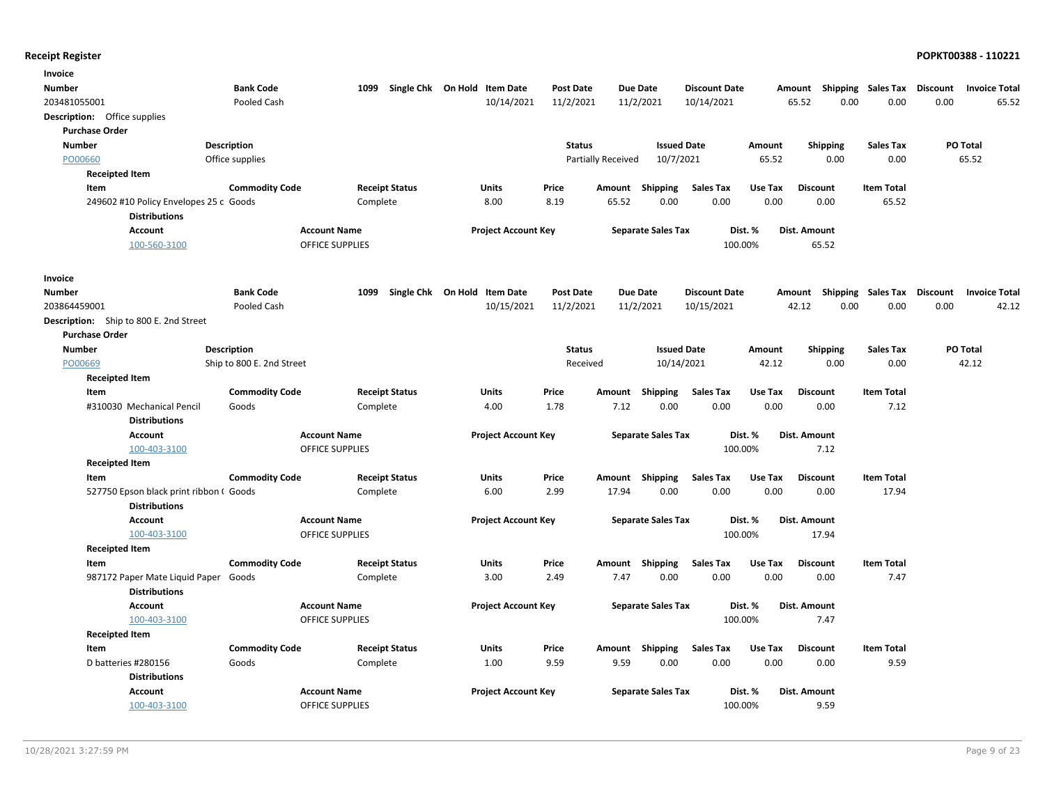| Invoice                                                        |                           |                        |                              |                  |                           |                      |              |                 |                             |                 |                      |
|----------------------------------------------------------------|---------------------------|------------------------|------------------------------|------------------|---------------------------|----------------------|--------------|-----------------|-----------------------------|-----------------|----------------------|
| Number                                                         | <b>Bank Code</b>          | 1099                   | Single Chk On Hold Item Date | <b>Post Date</b> | Due Date                  | <b>Discount Date</b> | Amount       | Shipping        | Sales Tax                   | <b>Discount</b> | <b>Invoice Total</b> |
| 203481055001                                                   | Pooled Cash               |                        | 10/14/2021                   | 11/2/2021        | 11/2/2021                 | 10/14/2021           | 65.52        | 0.00            | 0.00                        | 0.00            | 65.52                |
| <b>Description:</b> Office supplies                            |                           |                        |                              |                  |                           |                      |              |                 |                             |                 |                      |
| <b>Purchase Order</b>                                          |                           |                        |                              |                  |                           |                      |              |                 |                             |                 |                      |
| <b>Number</b>                                                  | <b>Description</b>        |                        |                              | <b>Status</b>    |                           | <b>Issued Date</b>   | Amount       | <b>Shipping</b> | Sales Tax                   |                 | <b>PO Total</b>      |
| PO00660                                                        | Office supplies           |                        |                              |                  | <b>Partially Received</b> | 10/7/2021            | 65.52        | 0.00            | 0.00                        |                 | 65.52                |
| <b>Receipted Item</b>                                          |                           |                        |                              |                  |                           |                      |              |                 |                             |                 |                      |
| Item                                                           | <b>Commodity Code</b>     | <b>Receipt Status</b>  | <b>Units</b>                 | Price            | Shipping<br>Amount        | <b>Sales Tax</b>     | Use Tax      | <b>Discount</b> | <b>Item Total</b>           |                 |                      |
| 249602 #10 Policy Envelopes 25 c Goods                         |                           | Complete               | 8.00                         | 8.19             | 65.52                     | 0.00<br>0.00         | 0.00         | 0.00            | 65.52                       |                 |                      |
| <b>Distributions</b>                                           |                           |                        |                              |                  |                           |                      |              |                 |                             |                 |                      |
| <b>Account</b>                                                 |                           | <b>Account Name</b>    | <b>Project Account Key</b>   |                  | <b>Separate Sales Tax</b> | Dist. %              | Dist. Amount |                 |                             |                 |                      |
| 100-560-3100                                                   |                           | <b>OFFICE SUPPLIES</b> |                              |                  |                           | 100.00%              |              | 65.52           |                             |                 |                      |
| Invoice                                                        |                           |                        |                              |                  |                           |                      |              |                 |                             |                 |                      |
| <b>Number</b>                                                  | <b>Bank Code</b>          | 1099                   | Single Chk On Hold Item Date | <b>Post Date</b> | <b>Due Date</b>           | <b>Discount Date</b> | Amount       |                 | Shipping Sales Tax Discount |                 | <b>Invoice Total</b> |
| 203864459001                                                   | Pooled Cash               |                        | 10/15/2021                   | 11/2/2021        | 11/2/2021                 | 10/15/2021           | 42.12        | 0.00            | 0.00                        | 0.00            | 42.12                |
| Description: Ship to 800 E. 2nd Street                         |                           |                        |                              |                  |                           |                      |              |                 |                             |                 |                      |
| <b>Purchase Order</b>                                          |                           |                        |                              |                  |                           |                      |              |                 |                             |                 |                      |
| <b>Number</b>                                                  | <b>Description</b>        |                        |                              | <b>Status</b>    |                           | <b>Issued Date</b>   | Amount       | <b>Shipping</b> | <b>Sales Tax</b>            |                 | PO Total             |
| PO00669                                                        | Ship to 800 E. 2nd Street |                        |                              | Received         |                           | 10/14/2021           | 42.12        | 0.00            | 0.00                        |                 | 42.12                |
| <b>Receipted Item</b>                                          |                           |                        |                              |                  |                           |                      |              |                 |                             |                 |                      |
| Item                                                           | <b>Commodity Code</b>     | <b>Receipt Status</b>  | Units                        | Price            | Shipping<br>Amount        | <b>Sales Tax</b>     | Use Tax      | <b>Discount</b> | <b>Item Total</b>           |                 |                      |
| #310030 Mechanical Pencil                                      | Goods                     | Complete               | 4.00                         | 1.78             | 7.12                      | 0.00<br>0.00         | 0.00         | 0.00            | 7.12                        |                 |                      |
| <b>Distributions</b>                                           |                           |                        |                              |                  |                           |                      |              |                 |                             |                 |                      |
| <b>Account</b>                                                 |                           | <b>Account Name</b>    | <b>Project Account Key</b>   |                  | <b>Separate Sales Tax</b> | Dist. %              | Dist. Amount |                 |                             |                 |                      |
| 100-403-3100                                                   |                           | <b>OFFICE SUPPLIES</b> |                              |                  |                           | 100.00%              |              | 7.12            |                             |                 |                      |
| <b>Receipted Item</b>                                          |                           |                        |                              |                  |                           |                      |              |                 |                             |                 |                      |
| Item                                                           | <b>Commodity Code</b>     | <b>Receipt Status</b>  | Units                        | Price            | Amount<br>Shipping        | <b>Sales Tax</b>     | Use Tax      | <b>Discount</b> | <b>Item Total</b>           |                 |                      |
| 527750 Epson black print ribbon (Goods<br><b>Distributions</b> |                           | Complete               | 6.00                         | 2.99             | 17.94                     | 0.00<br>0.00         | 0.00         | 0.00            | 17.94                       |                 |                      |
| <b>Account</b>                                                 |                           | <b>Account Name</b>    | <b>Project Account Key</b>   |                  | <b>Separate Sales Tax</b> | Dist. %              | Dist. Amount |                 |                             |                 |                      |
| 100-403-3100                                                   |                           | <b>OFFICE SUPPLIES</b> |                              |                  |                           | 100.00%              |              | 17.94           |                             |                 |                      |
| <b>Receipted Item</b>                                          |                           |                        |                              |                  |                           |                      |              |                 |                             |                 |                      |
| Item                                                           | <b>Commodity Code</b>     | <b>Receipt Status</b>  | Units                        | Price            | Shipping<br>Amount        | <b>Sales Tax</b>     | Use Tax      | <b>Discount</b> | <b>Item Total</b>           |                 |                      |
| 987172 Paper Mate Liquid Paper Goods<br><b>Distributions</b>   |                           | Complete               | 3.00                         | 2.49             | 7.47                      | 0.00<br>0.00         | 0.00         | 0.00            | 7.47                        |                 |                      |
| Account                                                        |                           | <b>Account Name</b>    | <b>Project Account Key</b>   |                  | <b>Separate Sales Tax</b> | Dist. %              | Dist. Amount |                 |                             |                 |                      |
| 100-403-3100                                                   |                           | <b>OFFICE SUPPLIES</b> |                              |                  |                           | 100.00%              |              | 7.47            |                             |                 |                      |
| <b>Receipted Item</b>                                          |                           |                        |                              |                  |                           |                      |              |                 |                             |                 |                      |
| Item                                                           | <b>Commodity Code</b>     | <b>Receipt Status</b>  | Units                        | Price            | Amount Shipping           | <b>Sales Tax</b>     | Use Tax      | <b>Discount</b> | <b>Item Total</b>           |                 |                      |
| D batteries #280156                                            | Goods                     | Complete               | 1.00                         | 9.59             | 9.59                      | 0.00<br>0.00         | 0.00         | 0.00            | 9.59                        |                 |                      |
| <b>Distributions</b>                                           |                           |                        |                              |                  |                           |                      |              |                 |                             |                 |                      |
| <b>Account</b>                                                 |                           | <b>Account Name</b>    | <b>Project Account Key</b>   |                  | <b>Separate Sales Tax</b> | Dist. %              | Dist. Amount |                 |                             |                 |                      |
| 100-403-3100                                                   |                           | <b>OFFICE SUPPLIES</b> |                              |                  |                           | 100.00%              |              | 9.59            |                             |                 |                      |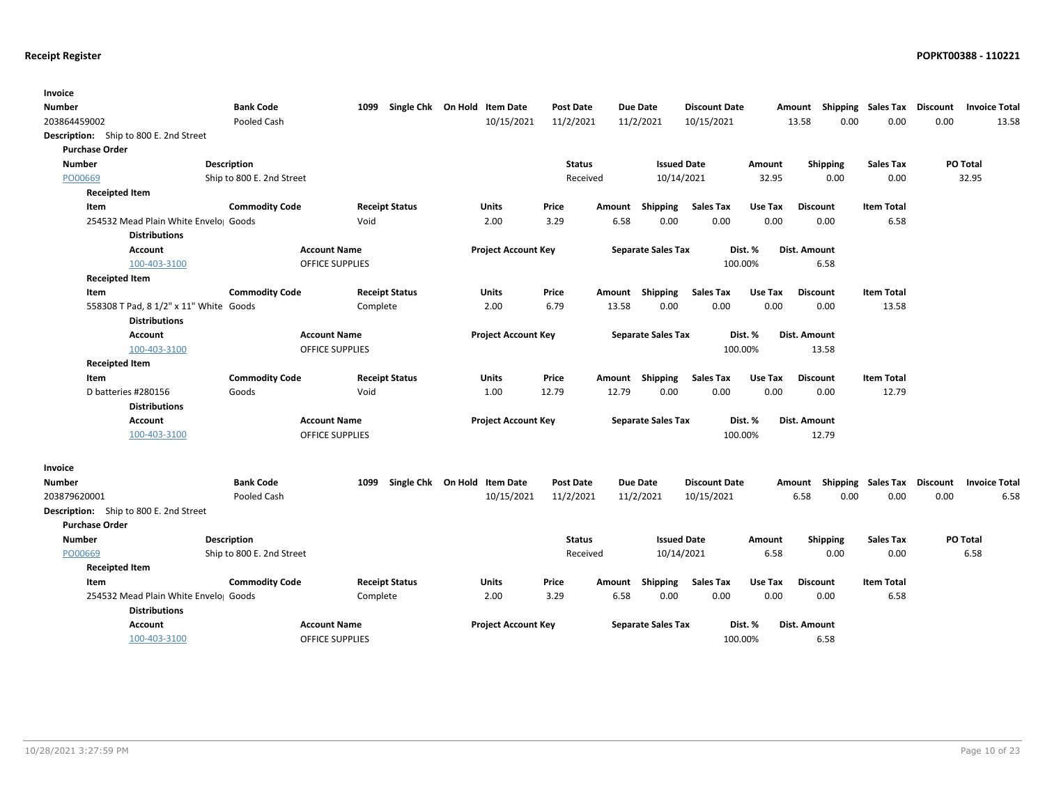| Invoice                                |                           |                        |                                   |                  |        |                           |                      |         |                                    |                   |          |                      |
|----------------------------------------|---------------------------|------------------------|-----------------------------------|------------------|--------|---------------------------|----------------------|---------|------------------------------------|-------------------|----------|----------------------|
| Number                                 | <b>Bank Code</b>          |                        | 1099 Single Chk On Hold Item Date | <b>Post Date</b> |        | <b>Due Date</b>           | <b>Discount Date</b> |         | Amount Shipping Sales Tax Discount |                   |          | <b>Invoice Total</b> |
| 203864459002                           | Pooled Cash               |                        | 10/15/2021                        | 11/2/2021        |        | 11/2/2021                 | 10/15/2021           |         | 0.00<br>13.58                      | 0.00              | 0.00     | 13.58                |
| Description: Ship to 800 E. 2nd Street |                           |                        |                                   |                  |        |                           |                      |         |                                    |                   |          |                      |
| <b>Purchase Order</b>                  |                           |                        |                                   |                  |        |                           |                      |         |                                    |                   |          |                      |
| <b>Number</b>                          | <b>Description</b>        |                        |                                   | <b>Status</b>    |        | <b>Issued Date</b>        |                      | Amount  | <b>Shipping</b>                    | <b>Sales Tax</b>  |          | PO Total             |
| PO00669                                | Ship to 800 E. 2nd Street |                        |                                   | Received         |        | 10/14/2021                |                      | 32.95   | 0.00                               | 0.00              |          | 32.95                |
| Receipted Item                         |                           |                        |                                   |                  |        |                           |                      |         |                                    |                   |          |                      |
| Item                                   | <b>Commodity Code</b>     | <b>Receipt Status</b>  | Units                             | Price            | Amount | Shipping                  | <b>Sales Tax</b>     | Use Tax | <b>Discount</b>                    | <b>Item Total</b> |          |                      |
| 254532 Mead Plain White Envelo Goods   |                           | Void                   | 2.00                              | 3.29             | 6.58   | 0.00                      | 0.00                 | 0.00    | 0.00                               | 6.58              |          |                      |
| <b>Distributions</b>                   |                           |                        |                                   |                  |        |                           |                      |         |                                    |                   |          |                      |
| Account                                | <b>Account Name</b>       |                        | <b>Project Account Key</b>        |                  |        | <b>Separate Sales Tax</b> |                      | Dist. % | Dist. Amount                       |                   |          |                      |
| 100-403-3100                           |                           | <b>OFFICE SUPPLIES</b> |                                   |                  |        |                           | 100.00%              |         | 6.58                               |                   |          |                      |
| <b>Receipted Item</b>                  |                           |                        |                                   |                  |        |                           |                      |         |                                    |                   |          |                      |
| Item                                   | <b>Commodity Code</b>     | <b>Receipt Status</b>  | Units                             | Price            |        | Amount Shipping           | <b>Sales Tax</b>     | Use Tax | <b>Discount</b>                    | <b>Item Total</b> |          |                      |
| 558308 T Pad, 8 1/2" x 11" White Goods |                           | Complete               | 2.00                              | 6.79             | 13.58  | 0.00                      | 0.00                 | 0.00    | 0.00                               | 13.58             |          |                      |
| <b>Distributions</b>                   |                           |                        |                                   |                  |        |                           |                      |         |                                    |                   |          |                      |
| Account                                | <b>Account Name</b>       |                        | <b>Project Account Key</b>        |                  |        | <b>Separate Sales Tax</b> |                      | Dist. % | Dist. Amount                       |                   |          |                      |
| 100-403-3100                           |                           | <b>OFFICE SUPPLIES</b> |                                   |                  |        |                           | 100.00%              |         | 13.58                              |                   |          |                      |
| <b>Receipted Item</b>                  |                           |                        |                                   |                  |        |                           |                      |         |                                    |                   |          |                      |
| Item                                   | <b>Commodity Code</b>     | <b>Receipt Status</b>  | Units                             | Price            |        | Amount Shipping           | <b>Sales Tax</b>     | Use Tax | <b>Discount</b>                    | <b>Item Total</b> |          |                      |
| D batteries #280156                    | Goods                     | Void                   | 1.00                              | 12.79            | 12.79  | 0.00                      | 0.00                 | 0.00    | 0.00                               | 12.79             |          |                      |
| <b>Distributions</b>                   |                           |                        |                                   |                  |        |                           |                      |         |                                    |                   |          |                      |
| Account                                | <b>Account Name</b>       |                        | <b>Project Account Key</b>        |                  |        | <b>Separate Sales Tax</b> |                      | Dist. % | Dist. Amount                       |                   |          |                      |
| 100-403-3100                           |                           | OFFICE SUPPLIES        |                                   |                  |        |                           | 100.00%              |         | 12.79                              |                   |          |                      |
| Invoice                                |                           |                        |                                   |                  |        |                           |                      |         |                                    |                   |          |                      |
| Number                                 | <b>Bank Code</b>          |                        | 1099 Single Chk On Hold Item Date | <b>Post Date</b> |        | <b>Due Date</b>           | <b>Discount Date</b> |         | Amount Shipping Sales Tax          |                   | Discount | <b>Invoice Total</b> |
| 203879620001                           | Pooled Cash               |                        | 10/15/2021                        | 11/2/2021        |        | 11/2/2021                 | 10/15/2021           |         | 6.58<br>0.00                       | 0.00              | 0.00     | 6.58                 |
| Description: Ship to 800 E. 2nd Street |                           |                        |                                   |                  |        |                           |                      |         |                                    |                   |          |                      |
| <b>Purchase Order</b>                  |                           |                        |                                   |                  |        |                           |                      |         |                                    |                   |          |                      |
| <b>Number</b>                          | <b>Description</b>        |                        |                                   | <b>Status</b>    |        | <b>Issued Date</b>        |                      | Amount  | <b>Shipping</b>                    | <b>Sales Tax</b>  | PO Total |                      |
| PO00669                                | Ship to 800 E. 2nd Street |                        |                                   | Received         |        | 10/14/2021                |                      | 6.58    | 0.00                               | 0.00              |          | 6.58                 |
| <b>Receipted Item</b>                  |                           |                        |                                   |                  |        |                           |                      |         |                                    |                   |          |                      |
| Item                                   | <b>Commodity Code</b>     | <b>Receipt Status</b>  | Units                             | Price            | Amount | Shipping                  | <b>Sales Tax</b>     | Use Tax | <b>Discount</b>                    | <b>Item Total</b> |          |                      |
| 254532 Mead Plain White Envelo Goods   |                           | Complete               | 2.00                              | 3.29             | 6.58   | 0.00                      | 0.00                 | 0.00    | 0.00                               | 6.58              |          |                      |
| <b>Distributions</b>                   |                           |                        |                                   |                  |        |                           |                      |         |                                    |                   |          |                      |
| <b>Account</b>                         | <b>Account Name</b>       |                        | <b>Project Account Key</b>        |                  |        | <b>Separate Sales Tax</b> |                      | Dist. % | <b>Dist. Amount</b>                |                   |          |                      |
| 100-403-3100                           |                           | <b>OFFICE SUPPLIES</b> |                                   |                  |        |                           | 100.00%              |         | 6.58                               |                   |          |                      |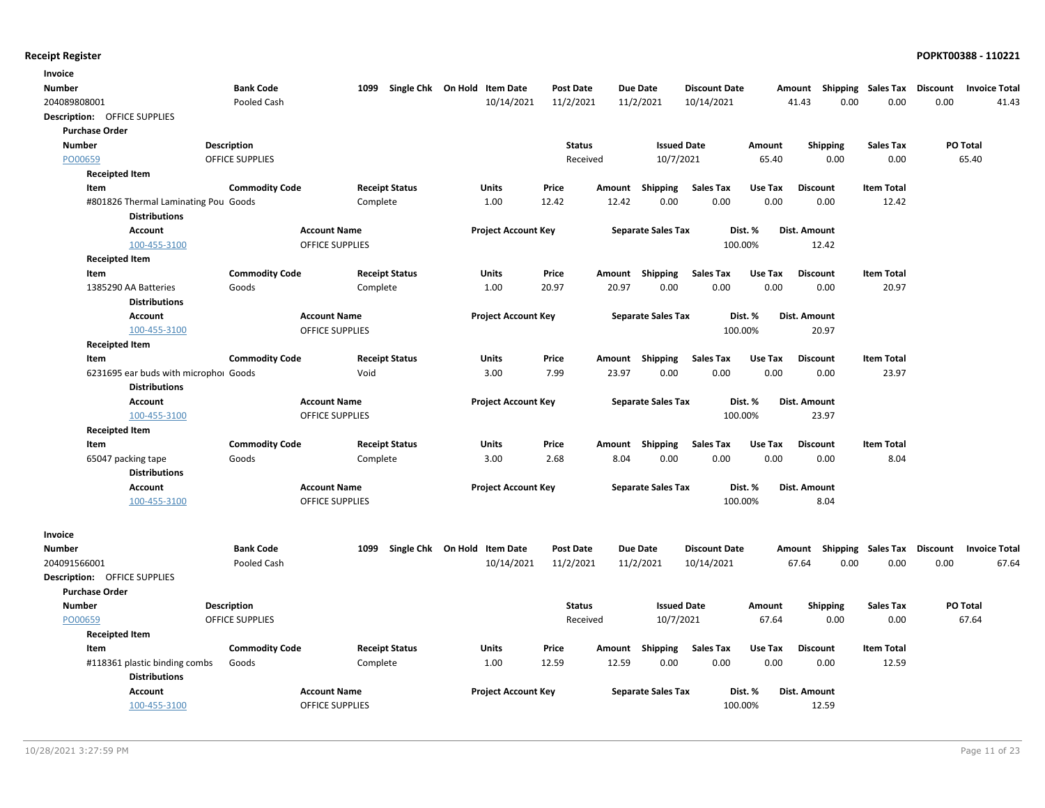| Invoice                               |                       |                        |                              |                  |        |                           |                      |         |                           |                   |                 |                      |
|---------------------------------------|-----------------------|------------------------|------------------------------|------------------|--------|---------------------------|----------------------|---------|---------------------------|-------------------|-----------------|----------------------|
| <b>Number</b>                         | <b>Bank Code</b>      | 1099                   | Single Chk On Hold Item Date | <b>Post Date</b> |        | <b>Due Date</b>           | <b>Discount Date</b> |         | Amount Shipping Sales Tax |                   | <b>Discount</b> | <b>Invoice Total</b> |
| 204089808001                          | Pooled Cash           |                        | 10/14/2021                   | 11/2/2021        |        | 11/2/2021                 | 10/14/2021           |         | 0.00<br>41.43             | 0.00              | 0.00            | 41.43                |
| <b>Description:</b> OFFICE SUPPLIES   |                       |                        |                              |                  |        |                           |                      |         |                           |                   |                 |                      |
| <b>Purchase Order</b>                 |                       |                        |                              |                  |        |                           |                      |         |                           |                   |                 |                      |
| <b>Number</b>                         | <b>Description</b>    |                        |                              | <b>Status</b>    |        | <b>Issued Date</b>        |                      | Amount  | Shipping                  | <b>Sales Tax</b>  | PO Total        |                      |
| PO00659                               | OFFICE SUPPLIES       |                        |                              | Received         |        | 10/7/2021                 |                      | 65.40   | 0.00                      | 0.00              |                 | 65.40                |
| <b>Receipted Item</b>                 |                       |                        |                              |                  |        |                           |                      |         |                           |                   |                 |                      |
| Item                                  | <b>Commodity Code</b> | <b>Receipt Status</b>  | Units                        | Price            | Amount | Shipping                  | <b>Sales Tax</b>     | Use Tax | <b>Discount</b>           | <b>Item Total</b> |                 |                      |
| #801826 Thermal Laminating Pou Goods  |                       | Complete               | 1.00                         | 12.42            | 12.42  | 0.00                      | 0.00                 | 0.00    | 0.00                      | 12.42             |                 |                      |
| <b>Distributions</b>                  |                       |                        |                              |                  |        |                           |                      |         |                           |                   |                 |                      |
| Account                               |                       | <b>Account Name</b>    | <b>Project Account Key</b>   |                  |        | <b>Separate Sales Tax</b> | Dist. %              |         | Dist. Amount              |                   |                 |                      |
| 100-455-3100                          |                       | OFFICE SUPPLIES        |                              |                  |        |                           | 100.00%              |         | 12.42                     |                   |                 |                      |
| <b>Receipted Item</b>                 |                       |                        |                              |                  |        |                           |                      |         |                           |                   |                 |                      |
| Item                                  | <b>Commodity Code</b> | <b>Receipt Status</b>  | Units                        | Price            | Amount | Shipping                  | <b>Sales Tax</b>     | Use Tax | <b>Discount</b>           | <b>Item Total</b> |                 |                      |
| 1385290 AA Batteries                  | Goods                 | Complete               | 1.00                         | 20.97            | 20.97  | 0.00                      | 0.00                 | 0.00    | 0.00                      | 20.97             |                 |                      |
| <b>Distributions</b>                  |                       |                        |                              |                  |        |                           |                      |         |                           |                   |                 |                      |
| Account                               |                       | <b>Account Name</b>    | <b>Project Account Key</b>   |                  |        | <b>Separate Sales Tax</b> | Dist. %              |         | Dist. Amount              |                   |                 |                      |
| 100-455-3100                          |                       | <b>OFFICE SUPPLIES</b> |                              |                  |        |                           | 100.00%              |         | 20.97                     |                   |                 |                      |
| <b>Receipted Item</b>                 |                       |                        |                              |                  |        |                           |                      |         |                           |                   |                 |                      |
| Item                                  | <b>Commodity Code</b> | <b>Receipt Status</b>  | <b>Units</b>                 | Price            |        | Amount Shipping           | <b>Sales Tax</b>     | Use Tax | <b>Discount</b>           | <b>Item Total</b> |                 |                      |
| 6231695 ear buds with microphol Goods |                       | Void                   | 3.00                         | 7.99             | 23.97  | 0.00                      | 0.00                 | 0.00    | 0.00                      | 23.97             |                 |                      |
| <b>Distributions</b>                  |                       |                        |                              |                  |        |                           |                      |         |                           |                   |                 |                      |
| <b>Account</b>                        |                       | <b>Account Name</b>    | <b>Project Account Key</b>   |                  |        | <b>Separate Sales Tax</b> | Dist. %              |         | <b>Dist. Amount</b>       |                   |                 |                      |
| 100-455-3100                          |                       | OFFICE SUPPLIES        |                              |                  |        |                           | 100.00%              |         | 23.97                     |                   |                 |                      |
| <b>Receipted Item</b>                 |                       |                        |                              |                  |        |                           |                      |         |                           |                   |                 |                      |
| Item                                  | <b>Commodity Code</b> | <b>Receipt Status</b>  | <b>Units</b>                 | Price            | Amount | Shipping                  | <b>Sales Tax</b>     | Use Tax | <b>Discount</b>           | <b>Item Total</b> |                 |                      |
| 65047 packing tape                    | Goods                 | Complete               | 3.00                         | 2.68             | 8.04   | 0.00                      | 0.00                 | 0.00    | 0.00                      | 8.04              |                 |                      |
| <b>Distributions</b>                  |                       |                        |                              |                  |        |                           |                      |         |                           |                   |                 |                      |
| <b>Account</b>                        |                       | <b>Account Name</b>    | <b>Project Account Key</b>   |                  |        | <b>Separate Sales Tax</b> | Dist. %              |         | <b>Dist. Amount</b>       |                   |                 |                      |
| 100-455-3100                          |                       | OFFICE SUPPLIES        |                              |                  |        |                           | 100.00%              |         | 8.04                      |                   |                 |                      |
|                                       |                       |                        |                              |                  |        |                           |                      |         |                           |                   |                 |                      |
| Invoice                               |                       |                        |                              |                  |        |                           |                      |         |                           |                   |                 |                      |
| <b>Number</b>                         | <b>Bank Code</b>      | 1099                   | Single Chk On Hold Item Date | <b>Post Date</b> |        | <b>Due Date</b>           | <b>Discount Date</b> |         | Amount Shipping Sales Tax |                   | Discount        | <b>Invoice Total</b> |
| 204091566001                          | Pooled Cash           |                        | 10/14/2021                   | 11/2/2021        |        | 11/2/2021                 | 10/14/2021           |         | 67.64<br>0.00             | 0.00              | 0.00            | 67.64                |
| Description: OFFICE SUPPLIES          |                       |                        |                              |                  |        |                           |                      |         |                           |                   |                 |                      |
| <b>Purchase Order</b>                 |                       |                        |                              |                  |        |                           |                      |         |                           |                   |                 |                      |
| <b>Number</b>                         | <b>Description</b>    |                        |                              | <b>Status</b>    |        | <b>Issued Date</b>        |                      | Amount  | Shipping                  | <b>Sales Tax</b>  | PO Total        |                      |
| PO00659                               | OFFICE SUPPLIES       |                        |                              | Received         |        | 10/7/2021                 |                      | 67.64   | 0.00                      | 0.00              |                 | 67.64                |
| <b>Receipted Item</b>                 |                       |                        |                              |                  |        |                           |                      |         |                           |                   |                 |                      |
| Item                                  | <b>Commodity Code</b> | <b>Receipt Status</b>  | <b>Units</b>                 | Price            | Amount | Shipping                  | <b>Sales Tax</b>     | Use Tax | <b>Discount</b>           | <b>Item Total</b> |                 |                      |
| #118361 plastic binding combs         | Goods                 | Complete               | 1.00                         | 12.59            | 12.59  | 0.00                      | 0.00                 | 0.00    | 0.00                      | 12.59             |                 |                      |
| <b>Distributions</b>                  |                       |                        |                              |                  |        |                           |                      |         |                           |                   |                 |                      |
| <b>Account</b>                        |                       | <b>Account Name</b>    | <b>Project Account Key</b>   |                  |        | <b>Separate Sales Tax</b> | Dist. %              |         | Dist. Amount              |                   |                 |                      |
| 100-455-3100                          |                       | <b>OFFICE SUPPLIES</b> |                              |                  |        |                           | 100.00%              |         | 12.59                     |                   |                 |                      |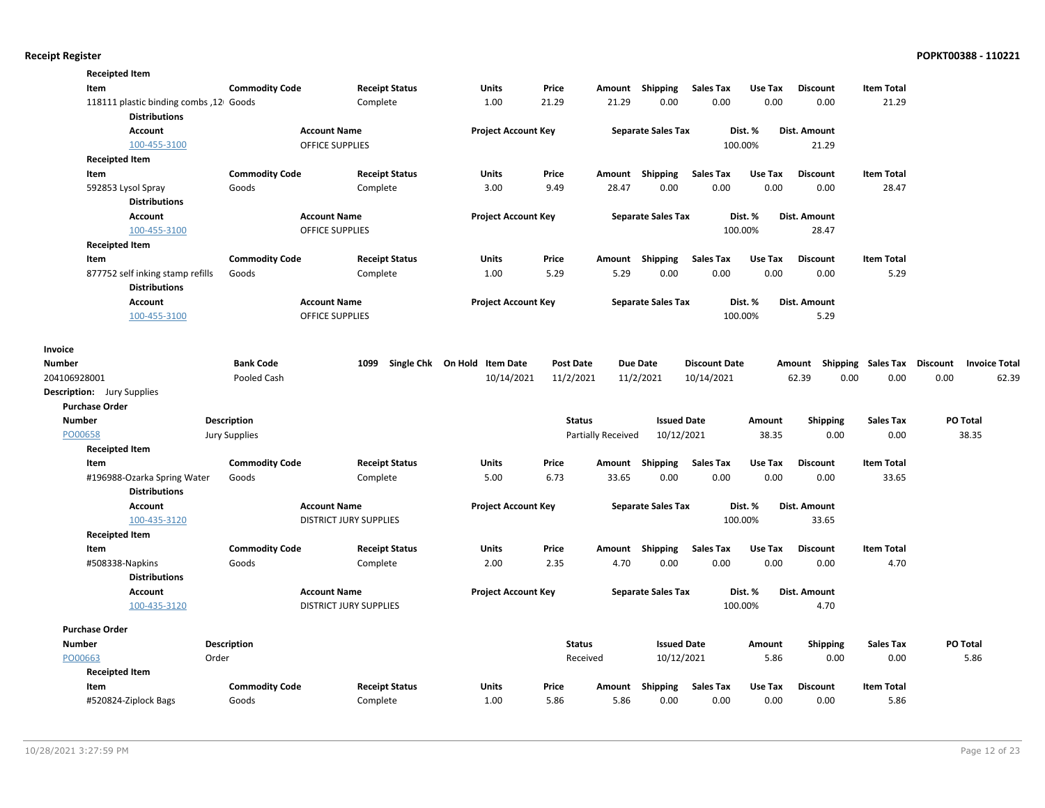|                       | <b>Receipted Item</b>                                           |                       |                               |                              |                  |                    |                           |                      |         |                     |                             |          |                      |
|-----------------------|-----------------------------------------------------------------|-----------------------|-------------------------------|------------------------------|------------------|--------------------|---------------------------|----------------------|---------|---------------------|-----------------------------|----------|----------------------|
|                       | Item                                                            | <b>Commodity Code</b> | <b>Receipt Status</b>         | <b>Units</b>                 | Price            | Amount             | Shipping                  | <b>Sales Tax</b>     | Use Tax | <b>Discount</b>     | <b>Item Total</b>           |          |                      |
|                       | 118111 plastic binding combs , 12 Goods<br><b>Distributions</b> |                       | Complete                      | 1.00                         | 21.29            | 21.29              | 0.00                      | 0.00                 | 0.00    | 0.00                | 21.29                       |          |                      |
|                       | <b>Account</b>                                                  |                       | <b>Account Name</b>           | <b>Project Account Key</b>   |                  |                    | <b>Separate Sales Tax</b> |                      | Dist. % | Dist. Amount        |                             |          |                      |
|                       | 100-455-3100                                                    |                       | <b>OFFICE SUPPLIES</b>        |                              |                  |                    |                           |                      | 100.00% | 21.29               |                             |          |                      |
|                       | <b>Receipted Item</b>                                           |                       |                               |                              |                  |                    |                           |                      |         |                     |                             |          |                      |
| Item                  |                                                                 | <b>Commodity Code</b> | <b>Receipt Status</b>         | <b>Units</b>                 | Price            | Amount             | Shipping                  | <b>Sales Tax</b>     | Use Tax | <b>Discount</b>     | <b>Item Total</b>           |          |                      |
|                       | 592853 Lysol Spray                                              | Goods                 | Complete                      | 3.00                         | 9.49             | 28.47              | 0.00                      | 0.00                 | 0.00    | 0.00                | 28.47                       |          |                      |
|                       | <b>Distributions</b>                                            |                       |                               |                              |                  |                    |                           |                      |         |                     |                             |          |                      |
|                       | <b>Account</b>                                                  |                       | <b>Account Name</b>           | <b>Project Account Key</b>   |                  |                    | <b>Separate Sales Tax</b> |                      | Dist. % | Dist. Amount        |                             |          |                      |
|                       | 100-455-3100                                                    |                       | <b>OFFICE SUPPLIES</b>        |                              |                  |                    |                           |                      | 100.00% | 28.47               |                             |          |                      |
|                       | <b>Receipted Item</b>                                           |                       |                               |                              |                  |                    |                           |                      |         |                     |                             |          |                      |
| Item                  |                                                                 | <b>Commodity Code</b> | <b>Receipt Status</b>         | <b>Units</b>                 | Price            | Amount             | Shipping                  | <b>Sales Tax</b>     | Use Tax | <b>Discount</b>     | <b>Item Total</b>           |          |                      |
|                       | 877752 self inking stamp refills<br><b>Distributions</b>        | Goods                 | Complete                      | 1.00                         | 5.29             | 5.29               | 0.00                      | 0.00                 | 0.00    | 0.00                | 5.29                        |          |                      |
|                       | <b>Account</b>                                                  |                       | <b>Account Name</b>           | <b>Project Account Key</b>   |                  |                    | <b>Separate Sales Tax</b> |                      | Dist. % | Dist. Amount        |                             |          |                      |
|                       | 100-455-3100                                                    |                       | <b>OFFICE SUPPLIES</b>        |                              |                  |                    |                           |                      | 100.00% | 5.29                |                             |          |                      |
|                       |                                                                 |                       |                               |                              |                  |                    |                           |                      |         |                     |                             |          |                      |
| Invoice               |                                                                 |                       |                               |                              |                  |                    |                           |                      |         |                     |                             |          |                      |
| <b>Number</b>         |                                                                 | <b>Bank Code</b>      | 1099                          | Single Chk On Hold Item Date | <b>Post Date</b> |                    | <b>Due Date</b>           | <b>Discount Date</b> |         | Amount              | Shipping Sales Tax Discount |          | <b>Invoice Total</b> |
| 204106928001          |                                                                 | Pooled Cash           |                               | 10/14/2021                   | 11/2/2021        |                    | 11/2/2021                 | 10/14/2021           |         | 62.39<br>0.00       | 0.00                        | 0.00     | 62.39                |
|                       | <b>Description:</b> Jury Supplies                               |                       |                               |                              |                  |                    |                           |                      |         |                     |                             |          |                      |
| <b>Purchase Order</b> |                                                                 |                       |                               |                              |                  |                    |                           |                      |         |                     |                             |          |                      |
| <b>Number</b>         |                                                                 | <b>Description</b>    |                               |                              | <b>Status</b>    |                    | <b>Issued Date</b>        |                      | Amount  | Shipping            | <b>Sales Tax</b>            | PO Total |                      |
| PO00658               |                                                                 | <b>Jury Supplies</b>  |                               |                              |                  | Partially Received | 10/12/2021                |                      | 38.35   | 0.00                | 0.00                        | 38.35    |                      |
|                       | <b>Receipted Item</b>                                           |                       |                               |                              |                  |                    |                           |                      |         |                     |                             |          |                      |
| Item                  |                                                                 | <b>Commodity Code</b> | <b>Receipt Status</b>         | <b>Units</b>                 | Price            | Amount             | Shipping                  | <b>Sales Tax</b>     | Use Tax | <b>Discount</b>     | <b>Item Total</b>           |          |                      |
|                       | #196988-Ozarka Spring Water<br><b>Distributions</b>             | Goods                 | Complete                      | 5.00                         | 6.73             | 33.65              | 0.00                      | 0.00                 | 0.00    | 0.00                | 33.65                       |          |                      |
|                       | <b>Account</b>                                                  |                       | <b>Account Name</b>           | <b>Project Account Key</b>   |                  |                    | <b>Separate Sales Tax</b> |                      | Dist. % | <b>Dist. Amount</b> |                             |          |                      |
|                       | 100-435-3120                                                    |                       | <b>DISTRICT JURY SUPPLIES</b> |                              |                  |                    |                           |                      | 100.00% | 33.65               |                             |          |                      |
|                       | <b>Receipted Item</b>                                           |                       |                               |                              |                  |                    |                           |                      |         |                     |                             |          |                      |
|                       | Item                                                            | <b>Commodity Code</b> | <b>Receipt Status</b>         | Units                        | Price            |                    | Amount Shipping           | <b>Sales Tax</b>     | Use Tax | <b>Discount</b>     | <b>Item Total</b>           |          |                      |
|                       | #508338-Napkins                                                 | Goods                 | Complete                      | 2.00                         | 2.35             | 4.70               | 0.00                      | 0.00                 | 0.00    | 0.00                | 4.70                        |          |                      |
|                       | <b>Distributions</b>                                            |                       |                               |                              |                  |                    |                           |                      |         |                     |                             |          |                      |
|                       | <b>Account</b>                                                  |                       | <b>Account Name</b>           | <b>Project Account Key</b>   |                  |                    | <b>Separate Sales Tax</b> |                      | Dist. % | Dist. Amount        |                             |          |                      |
|                       | 100-435-3120                                                    |                       | <b>DISTRICT JURY SUPPLIES</b> |                              |                  |                    |                           |                      | 100.00% | 4.70                |                             |          |                      |
| <b>Purchase Order</b> |                                                                 |                       |                               |                              |                  |                    |                           |                      |         |                     |                             |          |                      |
| <b>Number</b>         |                                                                 | Description           |                               |                              | <b>Status</b>    |                    | <b>Issued Date</b>        |                      | Amount  | <b>Shipping</b>     | <b>Sales Tax</b>            | PO Total |                      |
| PO00663               | Order                                                           |                       |                               |                              | Received         |                    | 10/12/2021                |                      | 5.86    | 0.00                | 0.00                        |          | 5.86                 |
|                       | <b>Receipted Item</b>                                           |                       |                               |                              |                  |                    |                           |                      |         |                     |                             |          |                      |
| Item                  |                                                                 | <b>Commodity Code</b> | <b>Receipt Status</b>         | <b>Units</b>                 | Price            | Amount             | Shipping                  | <b>Sales Tax</b>     | Use Tax | <b>Discount</b>     | <b>Item Total</b>           |          |                      |
|                       | #520824-Ziplock Bags                                            | Goods                 | Complete                      | 1.00                         | 5.86             | 5.86               | 0.00                      | 0.00                 | 0.00    | 0.00                | 5.86                        |          |                      |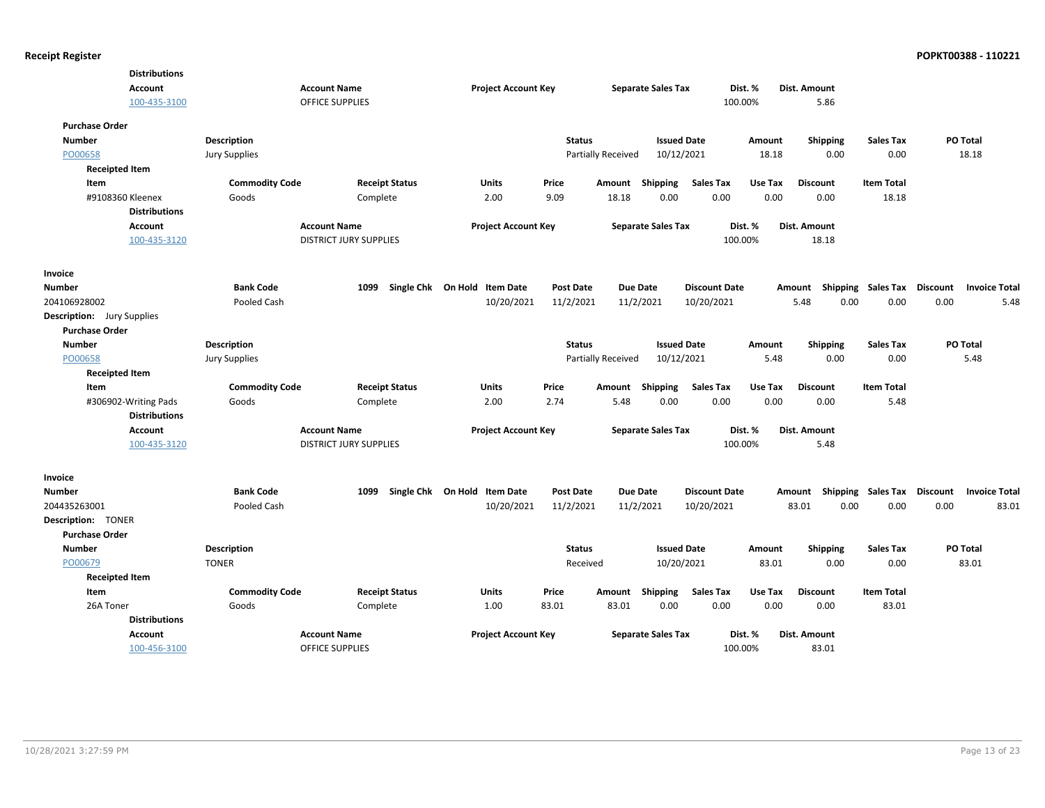| <b>Distributions</b>                     |                       |                               |                                   |                  |                           |                           |                      |         |                     |                   |                                         |
|------------------------------------------|-----------------------|-------------------------------|-----------------------------------|------------------|---------------------------|---------------------------|----------------------|---------|---------------------|-------------------|-----------------------------------------|
| <b>Account</b>                           |                       | <b>Account Name</b>           | <b>Project Account Key</b>        |                  |                           | <b>Separate Sales Tax</b> |                      | Dist. % | <b>Dist. Amount</b> |                   |                                         |
| 100-435-3100                             |                       | <b>OFFICE SUPPLIES</b>        |                                   |                  |                           |                           |                      | 100.00% | 5.86                |                   |                                         |
| <b>Purchase Order</b>                    |                       |                               |                                   |                  |                           |                           |                      |         |                     |                   |                                         |
| <b>Number</b>                            | <b>Description</b>    |                               |                                   | <b>Status</b>    |                           | <b>Issued Date</b>        |                      | Amount  | <b>Shipping</b>     | <b>Sales Tax</b>  | PO Total                                |
| PO00658                                  | Jury Supplies         |                               |                                   |                  | <b>Partially Received</b> | 10/12/2021                |                      | 18.18   | 0.00                | 0.00              | 18.18                                   |
| <b>Receipted Item</b>                    |                       |                               |                                   |                  |                           |                           |                      |         |                     |                   |                                         |
| Item                                     | <b>Commodity Code</b> | <b>Receipt Status</b>         | Units                             | Price            | Amount Shipping           |                           | <b>Sales Tax</b>     | Use Tax | <b>Discount</b>     | <b>Item Total</b> |                                         |
| #9108360 Kleenex<br><b>Distributions</b> | Goods                 | Complete                      | 2.00                              | 9.09             | 18.18                     | 0.00                      | 0.00                 | 0.00    | 0.00                | 18.18             |                                         |
| <b>Account</b>                           |                       | <b>Account Name</b>           | <b>Project Account Key</b>        |                  |                           | <b>Separate Sales Tax</b> |                      | Dist. % | Dist. Amount        |                   |                                         |
| 100-435-3120                             |                       | <b>DISTRICT JURY SUPPLIES</b> |                                   |                  |                           |                           |                      | 100.00% | 18.18               |                   |                                         |
| Invoice                                  |                       |                               |                                   |                  |                           |                           |                      |         |                     |                   |                                         |
| Number                                   | <b>Bank Code</b>      |                               | 1099 Single Chk On Hold Item Date | <b>Post Date</b> | <b>Due Date</b>           |                           | <b>Discount Date</b> |         | Shipping<br>Amount  | Sales Tax         | Discount<br><b>Invoice Total</b>        |
| 204106928002                             | Pooled Cash           |                               | 10/20/2021                        | 11/2/2021        | 11/2/2021                 |                           | 10/20/2021           |         | 0.00<br>5.48        | 0.00              | 0.00<br>5.48                            |
| Description: Jury Supplies               |                       |                               |                                   |                  |                           |                           |                      |         |                     |                   |                                         |
| <b>Purchase Order</b>                    |                       |                               |                                   |                  |                           |                           |                      |         |                     |                   |                                         |
| <b>Number</b>                            | <b>Description</b>    |                               |                                   | <b>Status</b>    |                           | <b>Issued Date</b>        |                      | Amount  | <b>Shipping</b>     | <b>Sales Tax</b>  | PO Total                                |
| PO00658                                  | <b>Jury Supplies</b>  |                               |                                   |                  | Partially Received        | 10/12/2021                |                      | 5.48    | 0.00                | 0.00              | 5.48                                    |
| <b>Receipted Item</b>                    |                       |                               |                                   |                  |                           |                           |                      |         |                     |                   |                                         |
| Item                                     | <b>Commodity Code</b> | <b>Receipt Status</b>         | Units                             | Price            | Amount Shipping           |                           | <b>Sales Tax</b>     | Use Tax | <b>Discount</b>     | <b>Item Total</b> |                                         |
| #306902-Writing Pads                     | Goods                 | Complete                      | 2.00                              | 2.74             | 5.48                      | 0.00                      | 0.00                 | 0.00    | 0.00                | 5.48              |                                         |
| <b>Distributions</b>                     |                       |                               |                                   |                  |                           |                           |                      |         |                     |                   |                                         |
| <b>Account</b>                           |                       | <b>Account Name</b>           | <b>Project Account Key</b>        |                  |                           | <b>Separate Sales Tax</b> |                      | Dist. % | Dist. Amount        |                   |                                         |
| 100-435-3120                             |                       | <b>DISTRICT JURY SUPPLIES</b> |                                   |                  |                           |                           |                      | 100.00% | 5.48                |                   |                                         |
| Invoice                                  |                       |                               |                                   |                  |                           |                           |                      |         |                     |                   |                                         |
| Number                                   | <b>Bank Code</b>      |                               | 1099 Single Chk On Hold Item Date | <b>Post Date</b> | <b>Due Date</b>           |                           | <b>Discount Date</b> |         | Shipping<br>Amount  | Sales Tax         | <b>Discount</b><br><b>Invoice Total</b> |
| 204435263001                             | Pooled Cash           |                               | 10/20/2021                        | 11/2/2021        | 11/2/2021                 |                           | 10/20/2021           |         | 83.01<br>0.00       | 0.00              | 0.00<br>83.01                           |
| Description: TONER                       |                       |                               |                                   |                  |                           |                           |                      |         |                     |                   |                                         |
| <b>Purchase Order</b>                    |                       |                               |                                   |                  |                           |                           |                      |         |                     |                   |                                         |
| <b>Number</b>                            | <b>Description</b>    |                               |                                   | <b>Status</b>    |                           | <b>Issued Date</b>        |                      | Amount  | <b>Shipping</b>     | <b>Sales Tax</b>  | PO Total                                |
| PO00679                                  | <b>TONER</b>          |                               |                                   | Received         |                           | 10/20/2021                |                      | 83.01   | 0.00                | 0.00              | 83.01                                   |
| <b>Receipted Item</b>                    |                       |                               |                                   |                  |                           |                           |                      |         |                     |                   |                                         |
| Item                                     | <b>Commodity Code</b> | <b>Receipt Status</b>         | Units                             | Price            | Amount Shipping           |                           | <b>Sales Tax</b>     | Use Tax | <b>Discount</b>     | <b>Item Total</b> |                                         |
| 26A Toner                                | Goods                 | Complete                      | 1.00                              | 83.01            | 83.01                     | 0.00                      | 0.00                 | 0.00    | 0.00                | 83.01             |                                         |
| <b>Distributions</b>                     |                       |                               |                                   |                  |                           |                           |                      |         |                     |                   |                                         |
| <b>Account</b>                           |                       | <b>Account Name</b>           | <b>Project Account Key</b>        |                  |                           | <b>Separate Sales Tax</b> |                      | Dist. % | Dist. Amount        |                   |                                         |
| 100-456-3100                             |                       | <b>OFFICE SUPPLIES</b>        |                                   |                  |                           |                           |                      | 100.00% | 83.01               |                   |                                         |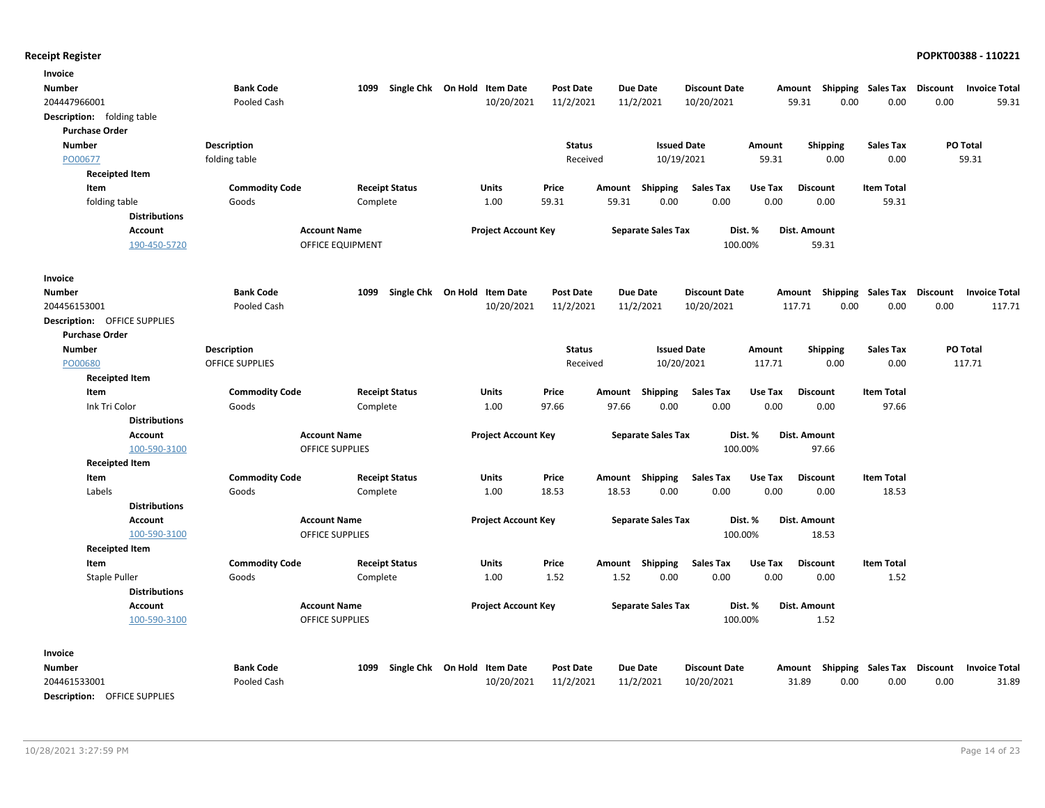| Invoice                             |                        |                            |                              |                  |                 |                           |                      |         |                                    |                   |          |                      |
|-------------------------------------|------------------------|----------------------------|------------------------------|------------------|-----------------|---------------------------|----------------------|---------|------------------------------------|-------------------|----------|----------------------|
| <b>Number</b>                       | <b>Bank Code</b>       | 1099                       | Single Chk On Hold Item Date | <b>Post Date</b> | <b>Due Date</b> |                           | <b>Discount Date</b> |         | Amount Shipping Sales Tax          |                   | Discount | <b>Invoice Total</b> |
| 204447966001                        | Pooled Cash            |                            | 10/20/2021                   | 11/2/2021        |                 | 11/2/2021                 | 10/20/2021           |         | 59.31<br>0.00                      | 0.00              | 0.00     | 59.31                |
| <b>Description:</b> folding table   |                        |                            |                              |                  |                 |                           |                      |         |                                    |                   |          |                      |
| <b>Purchase Order</b>               |                        |                            |                              |                  |                 |                           |                      |         |                                    |                   |          |                      |
| <b>Number</b>                       | <b>Description</b>     |                            |                              | <b>Status</b>    |                 | <b>Issued Date</b>        |                      | Amount  | <b>Shipping</b>                    | <b>Sales Tax</b>  |          | PO Total             |
| PO00677                             | folding table          |                            |                              | Received         |                 | 10/19/2021                |                      | 59.31   | 0.00                               | 0.00              |          | 59.31                |
| <b>Receipted Item</b>               |                        |                            |                              |                  |                 |                           |                      |         |                                    |                   |          |                      |
| Item                                | <b>Commodity Code</b>  | <b>Receipt Status</b>      | Units                        | Price            | Amount          | <b>Shipping</b>           | <b>Sales Tax</b>     | Use Tax | <b>Discount</b>                    | <b>Item Total</b> |          |                      |
| folding table                       | Goods                  | Complete                   | 1.00                         | 59.31            | 59.31           | 0.00                      | 0.00                 | 0.00    | 0.00                               | 59.31             |          |                      |
| <b>Distributions</b>                |                        |                            |                              |                  |                 |                           |                      |         |                                    |                   |          |                      |
| Account                             |                        | <b>Account Name</b>        | <b>Project Account Key</b>   |                  |                 | <b>Separate Sales Tax</b> | Dist. %              |         | Dist. Amount                       |                   |          |                      |
| 190-450-5720                        |                        | OFFICE EQUIPMENT           |                              |                  |                 |                           | 100.00%              |         | 59.31                              |                   |          |                      |
|                                     |                        |                            |                              |                  |                 |                           |                      |         |                                    |                   |          |                      |
| <b>Invoice</b>                      |                        |                            |                              |                  |                 |                           |                      |         |                                    |                   |          |                      |
| <b>Number</b>                       | <b>Bank Code</b>       | 1099<br>Single Chk On Hold | <b>Item Date</b>             | <b>Post Date</b> | <b>Due Date</b> |                           | <b>Discount Date</b> |         | Amount Shipping Sales Tax          |                   | Discount | <b>Invoice Total</b> |
| 204456153001                        | Pooled Cash            |                            | 10/20/2021                   | 11/2/2021        |                 | 11/2/2021                 | 10/20/2021           |         | 117.71<br>0.00                     | 0.00              | 0.00     | 117.71               |
| Description: OFFICE SUPPLIES        |                        |                            |                              |                  |                 |                           |                      |         |                                    |                   |          |                      |
| <b>Purchase Order</b>               |                        |                            |                              |                  |                 |                           |                      |         |                                    |                   |          |                      |
| <b>Number</b>                       | <b>Description</b>     |                            |                              | <b>Status</b>    |                 | <b>Issued Date</b>        |                      | Amount  | <b>Shipping</b>                    | <b>Sales Tax</b>  |          | PO Total             |
| PO00680                             | <b>OFFICE SUPPLIES</b> |                            |                              | Received         |                 | 10/20/2021                |                      | 117.71  | 0.00                               | 0.00              |          | 117.71               |
| <b>Receipted Item</b>               |                        |                            |                              |                  |                 |                           |                      |         |                                    |                   |          |                      |
| Item                                | <b>Commodity Code</b>  | <b>Receipt Status</b>      | Units                        | Price            | Amount          | <b>Shipping</b>           | <b>Sales Tax</b>     | Use Tax | <b>Discount</b>                    | <b>Item Total</b> |          |                      |
| Ink Tri Color                       | Goods                  | Complete                   | 1.00                         | 97.66            | 97.66           | 0.00                      | 0.00                 | 0.00    | 0.00                               | 97.66             |          |                      |
| <b>Distributions</b>                |                        |                            |                              |                  |                 |                           |                      |         |                                    |                   |          |                      |
| <b>Account</b>                      |                        | <b>Account Name</b>        | <b>Project Account Key</b>   |                  |                 | <b>Separate Sales Tax</b> | Dist. %              |         | Dist. Amount                       |                   |          |                      |
| 100-590-3100                        |                        | <b>OFFICE SUPPLIES</b>     |                              |                  |                 |                           | 100.00%              |         | 97.66                              |                   |          |                      |
| <b>Receipted Item</b>               |                        |                            |                              |                  |                 |                           |                      |         |                                    |                   |          |                      |
| Item                                | <b>Commodity Code</b>  | <b>Receipt Status</b>      | Units                        | Price            | Amount          | Shipping                  | <b>Sales Tax</b>     | Use Tax | <b>Discount</b>                    | <b>Item Total</b> |          |                      |
| Labels                              | Goods                  | Complete                   | 1.00                         | 18.53            | 18.53           | 0.00                      | 0.00                 | 0.00    | 0.00                               | 18.53             |          |                      |
| <b>Distributions</b>                |                        |                            |                              |                  |                 |                           |                      |         |                                    |                   |          |                      |
| <b>Account</b>                      |                        | <b>Account Name</b>        | <b>Project Account Key</b>   |                  |                 | <b>Separate Sales Tax</b> | Dist. %              |         | Dist. Amount                       |                   |          |                      |
| 100-590-3100                        |                        | OFFICE SUPPLIES            |                              |                  |                 |                           | 100.00%              |         | 18.53                              |                   |          |                      |
| <b>Receipted Item</b>               |                        |                            |                              |                  |                 |                           |                      |         |                                    |                   |          |                      |
| Item                                | <b>Commodity Code</b>  | <b>Receipt Status</b>      | Units                        | Price            | Amount          | Shipping                  | <b>Sales Tax</b>     | Use Tax | <b>Discount</b>                    | <b>Item Total</b> |          |                      |
| Staple Puller                       | Goods                  | Complete                   | 1.00                         | 1.52             | 1.52            | 0.00                      | 0.00                 | 0.00    | 0.00                               | 1.52              |          |                      |
| <b>Distributions</b>                |                        |                            |                              |                  |                 |                           |                      |         |                                    |                   |          |                      |
| <b>Account</b>                      |                        | <b>Account Name</b>        | <b>Project Account Key</b>   |                  |                 | <b>Separate Sales Tax</b> | Dist. %              |         | <b>Dist. Amount</b>                |                   |          |                      |
| 100-590-3100                        |                        | <b>OFFICE SUPPLIES</b>     |                              |                  |                 |                           | 100.00%              |         | 1.52                               |                   |          |                      |
|                                     |                        |                            |                              |                  |                 |                           |                      |         |                                    |                   |          |                      |
| Invoice                             |                        |                            |                              |                  |                 |                           |                      |         |                                    |                   |          |                      |
| Number                              | <b>Bank Code</b>       | 1099                       | Single Chk On Hold Item Date | <b>Post Date</b> |                 | Due Date                  | <b>Discount Date</b> |         | Amount Shipping Sales Tax Discount |                   |          | <b>Invoice Total</b> |
| 204461533001                        | Pooled Cash            |                            | 10/20/2021                   | 11/2/2021        |                 | 11/2/2021                 | 10/20/2021           |         | 31.89<br>0.00                      | 0.00              | 0.00     | 31.89                |
| <b>Description: OFFICE SUPPLIES</b> |                        |                            |                              |                  |                 |                           |                      |         |                                    |                   |          |                      |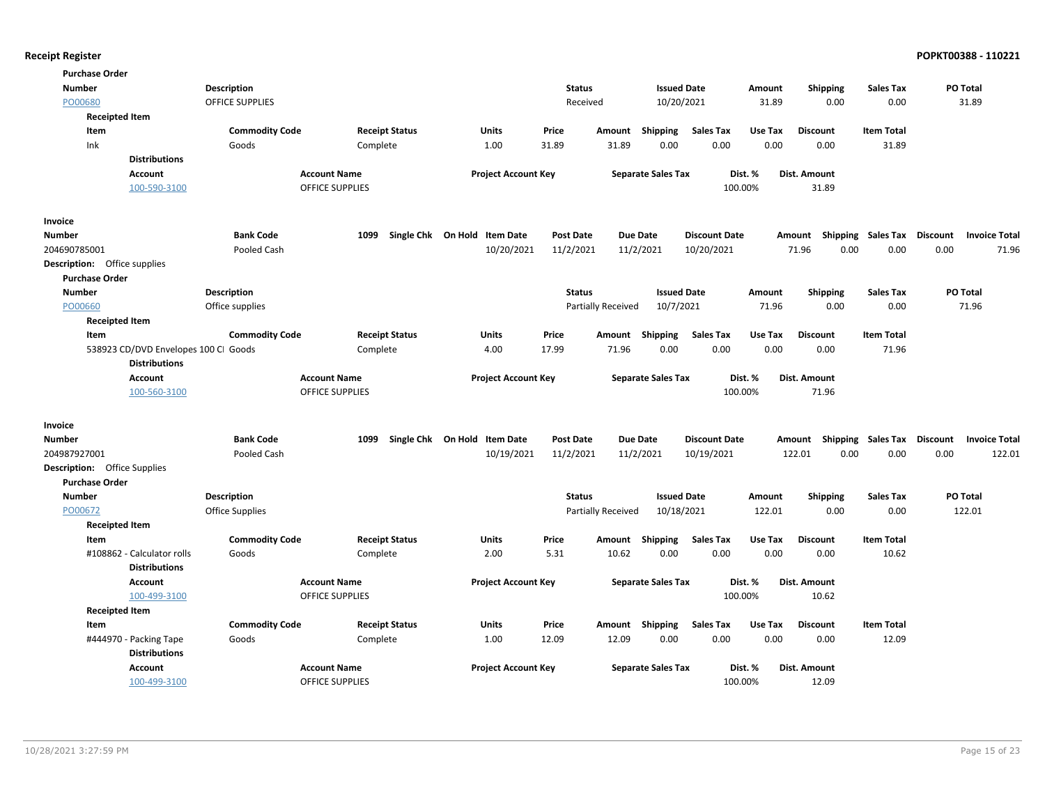| <b>Purchase Order</b>                              |                                      |                        |                              |                  |                    |                           |                      |         |                           |                   |                 |                      |
|----------------------------------------------------|--------------------------------------|------------------------|------------------------------|------------------|--------------------|---------------------------|----------------------|---------|---------------------------|-------------------|-----------------|----------------------|
| <b>Number</b>                                      | <b>Description</b>                   |                        |                              | <b>Status</b>    |                    | <b>Issued Date</b>        |                      | Amount  | <b>Shipping</b>           | Sales Tax         | PO Total        |                      |
| PO00680                                            | OFFICE SUPPLIES                      |                        |                              | Received         |                    | 10/20/2021                |                      | 31.89   | 0.00                      | 0.00              |                 | 31.89                |
| <b>Receipted Item</b>                              |                                      |                        |                              |                  |                    |                           |                      |         |                           |                   |                 |                      |
| Item                                               | <b>Commodity Code</b>                | <b>Receipt Status</b>  | <b>Units</b>                 | Price            | Amount             | Shipping                  | Sales Tax            | Use Tax | <b>Discount</b>           | <b>Item Total</b> |                 |                      |
| Ink                                                | Goods                                | Complete               | 1.00                         | 31.89            | 31.89              | 0.00                      | 0.00                 | 0.00    | 0.00                      | 31.89             |                 |                      |
| <b>Distributions</b>                               |                                      |                        |                              |                  |                    |                           |                      |         |                           |                   |                 |                      |
| <b>Account</b>                                     |                                      | <b>Account Name</b>    | <b>Project Account Key</b>   |                  |                    | <b>Separate Sales Tax</b> |                      | Dist. % | <b>Dist. Amount</b>       |                   |                 |                      |
| 100-590-3100                                       |                                      | <b>OFFICE SUPPLIES</b> |                              |                  |                    |                           | 100.00%              |         | 31.89                     |                   |                 |                      |
| Invoice                                            |                                      |                        |                              |                  |                    |                           |                      |         |                           |                   |                 |                      |
| Number                                             | <b>Bank Code</b>                     | 1099                   | Single Chk On Hold Item Date | <b>Post Date</b> |                    | <b>Due Date</b>           | <b>Discount Date</b> |         | Shipping<br>Amount        | Sales Tax         | Discount        | <b>Invoice Total</b> |
| 204690785001                                       | Pooled Cash                          |                        | 10/20/2021                   | 11/2/2021        |                    | 11/2/2021                 | 10/20/2021           |         | 71.96<br>0.00             | 0.00              | 0.00            | 71.96                |
| Description: Office supplies                       |                                      |                        |                              |                  |                    |                           |                      |         |                           |                   |                 |                      |
| <b>Purchase Order</b>                              |                                      |                        |                              |                  |                    |                           |                      |         |                           |                   |                 |                      |
| <b>Number</b>                                      | <b>Description</b>                   |                        |                              | <b>Status</b>    |                    | <b>Issued Date</b>        |                      | Amount  | Shipping                  | <b>Sales Tax</b>  | PO Total        |                      |
| PO00660                                            | Office supplies                      |                        |                              |                  | Partially Received | 10/7/2021                 |                      | 71.96   | 0.00                      | 0.00              |                 | 71.96                |
| <b>Receipted Item</b>                              |                                      |                        |                              |                  |                    |                           |                      |         |                           |                   |                 |                      |
| Item                                               | <b>Commodity Code</b>                | <b>Receipt Status</b>  | <b>Units</b>                 | Price            | Amount             | Shipping                  | <b>Sales Tax</b>     | Use Tax | <b>Discount</b>           | <b>Item Total</b> |                 |                      |
|                                                    | 538923 CD/DVD Envelopes 100 CI Goods | Complete               | 4.00                         | 17.99            | 71.96              | 0.00                      | 0.00                 | 0.00    | 0.00                      | 71.96             |                 |                      |
| <b>Distributions</b>                               |                                      |                        |                              |                  |                    |                           |                      |         |                           |                   |                 |                      |
| Account                                            |                                      | <b>Account Name</b>    | <b>Project Account Key</b>   |                  |                    | <b>Separate Sales Tax</b> |                      | Dist. % | <b>Dist. Amount</b>       |                   |                 |                      |
| 100-560-3100                                       |                                      | <b>OFFICE SUPPLIES</b> |                              |                  |                    |                           | 100.00%              |         | 71.96                     |                   |                 |                      |
| Invoice                                            |                                      |                        |                              |                  |                    |                           |                      |         |                           |                   |                 |                      |
| Number                                             | <b>Bank Code</b>                     | 1099                   | Single Chk On Hold Item Date | <b>Post Date</b> |                    | <b>Due Date</b>           | <b>Discount Date</b> |         | Amount Shipping Sales Tax |                   | <b>Discount</b> | <b>Invoice Total</b> |
| 204987927001                                       | Pooled Cash                          |                        | 10/19/2021                   | 11/2/2021        |                    | 11/2/2021                 | 10/19/2021           |         | 0.00<br>122.01            | 0.00              | 0.00            | 122.01               |
| <b>Description:</b> Office Supplies                |                                      |                        |                              |                  |                    |                           |                      |         |                           |                   |                 |                      |
| <b>Purchase Order</b>                              |                                      |                        |                              |                  |                    |                           |                      |         |                           |                   |                 |                      |
| <b>Number</b>                                      | <b>Description</b>                   |                        |                              | <b>Status</b>    |                    | <b>Issued Date</b>        |                      | Amount  | <b>Shipping</b>           | <b>Sales Tax</b>  | <b>PO Total</b> |                      |
| PO00672                                            | <b>Office Supplies</b>               |                        |                              |                  | Partially Received | 10/18/2021                |                      | 122.01  | 0.00                      | 0.00              |                 | 122.01               |
| <b>Receipted Item</b>                              |                                      |                        |                              |                  |                    |                           |                      |         |                           |                   |                 |                      |
| Item                                               | <b>Commodity Code</b>                | <b>Receipt Status</b>  | Units                        | Price            | Amount             | Shipping                  | Sales Tax            | Use Tax | <b>Discount</b>           | <b>Item Total</b> |                 |                      |
| #108862 - Calculator rolls<br><b>Distributions</b> | Goods                                | Complete               | 2.00                         | 5.31             | 10.62              | 0.00                      | 0.00                 | 0.00    | 0.00                      | 10.62             |                 |                      |
| <b>Account</b>                                     |                                      | <b>Account Name</b>    | <b>Project Account Key</b>   |                  |                    | <b>Separate Sales Tax</b> |                      | Dist. % | Dist. Amount              |                   |                 |                      |
| 100-499-3100                                       |                                      | <b>OFFICE SUPPLIES</b> |                              |                  |                    |                           | 100.00%              |         | 10.62                     |                   |                 |                      |
| <b>Receipted Item</b>                              |                                      |                        |                              |                  |                    |                           |                      |         |                           |                   |                 |                      |
| Item                                               | <b>Commodity Code</b>                | <b>Receipt Status</b>  | Units                        | Price            | Amount             | Shipping                  | <b>Sales Tax</b>     | Use Tax | <b>Discount</b>           | <b>Item Total</b> |                 |                      |
| #444970 - Packing Tape                             | Goods                                | Complete               | 1.00                         | 12.09            | 12.09              | 0.00                      | 0.00                 | 0.00    | 0.00                      | 12.09             |                 |                      |
| <b>Distributions</b>                               |                                      |                        |                              |                  |                    |                           |                      |         |                           |                   |                 |                      |
| <b>Account</b>                                     |                                      | <b>Account Name</b>    | <b>Project Account Key</b>   |                  |                    | <b>Separate Sales Tax</b> |                      | Dist. % | <b>Dist. Amount</b>       |                   |                 |                      |
| 100-499-3100                                       |                                      | <b>OFFICE SUPPLIES</b> |                              |                  |                    |                           | 100.00%              |         | 12.09                     |                   |                 |                      |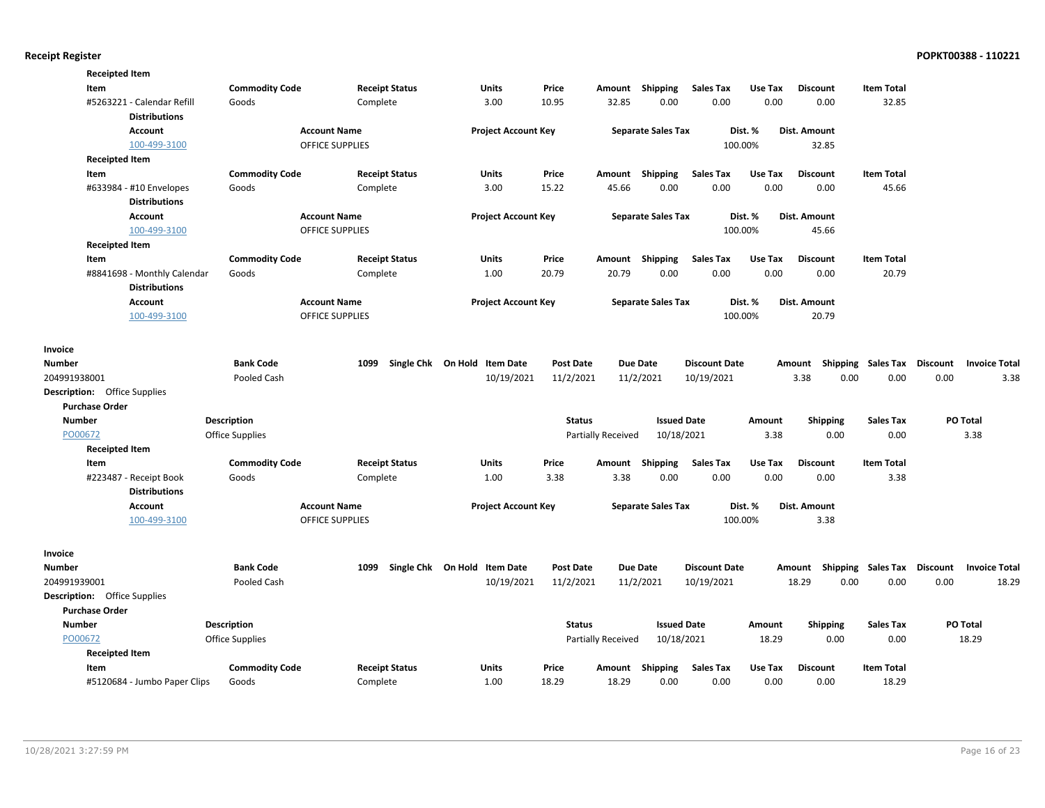| <b>Receipted Item</b>               |                                                    |                        |                        |                              |                  |                    |                           |                      |         |                 |                           |                                         |
|-------------------------------------|----------------------------------------------------|------------------------|------------------------|------------------------------|------------------|--------------------|---------------------------|----------------------|---------|-----------------|---------------------------|-----------------------------------------|
| Item                                |                                                    | <b>Commodity Code</b>  | <b>Receipt Status</b>  | Units                        | Price            | Amount             | Shipping                  | <b>Sales Tax</b>     | Use Tax | <b>Discount</b> | <b>Item Total</b>         |                                         |
|                                     | #5263221 - Calendar Refill<br><b>Distributions</b> | Goods                  | Complete               | 3.00                         | 10.95            | 32.85              | 0.00                      | 0.00                 | 0.00    | 0.00            | 32.85                     |                                         |
|                                     | <b>Account</b>                                     |                        | <b>Account Name</b>    | <b>Project Account Key</b>   |                  |                    | <b>Separate Sales Tax</b> |                      | Dist. % | Dist. Amount    |                           |                                         |
|                                     | 100-499-3100                                       |                        | OFFICE SUPPLIES        |                              |                  |                    |                           |                      | 100.00% | 32.85           |                           |                                         |
| <b>Receipted Item</b>               |                                                    |                        |                        |                              |                  |                    |                           |                      |         |                 |                           |                                         |
| Item                                |                                                    | <b>Commodity Code</b>  | <b>Receipt Status</b>  | <b>Units</b>                 | Price            | Amount             | Shipping                  | <b>Sales Tax</b>     | Use Tax | <b>Discount</b> | <b>Item Total</b>         |                                         |
|                                     | #633984 - #10 Envelopes                            | Goods                  | Complete               | 3.00                         | 15.22            | 45.66              | 0.00                      | 0.00                 | 0.00    | 0.00            | 45.66                     |                                         |
|                                     | <b>Distributions</b>                               |                        |                        |                              |                  |                    |                           |                      |         |                 |                           |                                         |
|                                     | <b>Account</b>                                     |                        | <b>Account Name</b>    | <b>Project Account Key</b>   |                  |                    | <b>Separate Sales Tax</b> |                      | Dist. % | Dist. Amount    |                           |                                         |
|                                     | 100-499-3100                                       |                        | <b>OFFICE SUPPLIES</b> |                              |                  |                    |                           |                      | 100.00% | 45.66           |                           |                                         |
| <b>Receipted Item</b>               |                                                    |                        |                        |                              |                  |                    |                           |                      |         |                 |                           |                                         |
| Item                                |                                                    | <b>Commodity Code</b>  | <b>Receipt Status</b>  | Units                        | Price            |                    | Amount Shipping           | <b>Sales Tax</b>     | Use Tax | <b>Discount</b> | <b>Item Total</b>         |                                         |
|                                     | #8841698 - Monthly Calendar                        | Goods                  | Complete               | 1.00                         | 20.79            | 20.79              | 0.00                      | 0.00                 | 0.00    | 0.00            | 20.79                     |                                         |
|                                     | <b>Distributions</b>                               |                        |                        |                              |                  |                    |                           |                      |         |                 |                           |                                         |
|                                     | <b>Account</b>                                     |                        | <b>Account Name</b>    | <b>Project Account Key</b>   |                  |                    | <b>Separate Sales Tax</b> |                      | Dist. % | Dist. Amount    |                           |                                         |
|                                     | 100-499-3100                                       |                        | <b>OFFICE SUPPLIES</b> |                              |                  |                    |                           |                      | 100.00% | 20.79           |                           |                                         |
| Invoice                             |                                                    |                        |                        |                              |                  |                    |                           |                      |         |                 |                           |                                         |
| Number                              |                                                    | <b>Bank Code</b>       | 1099                   | Single Chk On Hold Item Date | <b>Post Date</b> |                    | <b>Due Date</b>           | <b>Discount Date</b> |         | Amount          | Shipping Sales Tax        | Discount<br><b>Invoice Total</b>        |
| 204991938001                        |                                                    | Pooled Cash            |                        | 10/19/2021                   | 11/2/2021        |                    | 11/2/2021                 | 10/19/2021           |         | 3.38            | 0.00<br>0.00              | 0.00<br>3.38                            |
| <b>Description:</b> Office Supplies |                                                    |                        |                        |                              |                  |                    |                           |                      |         |                 |                           |                                         |
| <b>Purchase Order</b>               |                                                    |                        |                        |                              |                  |                    |                           |                      |         |                 |                           |                                         |
| <b>Number</b>                       |                                                    | <b>Description</b>     |                        |                              | <b>Status</b>    |                    | <b>Issued Date</b>        |                      | Amount  | <b>Shipping</b> | <b>Sales Tax</b>          | PO Total                                |
| PO00672                             |                                                    | <b>Office Supplies</b> |                        |                              |                  | Partially Received | 10/18/2021                |                      | 3.38    | 0.00            | 0.00                      | 3.38                                    |
| <b>Receipted Item</b>               |                                                    |                        |                        |                              |                  |                    |                           |                      |         |                 |                           |                                         |
| Item                                |                                                    | <b>Commodity Code</b>  | <b>Receipt Status</b>  | Units                        | Price            | Amount             | Shipping                  | <b>Sales Tax</b>     | Use Tax | <b>Discount</b> | <b>Item Total</b>         |                                         |
|                                     | #223487 - Receipt Book                             | Goods                  | Complete               | 1.00                         | 3.38             | 3.38               | 0.00                      | 0.00                 | 0.00    | 0.00            | 3.38                      |                                         |
|                                     | <b>Distributions</b>                               |                        |                        |                              |                  |                    |                           |                      |         |                 |                           |                                         |
|                                     | Account                                            |                        | <b>Account Name</b>    | <b>Project Account Key</b>   |                  |                    | <b>Separate Sales Tax</b> |                      | Dist. % | Dist. Amount    |                           |                                         |
|                                     | 100-499-3100                                       |                        | <b>OFFICE SUPPLIES</b> |                              |                  |                    |                           |                      | 100.00% | 3.38            |                           |                                         |
| Invoice                             |                                                    |                        |                        |                              |                  |                    |                           |                      |         |                 |                           |                                         |
| <b>Number</b>                       |                                                    | <b>Bank Code</b>       | 1099                   | Single Chk On Hold Item Date | <b>Post Date</b> |                    | <b>Due Date</b>           | <b>Discount Date</b> |         |                 | Amount Shipping Sales Tax | <b>Discount</b><br><b>Invoice Total</b> |
| 204991939001                        |                                                    | Pooled Cash            |                        | 10/19/2021                   | 11/2/2021        |                    | 11/2/2021                 | 10/19/2021           |         | 18.29           | 0.00<br>0.00              | 18.29<br>0.00                           |
| <b>Description:</b> Office Supplies |                                                    |                        |                        |                              |                  |                    |                           |                      |         |                 |                           |                                         |
| <b>Purchase Order</b>               |                                                    |                        |                        |                              |                  |                    |                           |                      |         |                 |                           |                                         |
| <b>Number</b>                       |                                                    | <b>Description</b>     |                        |                              | <b>Status</b>    |                    | <b>Issued Date</b>        |                      | Amount  | <b>Shipping</b> | <b>Sales Tax</b>          | PO Total                                |
| PO00672                             |                                                    | Office Supplies        |                        |                              |                  | Partially Received | 10/18/2021                |                      | 18.29   | 0.00            | 0.00                      | 18.29                                   |
| <b>Receipted Item</b>               |                                                    |                        |                        |                              |                  |                    |                           |                      |         |                 |                           |                                         |
| Item                                |                                                    | <b>Commodity Code</b>  | <b>Receipt Status</b>  | Units                        | Price            |                    | Amount Shipping           | <b>Sales Tax</b>     | Use Tax | <b>Discount</b> | <b>Item Total</b>         |                                         |
|                                     | #5120684 - Jumbo Paper Clips                       | Goods                  | Complete               | 1.00                         | 18.29            | 18.29              | 0.00                      | 0.00                 | 0.00    | 0.00            | 18.29                     |                                         |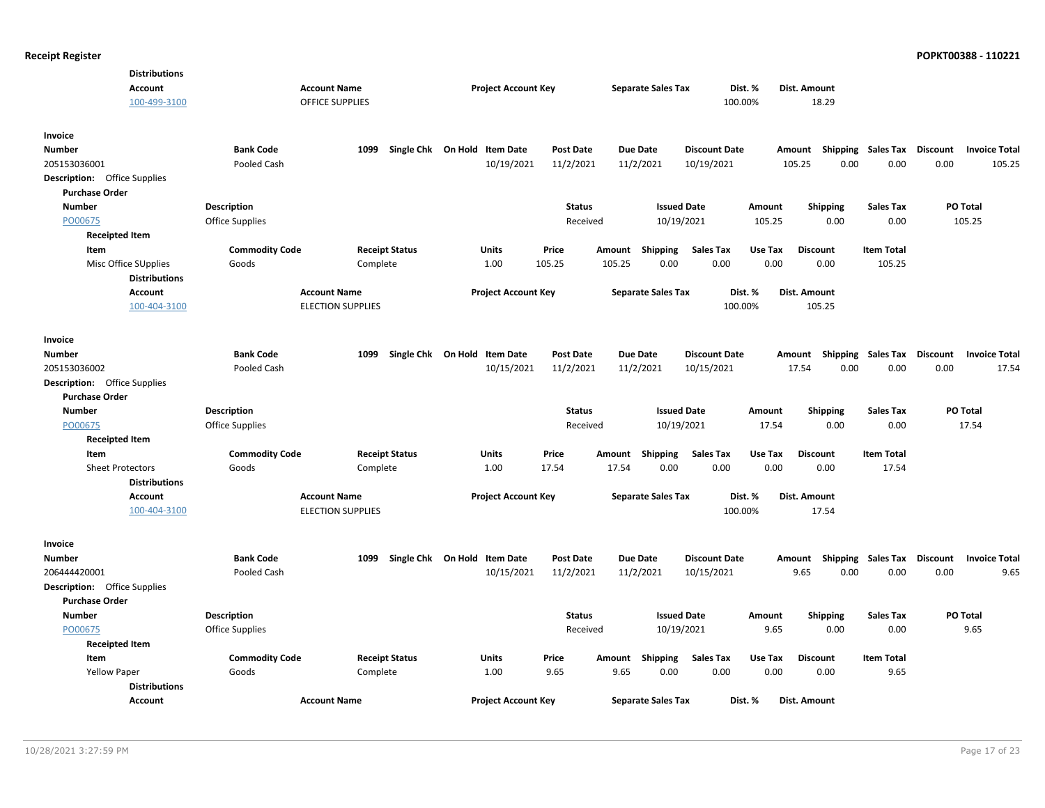| <b>Distributions</b><br><b>Account</b><br>100-499-3100 | <b>Account Name</b>    | <b>OFFICE SUPPLIES</b>   | <b>Project Account Key</b>   |                  |           | <b>Separate Sales Tax</b> | 100.00%              | Dist. % | Dist. Amount<br>18.29              |                    |          |                      |
|--------------------------------------------------------|------------------------|--------------------------|------------------------------|------------------|-----------|---------------------------|----------------------|---------|------------------------------------|--------------------|----------|----------------------|
| Invoice<br><b>Number</b>                               | <b>Bank Code</b>       | 1099                     | Single Chk On Hold Item Date | <b>Post Date</b> | Due Date  |                           | <b>Discount Date</b> |         | Amount Shipping Sales Tax Discount |                    |          | <b>Invoice Total</b> |
| 205153036001                                           | Pooled Cash            |                          | 10/19/2021                   | 11/2/2021        | 11/2/2021 |                           | 10/19/2021           |         | 0.00<br>105.25                     | 0.00               | 0.00     | 105.25               |
| <b>Description:</b> Office Supplies                    |                        |                          |                              |                  |           |                           |                      |         |                                    |                    |          |                      |
| <b>Purchase Order</b><br><b>Number</b>                 | <b>Description</b>     |                          |                              | <b>Status</b>    |           | <b>Issued Date</b>        |                      | Amount  |                                    | <b>Sales Tax</b>   | PO Total |                      |
| PO00675                                                | <b>Office Supplies</b> |                          |                              | Received         |           | 10/19/2021                |                      | 105.25  | <b>Shipping</b><br>0.00            | 0.00               |          | 105.25               |
| <b>Receipted Item</b>                                  |                        |                          |                              |                  |           |                           |                      |         |                                    |                    |          |                      |
| Item                                                   | <b>Commodity Code</b>  | <b>Receipt Status</b>    | Units                        | Price            | Amount    | Shipping                  | Sales Tax            | Use Tax | <b>Discount</b>                    | <b>Item Total</b>  |          |                      |
| Misc Office SUpplies                                   | Goods                  | Complete                 | 1.00                         | 105.25           | 105.25    | 0.00                      | 0.00                 | 0.00    | 0.00                               | 105.25             |          |                      |
| <b>Distributions</b>                                   |                        |                          |                              |                  |           |                           |                      |         |                                    |                    |          |                      |
| <b>Account</b>                                         | <b>Account Name</b>    |                          | <b>Project Account Key</b>   |                  |           | <b>Separate Sales Tax</b> |                      | Dist. % | Dist. Amount                       |                    |          |                      |
| 100-404-3100                                           |                        | <b>ELECTION SUPPLIES</b> |                              |                  |           |                           | 100.00%              |         | 105.25                             |                    |          |                      |
| Invoice                                                |                        |                          |                              |                  |           |                           |                      |         |                                    |                    |          |                      |
| <b>Number</b>                                          | <b>Bank Code</b>       | 1099                     | Single Chk On Hold Item Date | <b>Post Date</b> | Due Date  |                           | <b>Discount Date</b> |         | Amount Shipping                    | Sales Tax Discount |          | <b>Invoice Total</b> |
| 205153036002                                           | Pooled Cash            |                          | 10/15/2021                   | 11/2/2021        | 11/2/2021 |                           | 10/15/2021           |         | 17.54<br>0.00                      | 0.00               | 0.00     | 17.54                |
| <b>Description:</b> Office Supplies                    |                        |                          |                              |                  |           |                           |                      |         |                                    |                    |          |                      |
| <b>Purchase Order</b>                                  |                        |                          |                              |                  |           |                           |                      |         |                                    |                    |          |                      |
| <b>Number</b>                                          | <b>Description</b>     |                          |                              | <b>Status</b>    |           | <b>Issued Date</b>        |                      | Amount  | <b>Shipping</b>                    | <b>Sales Tax</b>   | PO Total |                      |
| PO00675                                                | <b>Office Supplies</b> |                          |                              | Received         |           | 10/19/2021                |                      | 17.54   | 0.00                               | 0.00               |          | 17.54                |
| <b>Receipted Item</b>                                  |                        |                          |                              |                  |           |                           |                      |         |                                    |                    |          |                      |
| Item                                                   | <b>Commodity Code</b>  | <b>Receipt Status</b>    | Units                        | Price            | Amount    | <b>Shipping</b>           | <b>Sales Tax</b>     | Use Tax | <b>Discount</b>                    | <b>Item Total</b>  |          |                      |
| <b>Sheet Protectors</b>                                | Goods                  | Complete                 | 1.00                         | 17.54            | 17.54     | 0.00                      | 0.00                 | 0.00    | 0.00                               | 17.54              |          |                      |
| <b>Distributions</b><br><b>Account</b>                 | <b>Account Name</b>    |                          | <b>Project Account Key</b>   |                  |           | <b>Separate Sales Tax</b> |                      | Dist. % | Dist. Amount                       |                    |          |                      |
| 100-404-3100                                           |                        | <b>ELECTION SUPPLIES</b> |                              |                  |           |                           | 100.00%              |         | 17.54                              |                    |          |                      |
| Invoice                                                |                        |                          |                              |                  |           |                           |                      |         |                                    |                    |          |                      |
| Number                                                 | <b>Bank Code</b>       | 1099                     | Single Chk On Hold Item Date | <b>Post Date</b> | Due Date  |                           | <b>Discount Date</b> |         | Amount Shipping                    | <b>Sales Tax</b>   | Discount | <b>Invoice Total</b> |
| 206444420001                                           | Pooled Cash            |                          | 10/15/2021                   | 11/2/2021        | 11/2/2021 |                           | 10/15/2021           |         | 9.65<br>0.00                       | 0.00               | 0.00     | 9.65                 |
| <b>Description:</b> Office Supplies                    |                        |                          |                              |                  |           |                           |                      |         |                                    |                    |          |                      |
| <b>Purchase Order</b>                                  |                        |                          |                              |                  |           |                           |                      |         |                                    |                    |          |                      |
| <b>Number</b>                                          | <b>Description</b>     |                          |                              | <b>Status</b>    |           | <b>Issued Date</b>        |                      | Amount  | <b>Shipping</b>                    | <b>Sales Tax</b>   | PO Total |                      |
| PO00675                                                | Office Supplies        |                          |                              | Received         |           | 10/19/2021                |                      | 9.65    | 0.00                               | 0.00               |          | 9.65                 |
| <b>Receipted Item</b>                                  |                        |                          |                              |                  |           |                           |                      |         |                                    |                    |          |                      |
| Item                                                   | <b>Commodity Code</b>  | <b>Receipt Status</b>    | Units                        | Price            | Amount    | <b>Shipping</b>           | Sales Tax            | Use Tax | <b>Discount</b>                    | <b>Item Total</b>  |          |                      |
| <b>Yellow Paper</b>                                    | Goods                  | Complete                 | 1.00                         | 9.65             | 9.65      | 0.00                      | 0.00                 | 0.00    | 0.00                               | 9.65               |          |                      |
| <b>Distributions</b>                                   |                        |                          |                              |                  |           |                           |                      |         |                                    |                    |          |                      |
| <b>Account</b>                                         | <b>Account Name</b>    |                          | <b>Project Account Key</b>   |                  |           | <b>Separate Sales Tax</b> |                      | Dist. % | <b>Dist. Amount</b>                |                    |          |                      |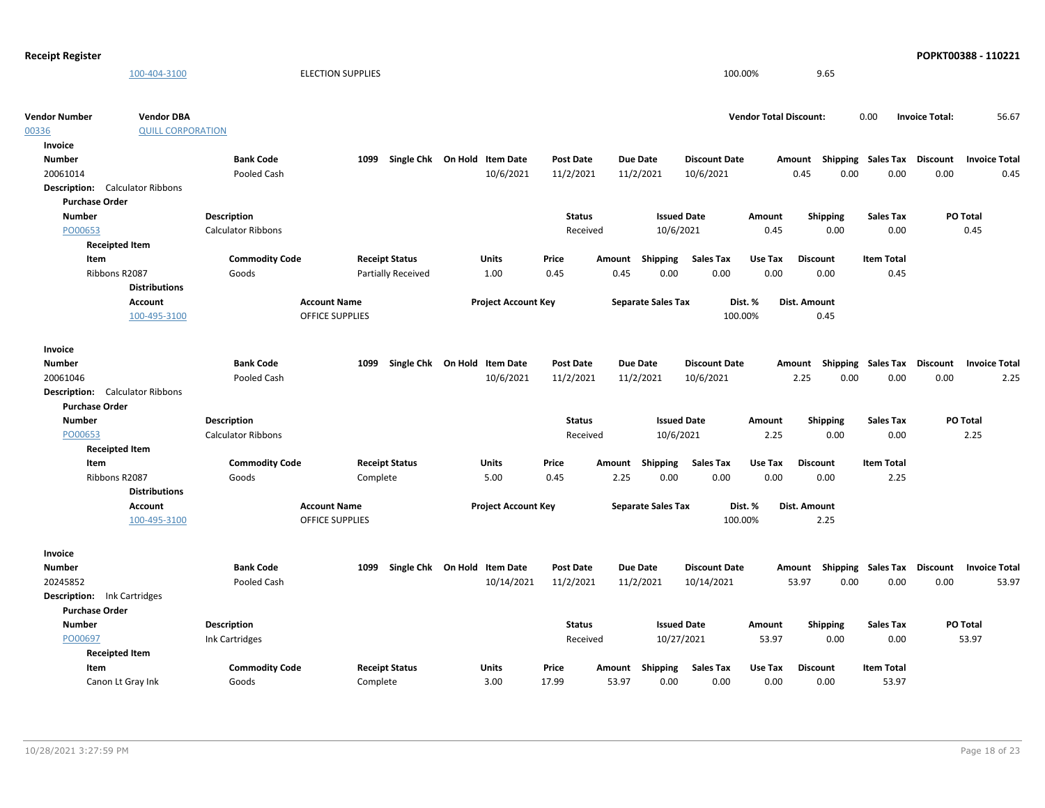| <b>Receipt Register</b>            |                                               |                           |                           |                              |                  |                 |                           |                      |                               |                                                    |                   |                       | POPKT00388 - 110221  |
|------------------------------------|-----------------------------------------------|---------------------------|---------------------------|------------------------------|------------------|-----------------|---------------------------|----------------------|-------------------------------|----------------------------------------------------|-------------------|-----------------------|----------------------|
|                                    | 100-404-3100                                  |                           | <b>ELECTION SUPPLIES</b>  |                              |                  |                 |                           | 100.00%              |                               | 9.65                                               |                   |                       |                      |
|                                    |                                               |                           |                           |                              |                  |                 |                           |                      |                               |                                                    |                   |                       |                      |
| <b>Vendor Number</b><br>00336      | <b>Vendor DBA</b><br><b>QUILL CORPORATION</b> |                           |                           |                              |                  |                 |                           |                      | <b>Vendor Total Discount:</b> |                                                    | 0.00              | <b>Invoice Total:</b> | 56.67                |
| Invoice                            |                                               |                           |                           |                              |                  |                 |                           |                      |                               |                                                    |                   |                       |                      |
| <b>Number</b>                      |                                               | <b>Bank Code</b>          | 1099                      | Single Chk On Hold Item Date | <b>Post Date</b> | <b>Due Date</b> |                           | <b>Discount Date</b> |                               |                                                    |                   |                       | <b>Invoice Total</b> |
| 20061014                           |                                               | Pooled Cash               |                           | 10/6/2021                    | 11/2/2021        | 11/2/2021       |                           | 10/6/2021            |                               | Amount Shipping Sales Tax Discount<br>0.45<br>0.00 | 0.00              | 0.00                  | 0.45                 |
|                                    | <b>Description:</b> Calculator Ribbons        |                           |                           |                              |                  |                 |                           |                      |                               |                                                    |                   |                       |                      |
| <b>Purchase Order</b>              |                                               |                           |                           |                              |                  |                 |                           |                      |                               |                                                    |                   |                       |                      |
| <b>Number</b>                      |                                               | Description               |                           |                              | <b>Status</b>    |                 | <b>Issued Date</b>        |                      | Amount                        | <b>Shipping</b>                                    | <b>Sales Tax</b>  |                       | PO Total             |
| PO00653                            |                                               | <b>Calculator Ribbons</b> |                           |                              | Received         |                 | 10/6/2021                 |                      | 0.45                          | 0.00                                               | 0.00              |                       | 0.45                 |
|                                    | <b>Receipted Item</b>                         |                           |                           |                              |                  |                 |                           |                      |                               |                                                    |                   |                       |                      |
| Item                               |                                               | <b>Commodity Code</b>     | <b>Receipt Status</b>     | <b>Units</b>                 | Price            | Amount          | Shipping                  | <b>Sales Tax</b>     | Use Tax                       | <b>Discount</b>                                    | <b>Item Total</b> |                       |                      |
|                                    | Ribbons R2087                                 | Goods                     | <b>Partially Received</b> | 1.00                         | 0.45             | 0.45            | 0.00                      | 0.00                 | 0.00                          | 0.00                                               | 0.45              |                       |                      |
|                                    | <b>Distributions</b>                          |                           |                           |                              |                  |                 |                           |                      |                               |                                                    |                   |                       |                      |
|                                    | Account                                       |                           | <b>Account Name</b>       | <b>Project Account Key</b>   |                  |                 | <b>Separate Sales Tax</b> |                      | Dist. %                       | Dist. Amount                                       |                   |                       |                      |
|                                    | 100-495-3100                                  |                           | <b>OFFICE SUPPLIES</b>    |                              |                  |                 |                           | 100.00%              |                               | 0.45                                               |                   |                       |                      |
|                                    |                                               |                           |                           |                              |                  |                 |                           |                      |                               |                                                    |                   |                       |                      |
| Invoice                            |                                               |                           |                           |                              |                  |                 |                           |                      |                               |                                                    |                   |                       |                      |
| <b>Number</b>                      |                                               | <b>Bank Code</b>          | 1099                      | Single Chk On Hold Item Date | <b>Post Date</b> | <b>Due Date</b> |                           | <b>Discount Date</b> |                               | Amount Shipping Sales Tax Discount                 |                   |                       | <b>Invoice Total</b> |
| 20061046                           |                                               | Pooled Cash               |                           | 10/6/2021                    | 11/2/2021        | 11/2/2021       |                           | 10/6/2021            |                               | 2.25<br>0.00                                       | 0.00              | 0.00                  | 2.25                 |
|                                    | <b>Description:</b> Calculator Ribbons        |                           |                           |                              |                  |                 |                           |                      |                               |                                                    |                   |                       |                      |
| <b>Purchase Order</b>              |                                               |                           |                           |                              |                  |                 |                           |                      |                               |                                                    |                   |                       |                      |
| <b>Number</b>                      |                                               | <b>Description</b>        |                           |                              | <b>Status</b>    |                 | <b>Issued Date</b>        |                      | Amount                        | <b>Shipping</b>                                    | Sales Tax         |                       | PO Total             |
| PO00653                            |                                               | <b>Calculator Ribbons</b> |                           |                              | Received         |                 | 10/6/2021                 |                      | 2.25                          | 0.00                                               | 0.00              |                       | 2.25                 |
|                                    | <b>Receipted Item</b>                         |                           |                           |                              |                  |                 |                           |                      |                               |                                                    |                   |                       |                      |
| Item                               |                                               | <b>Commodity Code</b>     | <b>Receipt Status</b>     | Units                        | Price            | Amount          | Shipping                  | <b>Sales Tax</b>     | Use Tax                       | <b>Discount</b>                                    | <b>Item Total</b> |                       |                      |
|                                    | Ribbons R2087                                 | Goods                     | Complete                  | 5.00                         | 0.45             | 2.25            | 0.00                      | 0.00                 | 0.00                          | 0.00                                               | 2.25              |                       |                      |
|                                    | <b>Distributions</b>                          |                           |                           |                              |                  |                 |                           |                      |                               |                                                    |                   |                       |                      |
|                                    | Account                                       |                           | <b>Account Name</b>       | <b>Project Account Key</b>   |                  |                 | <b>Separate Sales Tax</b> | Dist. %              |                               | <b>Dist. Amount</b>                                |                   |                       |                      |
|                                    | 100-495-3100                                  |                           | <b>OFFICE SUPPLIES</b>    |                              |                  |                 |                           | 100.00%              |                               | 2.25                                               |                   |                       |                      |
| Invoice                            |                                               |                           |                           |                              |                  |                 |                           |                      |                               |                                                    |                   |                       |                      |
| <b>Number</b>                      |                                               | <b>Bank Code</b>          | 1099                      | Single Chk On Hold Item Date | Post Date        | <b>Due Date</b> |                           | <b>Discount Date</b> |                               | Shipping<br>Amount                                 | Sales Tax         | Discount              | <b>Invoice Total</b> |
| 20245852                           |                                               | Pooled Cash               |                           | 10/14/2021                   | 11/2/2021        | 11/2/2021       |                           | 10/14/2021           |                               | 53.97<br>0.00                                      | 0.00              | 0.00                  | 53.97                |
| <b>Description:</b> Ink Cartridges |                                               |                           |                           |                              |                  |                 |                           |                      |                               |                                                    |                   |                       |                      |
| <b>Purchase Order</b>              |                                               |                           |                           |                              |                  |                 |                           |                      |                               |                                                    |                   |                       |                      |
| <b>Number</b>                      |                                               | Description               |                           |                              | <b>Status</b>    |                 | <b>Issued Date</b>        |                      | Amount                        | Shipping                                           | <b>Sales Tax</b>  |                       | PO Total             |
| PO00697                            |                                               | Ink Cartridges            |                           |                              | Received         |                 | 10/27/2021                |                      | 53.97                         | 0.00                                               | 0.00              |                       | 53.97                |
|                                    | <b>Receipted Item</b>                         |                           |                           |                              |                  |                 |                           |                      |                               |                                                    |                   |                       |                      |
| <b>Item</b>                        |                                               | <b>Commodity Code</b>     | <b>Receipt Status</b>     | Units                        | Price            | Amount          | Shipping                  | <b>Sales Tax</b>     | Use Tax                       | <b>Discount</b>                                    | <b>Item Total</b> |                       |                      |
|                                    | Canon Lt Gray Ink                             | Goods                     | Complete                  | 3.00                         | 17.99            | 53.97           | 0.00                      | 0.00                 | 0.00                          | 0.00                                               | 53.97             |                       |                      |
|                                    |                                               |                           |                           |                              |                  |                 |                           |                      |                               |                                                    |                   |                       |                      |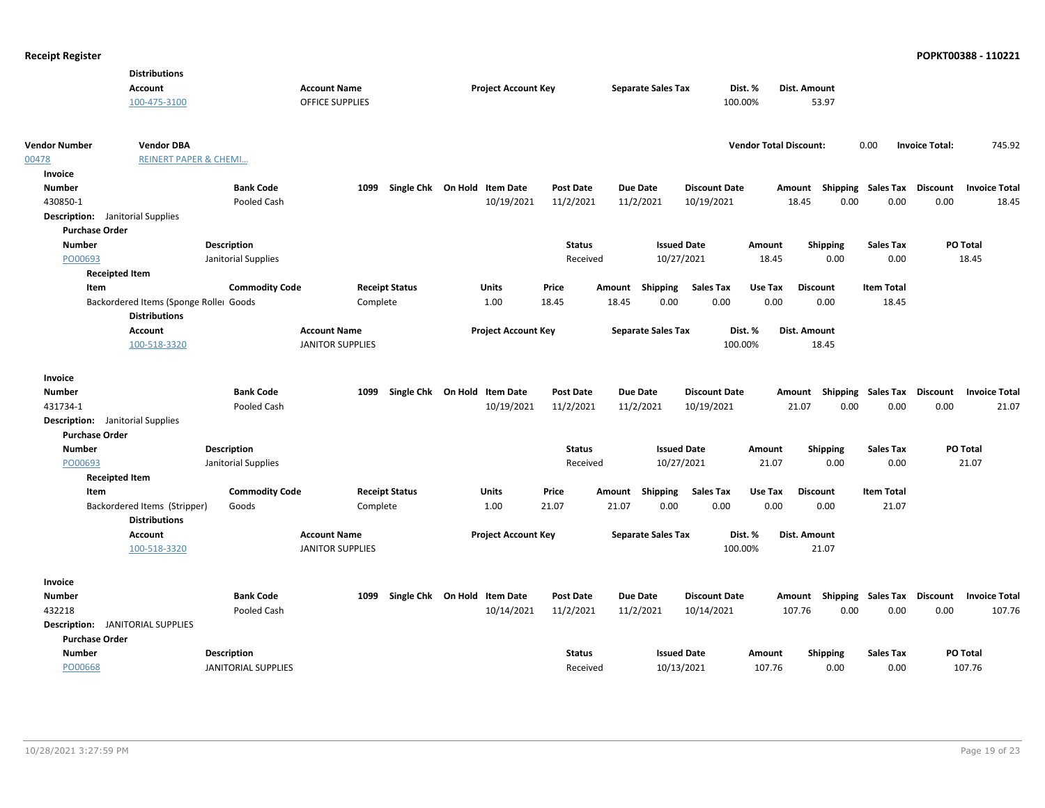|                                         | <b>Distributions</b>                   |                            |                         |                       |                              |                  |        |                           |                      |                               |                 |                           |                       |                      |
|-----------------------------------------|----------------------------------------|----------------------------|-------------------------|-----------------------|------------------------------|------------------|--------|---------------------------|----------------------|-------------------------------|-----------------|---------------------------|-----------------------|----------------------|
|                                         | <b>Account</b>                         |                            | <b>Account Name</b>     |                       | <b>Project Account Key</b>   |                  |        | <b>Separate Sales Tax</b> |                      | Dist. %                       | Dist. Amount    |                           |                       |                      |
|                                         | 100-475-3100                           |                            | <b>OFFICE SUPPLIES</b>  |                       |                              |                  |        |                           | 100.00%              |                               | 53.97           |                           |                       |                      |
|                                         |                                        |                            |                         |                       |                              |                  |        |                           |                      |                               |                 |                           |                       |                      |
| <b>Vendor Number</b>                    | <b>Vendor DBA</b>                      |                            |                         |                       |                              |                  |        |                           |                      | <b>Vendor Total Discount:</b> |                 | 0.00                      | <b>Invoice Total:</b> | 745.92               |
| 00478                                   | <b>REINERT PAPER &amp; CHEMI</b>       |                            |                         |                       |                              |                  |        |                           |                      |                               |                 |                           |                       |                      |
| Invoice                                 |                                        |                            |                         |                       |                              |                  |        |                           |                      |                               |                 |                           |                       |                      |
| <b>Number</b>                           |                                        | <b>Bank Code</b>           | 1099                    |                       | Single Chk On Hold Item Date | <b>Post Date</b> |        | <b>Due Date</b>           | <b>Discount Date</b> |                               | Amount          | Shipping Sales Tax        | <b>Discount</b>       | <b>Invoice Total</b> |
| 430850-1                                |                                        | Pooled Cash                |                         |                       | 10/19/2021                   | 11/2/2021        |        | 11/2/2021                 | 10/19/2021           |                               | 0.00<br>18.45   | 0.00                      | 0.00                  | 18.45                |
| <b>Description:</b> Janitorial Supplies |                                        |                            |                         |                       |                              |                  |        |                           |                      |                               |                 |                           |                       |                      |
| <b>Purchase Order</b>                   |                                        |                            |                         |                       |                              |                  |        |                           |                      |                               |                 |                           |                       |                      |
| <b>Number</b>                           |                                        | <b>Description</b>         |                         |                       |                              | <b>Status</b>    |        | <b>Issued Date</b>        |                      | Amount                        | <b>Shipping</b> | <b>Sales Tax</b>          | PO Total              |                      |
| PO00693                                 |                                        | Janitorial Supplies        |                         |                       |                              | Received         |        | 10/27/2021                |                      | 18.45                         | 0.00            | 0.00                      |                       | 18.45                |
| <b>Receipted Item</b>                   |                                        |                            |                         |                       |                              |                  |        |                           |                      |                               |                 |                           |                       |                      |
| Item                                    |                                        | <b>Commodity Code</b>      |                         | <b>Receipt Status</b> | Units                        | Price            | Amount | <b>Shipping</b>           | <b>Sales Tax</b>     | Use Tax                       | <b>Discount</b> | <b>Item Total</b>         |                       |                      |
|                                         | Backordered Items (Sponge Roller Goods |                            |                         | Complete              | 1.00                         | 18.45            | 18.45  | 0.00                      | 0.00                 | 0.00                          | 0.00            | 18.45                     |                       |                      |
|                                         | <b>Distributions</b>                   |                            |                         |                       |                              |                  |        |                           |                      |                               |                 |                           |                       |                      |
|                                         | <b>Account</b>                         |                            | <b>Account Name</b>     |                       | <b>Project Account Key</b>   |                  |        | <b>Separate Sales Tax</b> |                      | Dist. %                       | Dist. Amount    |                           |                       |                      |
|                                         | 100-518-3320                           |                            | <b>JANITOR SUPPLIES</b> |                       |                              |                  |        |                           | 100.00%              |                               | 18.45           |                           |                       |                      |
|                                         |                                        |                            |                         |                       |                              |                  |        |                           |                      |                               |                 |                           |                       |                      |
| Invoice                                 |                                        |                            |                         |                       |                              |                  |        |                           |                      |                               |                 |                           |                       |                      |
| <b>Number</b>                           |                                        | <b>Bank Code</b>           | 1099                    |                       | Single Chk On Hold Item Date | <b>Post Date</b> |        | <b>Due Date</b>           | <b>Discount Date</b> |                               | Amount          | Shipping Sales Tax        | Discount              | <b>Invoice Total</b> |
| 431734-1                                |                                        | Pooled Cash                |                         |                       | 10/19/2021                   | 11/2/2021        |        | 11/2/2021                 | 10/19/2021           |                               | 21.07<br>0.00   | 0.00                      | 0.00                  | 21.07                |
| <b>Description:</b> Janitorial Supplies |                                        |                            |                         |                       |                              |                  |        |                           |                      |                               |                 |                           |                       |                      |
| <b>Purchase Order</b>                   |                                        |                            |                         |                       |                              |                  |        |                           |                      |                               |                 |                           |                       |                      |
| <b>Number</b>                           |                                        | Description                |                         |                       |                              | <b>Status</b>    |        | <b>Issued Date</b>        |                      | Amount                        | <b>Shipping</b> | <b>Sales Tax</b>          | PO Total              |                      |
| PO00693                                 |                                        | Janitorial Supplies        |                         |                       |                              | Received         |        | 10/27/2021                |                      | 21.07                         | 0.00            | 0.00                      |                       | 21.07                |
| <b>Receipted Item</b>                   |                                        |                            |                         |                       |                              |                  |        |                           |                      |                               |                 |                           |                       |                      |
| Item                                    |                                        | <b>Commodity Code</b>      |                         | <b>Receipt Status</b> | Units                        | Price            |        | Amount Shipping           | <b>Sales Tax</b>     | Use Tax                       | <b>Discount</b> | <b>Item Total</b>         |                       |                      |
|                                         | Backordered Items (Stripper)           | Goods                      |                         | Complete              | 1.00                         | 21.07            | 21.07  | 0.00                      | 0.00                 | 0.00                          | 0.00            | 21.07                     |                       |                      |
|                                         | <b>Distributions</b>                   |                            |                         |                       |                              |                  |        |                           |                      |                               |                 |                           |                       |                      |
|                                         | <b>Account</b>                         |                            | <b>Account Name</b>     |                       | <b>Project Account Key</b>   |                  |        | <b>Separate Sales Tax</b> |                      | Dist. %                       | Dist. Amount    |                           |                       |                      |
|                                         | 100-518-3320                           |                            | <b>JANITOR SUPPLIES</b> |                       |                              |                  |        |                           | 100.00%              |                               | 21.07           |                           |                       |                      |
|                                         |                                        |                            |                         |                       |                              |                  |        |                           |                      |                               |                 |                           |                       |                      |
| Invoice                                 |                                        |                            |                         |                       |                              |                  |        |                           |                      |                               |                 |                           |                       |                      |
| <b>Number</b>                           |                                        | <b>Bank Code</b>           | 1099                    |                       | Single Chk On Hold Item Date | Post Date        |        | <b>Due Date</b>           | <b>Discount Date</b> |                               | Amount          | <b>Shipping Sales Tax</b> | <b>Discount</b>       | <b>Invoice Total</b> |
| 432218                                  |                                        | Pooled Cash                |                         |                       | 10/14/2021                   | 11/2/2021        |        | 11/2/2021                 | 10/14/2021           |                               | 107.76<br>0.00  | 0.00                      | 0.00                  | 107.76               |
| <b>Description:</b> JANITORIAL SUPPLIES |                                        |                            |                         |                       |                              |                  |        |                           |                      |                               |                 |                           |                       |                      |
| <b>Purchase Order</b>                   |                                        |                            |                         |                       |                              |                  |        |                           |                      |                               |                 |                           |                       |                      |
| <b>Number</b>                           |                                        | <b>Description</b>         |                         |                       |                              | <b>Status</b>    |        | <b>Issued Date</b>        |                      | Amount                        | <b>Shipping</b> | <b>Sales Tax</b>          | PO Total              |                      |
| PO00668                                 |                                        | <b>JANITORIAL SUPPLIES</b> |                         |                       |                              | Received         |        | 10/13/2021                |                      | 107.76                        | 0.00            | 0.00                      |                       | 107.76               |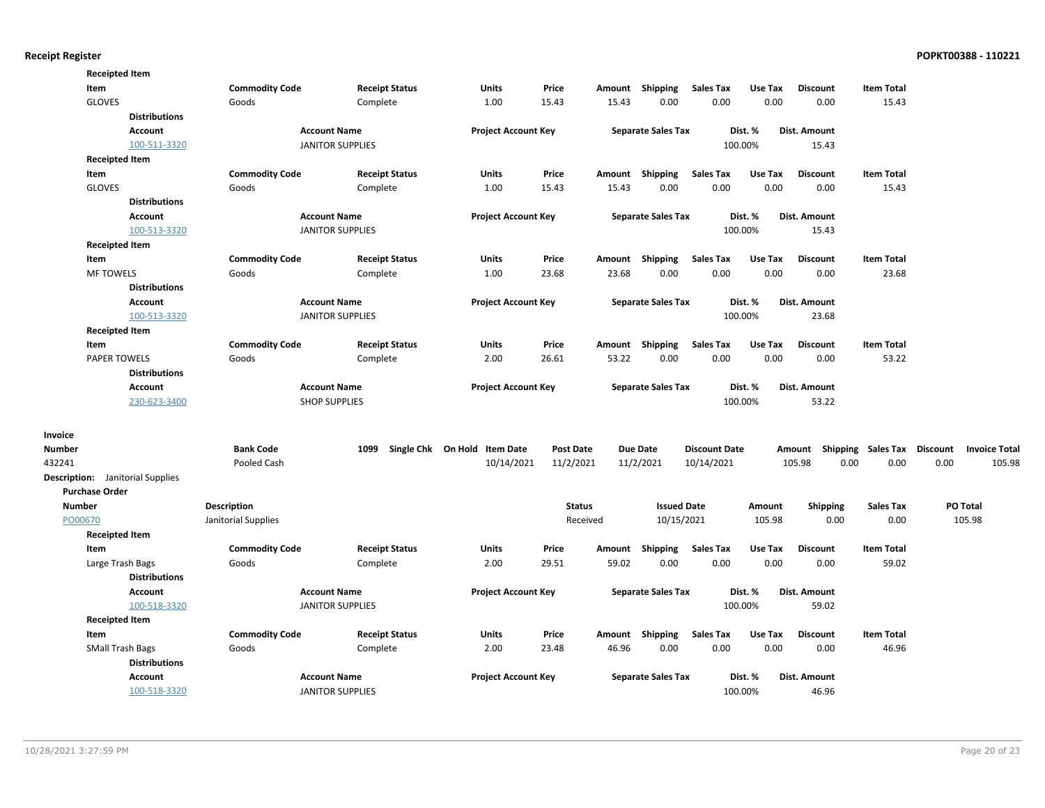|               | <b>Receipted Item</b>                   |                       |                         |                              |                  |        |                           |                      |         |                                    |                   |      |                      |
|---------------|-----------------------------------------|-----------------------|-------------------------|------------------------------|------------------|--------|---------------------------|----------------------|---------|------------------------------------|-------------------|------|----------------------|
|               | Item                                    | <b>Commodity Code</b> | <b>Receipt Status</b>   | Units                        | Price            | Amount | Shipping                  | <b>Sales Tax</b>     | Use Tax | <b>Discount</b>                    | <b>Item Total</b> |      |                      |
|               | GLOVES                                  | Goods                 | Complete                | 1.00                         | 15.43            | 15.43  | 0.00                      | 0.00                 | 0.00    | 0.00                               | 15.43             |      |                      |
|               | <b>Distributions</b>                    |                       |                         |                              |                  |        |                           |                      |         |                                    |                   |      |                      |
|               | Account                                 |                       | <b>Account Name</b>     | <b>Project Account Key</b>   |                  |        | <b>Separate Sales Tax</b> |                      | Dist. % | Dist. Amount                       |                   |      |                      |
|               | 100-511-3320                            |                       | <b>JANITOR SUPPLIES</b> |                              |                  |        |                           |                      | 100.00% | 15.43                              |                   |      |                      |
|               | <b>Receipted Item</b>                   |                       |                         |                              |                  |        |                           |                      |         |                                    |                   |      |                      |
|               | Item                                    | <b>Commodity Code</b> | <b>Receipt Status</b>   | <b>Units</b>                 | Price            |        | Amount Shipping           | <b>Sales Tax</b>     | Use Tax | <b>Discount</b>                    | <b>Item Total</b> |      |                      |
|               | <b>GLOVES</b>                           | Goods                 | Complete                | 1.00                         | 15.43            | 15.43  | 0.00                      | 0.00                 | 0.00    | 0.00                               | 15.43             |      |                      |
|               | <b>Distributions</b>                    |                       |                         |                              |                  |        |                           |                      |         |                                    |                   |      |                      |
|               | Account                                 |                       | <b>Account Name</b>     | <b>Project Account Key</b>   |                  |        | <b>Separate Sales Tax</b> |                      | Dist. % | Dist. Amount                       |                   |      |                      |
|               | 100-513-3320                            |                       | <b>JANITOR SUPPLIES</b> |                              |                  |        |                           |                      | 100.00% | 15.43                              |                   |      |                      |
|               | <b>Receipted Item</b>                   |                       |                         |                              |                  |        |                           |                      |         |                                    |                   |      |                      |
|               | Item                                    | <b>Commodity Code</b> | <b>Receipt Status</b>   | Units                        | Price            | Amount | Shipping                  | <b>Sales Tax</b>     | Use Tax | <b>Discount</b>                    | <b>Item Total</b> |      |                      |
|               | <b>MF TOWELS</b>                        | Goods                 | Complete                | 1.00                         | 23.68            | 23.68  | 0.00                      | 0.00                 | 0.00    | 0.00                               | 23.68             |      |                      |
|               | <b>Distributions</b>                    |                       |                         |                              |                  |        |                           |                      |         |                                    |                   |      |                      |
|               | <b>Account</b>                          |                       | <b>Account Name</b>     | <b>Project Account Key</b>   |                  |        | <b>Separate Sales Tax</b> |                      | Dist. % | Dist. Amount                       |                   |      |                      |
|               | 100-513-3320                            |                       | <b>JANITOR SUPPLIES</b> |                              |                  |        |                           |                      | 100.00% | 23.68                              |                   |      |                      |
|               | <b>Receipted Item</b>                   |                       |                         |                              |                  |        |                           |                      |         |                                    |                   |      |                      |
|               | Item                                    | <b>Commodity Code</b> | <b>Receipt Status</b>   | Units                        | Price            |        | Amount Shipping           | <b>Sales Tax</b>     | Use Tax | <b>Discount</b>                    | <b>Item Total</b> |      |                      |
|               | <b>PAPER TOWELS</b>                     | Goods                 | Complete                | 2.00                         | 26.61            | 53.22  | 0.00                      | 0.00                 | 0.00    | 0.00                               | 53.22             |      |                      |
|               | <b>Distributions</b>                    |                       |                         |                              |                  |        |                           |                      |         |                                    |                   |      |                      |
|               | <b>Account</b>                          |                       | <b>Account Name</b>     | <b>Project Account Key</b>   |                  |        | <b>Separate Sales Tax</b> |                      | Dist. % | Dist. Amount                       |                   |      |                      |
|               | 230-623-3400                            |                       | <b>SHOP SUPPLIES</b>    |                              |                  |        |                           |                      | 100.00% | 53.22                              |                   |      |                      |
| Invoice       |                                         |                       |                         |                              |                  |        |                           |                      |         |                                    |                   |      |                      |
| <b>Number</b> |                                         | <b>Bank Code</b>      | 1099                    | Single Chk On Hold Item Date | <b>Post Date</b> |        | <b>Due Date</b>           | <b>Discount Date</b> |         | Amount Shipping Sales Tax Discount |                   |      | <b>Invoice Total</b> |
| 432241        |                                         | Pooled Cash           |                         | 10/14/2021                   | 11/2/2021        |        | 11/2/2021                 | 10/14/2021           |         | 105.98<br>0.00                     | 0.00              | 0.00 | 105.98               |
|               | <b>Description:</b> Janitorial Supplies |                       |                         |                              |                  |        |                           |                      |         |                                    |                   |      |                      |
|               | <b>Purchase Order</b>                   |                       |                         |                              |                  |        |                           |                      |         |                                    |                   |      |                      |
| Number        |                                         | <b>Description</b>    |                         |                              | <b>Status</b>    |        | <b>Issued Date</b>        |                      | Amount  | <b>Shipping</b>                    | <b>Sales Tax</b>  |      | PO Total             |
| PO00670       |                                         | Janitorial Supplies   |                         |                              | Received         |        | 10/15/2021                |                      | 105.98  | 0.00                               | 0.00              |      | 105.98               |
|               | <b>Receipted Item</b>                   |                       |                         |                              |                  |        |                           |                      |         |                                    |                   |      |                      |
|               | Item                                    | <b>Commodity Code</b> | <b>Receipt Status</b>   | Units                        | Price            | Amount | Shipping                  | <b>Sales Tax</b>     | Use Tax | <b>Discount</b>                    | <b>Item Total</b> |      |                      |
|               | Large Trash Bags                        | Goods                 | Complete                | 2.00                         | 29.51            | 59.02  | 0.00                      | 0.00                 | 0.00    | 0.00                               | 59.02             |      |                      |
|               | <b>Distributions</b>                    |                       |                         |                              |                  |        |                           |                      |         |                                    |                   |      |                      |
|               | <b>Account</b>                          |                       | <b>Account Name</b>     | <b>Project Account Key</b>   |                  |        | <b>Separate Sales Tax</b> |                      | Dist. % | Dist. Amount                       |                   |      |                      |
|               | 100-518-3320                            |                       | <b>JANITOR SUPPLIES</b> |                              |                  |        |                           |                      | 100.00% | 59.02                              |                   |      |                      |
|               | <b>Receipted Item</b>                   |                       |                         |                              |                  |        |                           |                      |         |                                    |                   |      |                      |
|               | Item                                    | <b>Commodity Code</b> | <b>Receipt Status</b>   | Units                        | Price            |        | Amount Shipping           | <b>Sales Tax</b>     | Use Tax | <b>Discount</b>                    | <b>Item Total</b> |      |                      |
|               | <b>SMall Trash Bags</b>                 | Goods                 | Complete                | 2.00                         | 23.48            | 46.96  | 0.00                      | 0.00                 | 0.00    | 0.00                               | 46.96             |      |                      |
|               | <b>Distributions</b>                    |                       |                         |                              |                  |        |                           |                      |         |                                    |                   |      |                      |
|               | <b>Account</b>                          |                       | <b>Account Name</b>     | <b>Project Account Key</b>   |                  |        | <b>Separate Sales Tax</b> |                      | Dist. % | <b>Dist. Amount</b>                |                   |      |                      |
|               | 100-518-3320                            |                       | <b>JANITOR SUPPLIES</b> |                              |                  |        |                           |                      | 100.00% | 46.96                              |                   |      |                      |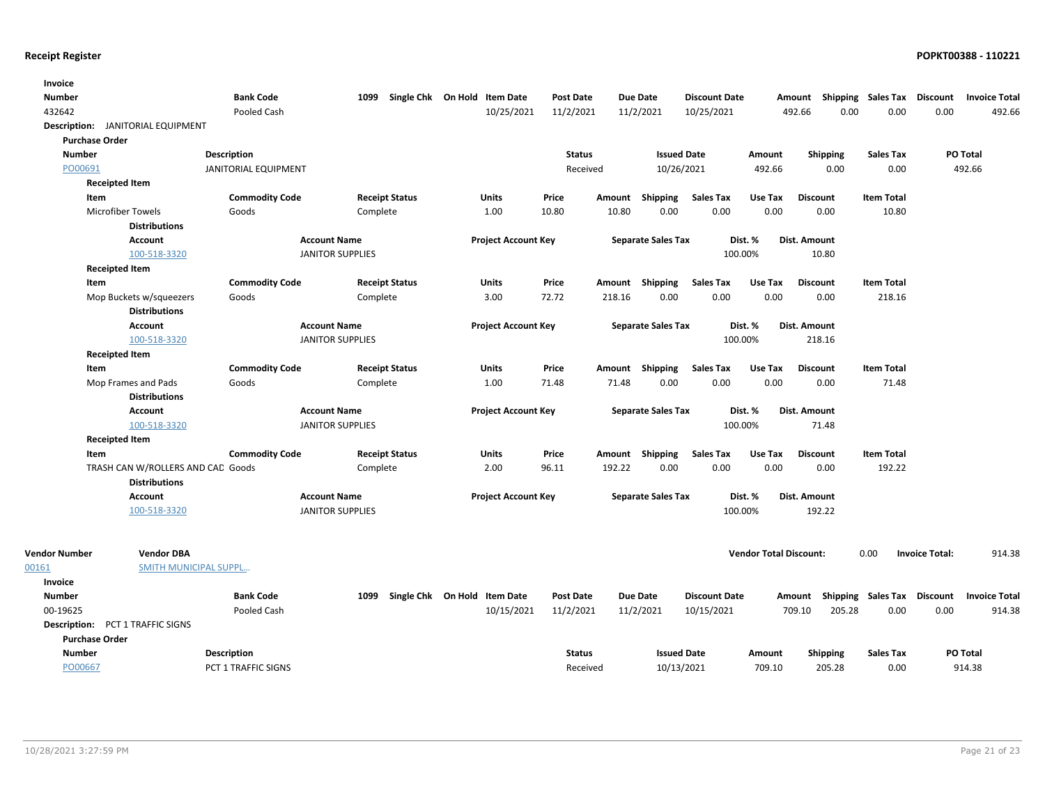| <b>Invoice</b>       |                                         |                             |                         |                              |                            |                  |        |                           |                      |                               |                                    |                   |                       |                      |
|----------------------|-----------------------------------------|-----------------------------|-------------------------|------------------------------|----------------------------|------------------|--------|---------------------------|----------------------|-------------------------------|------------------------------------|-------------------|-----------------------|----------------------|
| <b>Number</b>        |                                         | <b>Bank Code</b>            | 1099                    | Single Chk On Hold Item Date |                            | <b>Post Date</b> |        | <b>Due Date</b>           | <b>Discount Date</b> |                               | Amount Shipping Sales Tax Discount |                   |                       | <b>Invoice Total</b> |
| 432642               |                                         | Pooled Cash                 |                         |                              | 10/25/2021                 | 11/2/2021        |        | 11/2/2021                 | 10/25/2021           |                               | 0.00<br>492.66                     | 0.00              | 0.00                  | 492.66               |
|                      | Description: JANITORIAL EQUIPMENT       |                             |                         |                              |                            |                  |        |                           |                      |                               |                                    |                   |                       |                      |
|                      | <b>Purchase Order</b>                   |                             |                         |                              |                            |                  |        |                           |                      |                               |                                    |                   |                       |                      |
| <b>Number</b>        |                                         | <b>Description</b>          |                         |                              |                            | <b>Status</b>    |        | <b>Issued Date</b>        |                      | Amount                        | <b>Shipping</b>                    | <b>Sales Tax</b>  |                       | PO Total             |
| PO00691              |                                         | <b>JANITORIAL EQUIPMENT</b> |                         |                              |                            | Received         |        | 10/26/2021                |                      | 492.66                        | 0.00                               | 0.00              |                       | 492.66               |
|                      | <b>Receipted Item</b>                   |                             |                         |                              |                            |                  |        |                           |                      |                               |                                    |                   |                       |                      |
|                      | Item                                    | <b>Commodity Code</b>       |                         | <b>Receipt Status</b>        | <b>Units</b>               | Price            | Amount | Shipping                  | <b>Sales Tax</b>     | Use Tax                       | <b>Discount</b>                    | <b>Item Total</b> |                       |                      |
|                      | <b>Microfiber Towels</b>                | Goods                       |                         | Complete                     | 1.00                       | 10.80            | 10.80  | 0.00                      | 0.00                 | 0.00                          | 0.00                               | 10.80             |                       |                      |
|                      | <b>Distributions</b>                    |                             |                         |                              |                            |                  |        |                           |                      |                               |                                    |                   |                       |                      |
|                      | <b>Account</b>                          |                             | <b>Account Name</b>     |                              | <b>Project Account Key</b> |                  |        | <b>Separate Sales Tax</b> |                      | Dist. %                       | Dist. Amount                       |                   |                       |                      |
|                      | 100-518-3320                            |                             | <b>JANITOR SUPPLIES</b> |                              |                            |                  |        |                           | 100.00%              |                               | 10.80                              |                   |                       |                      |
|                      | <b>Receipted Item</b>                   |                             |                         |                              |                            |                  |        |                           |                      |                               |                                    |                   |                       |                      |
|                      | Item                                    | <b>Commodity Code</b>       |                         | <b>Receipt Status</b>        | Units                      | Price            |        | Amount Shipping           | <b>Sales Tax</b>     | Use Tax                       | <b>Discount</b>                    | <b>Item Total</b> |                       |                      |
|                      | Mop Buckets w/squeezers                 | Goods                       |                         | Complete                     | 3.00                       | 72.72            | 218.16 | 0.00                      | 0.00                 | 0.00                          | 0.00                               | 218.16            |                       |                      |
|                      | <b>Distributions</b>                    |                             |                         |                              |                            |                  |        |                           |                      |                               |                                    |                   |                       |                      |
|                      | <b>Account</b>                          |                             | <b>Account Name</b>     |                              | <b>Project Account Key</b> |                  |        | <b>Separate Sales Tax</b> |                      | Dist. %                       | <b>Dist. Amount</b>                |                   |                       |                      |
|                      | 100-518-3320                            |                             | <b>JANITOR SUPPLIES</b> |                              |                            |                  |        |                           | 100.00%              |                               | 218.16                             |                   |                       |                      |
|                      | <b>Receipted Item</b>                   |                             |                         |                              |                            |                  |        |                           |                      |                               |                                    |                   |                       |                      |
|                      | Item                                    | <b>Commodity Code</b>       |                         | <b>Receipt Status</b>        | <b>Units</b>               | Price            |        | Amount Shipping           | <b>Sales Tax</b>     | Use Tax                       | <b>Discount</b>                    | <b>Item Total</b> |                       |                      |
|                      | Mop Frames and Pads                     | Goods                       |                         | Complete                     | 1.00                       | 71.48            | 71.48  | 0.00                      | 0.00                 | 0.00                          | 0.00                               | 71.48             |                       |                      |
|                      | <b>Distributions</b>                    |                             |                         |                              |                            |                  |        |                           |                      |                               |                                    |                   |                       |                      |
|                      | Account                                 |                             | <b>Account Name</b>     |                              | <b>Project Account Key</b> |                  |        | <b>Separate Sales Tax</b> |                      | Dist. %                       | Dist. Amount                       |                   |                       |                      |
|                      | 100-518-3320                            |                             | <b>JANITOR SUPPLIES</b> |                              |                            |                  |        |                           | 100.00%              |                               | 71.48                              |                   |                       |                      |
|                      | <b>Receipted Item</b>                   |                             |                         |                              |                            |                  |        |                           |                      |                               |                                    |                   |                       |                      |
|                      | Item                                    | <b>Commodity Code</b>       |                         | <b>Receipt Status</b>        | Units                      | Price            |        | Amount Shipping           | <b>Sales Tax</b>     | Use Tax                       | <b>Discount</b>                    | <b>Item Total</b> |                       |                      |
|                      | TRASH CAN W/ROLLERS AND CAD Goods       |                             |                         | Complete                     | 2.00                       | 96.11            | 192.22 | 0.00                      | 0.00                 | 0.00                          | 0.00                               | 192.22            |                       |                      |
|                      | <b>Distributions</b>                    |                             |                         |                              |                            |                  |        |                           |                      |                               |                                    |                   |                       |                      |
|                      | <b>Account</b>                          |                             | <b>Account Name</b>     |                              | <b>Project Account Key</b> |                  |        | <b>Separate Sales Tax</b> |                      | Dist. %                       | Dist. Amount                       |                   |                       |                      |
|                      | 100-518-3320                            |                             | <b>JANITOR SUPPLIES</b> |                              |                            |                  |        |                           | 100.00%              |                               | 192.22                             |                   |                       |                      |
|                      |                                         |                             |                         |                              |                            |                  |        |                           |                      |                               |                                    |                   |                       |                      |
| <b>Vendor Number</b> | <b>Vendor DBA</b>                       |                             |                         |                              |                            |                  |        |                           |                      | <b>Vendor Total Discount:</b> |                                    | 0.00              | <b>Invoice Total:</b> | 914.38               |
| 00161                | <b>SMITH MUNICIPAL SUPPL</b>            |                             |                         |                              |                            |                  |        |                           |                      |                               |                                    |                   |                       |                      |
| Invoice              |                                         |                             |                         |                              |                            |                  |        |                           |                      |                               |                                    |                   |                       |                      |
| <b>Number</b>        |                                         | <b>Bank Code</b>            | 1099                    | Single Chk On Hold Item Date |                            | <b>Post Date</b> |        | <b>Due Date</b>           | <b>Discount Date</b> |                               | Amount Shipping Sales Tax Discount |                   |                       | <b>Invoice Total</b> |
| 00-19625             |                                         | Pooled Cash                 |                         |                              | 10/15/2021                 | 11/2/2021        |        | 11/2/2021                 | 10/15/2021           |                               | 709.10<br>205.28                   | 0.00              | 0.00                  | 914.38               |
|                      | <b>Description: PCT 1 TRAFFIC SIGNS</b> |                             |                         |                              |                            |                  |        |                           |                      |                               |                                    |                   |                       |                      |
|                      | <b>Purchase Order</b>                   |                             |                         |                              |                            |                  |        |                           |                      |                               |                                    |                   |                       |                      |
| <b>Number</b>        |                                         | <b>Description</b>          |                         |                              |                            | <b>Status</b>    |        | <b>Issued Date</b>        |                      | Amount                        | <b>Shipping</b>                    | Sales Tax         |                       | <b>PO Total</b>      |
| PO00667              |                                         | PCT 1 TRAFFIC SIGNS         |                         |                              |                            | Received         |        | 10/13/2021                |                      | 709.10                        | 205.28                             | 0.00              |                       | 914.38               |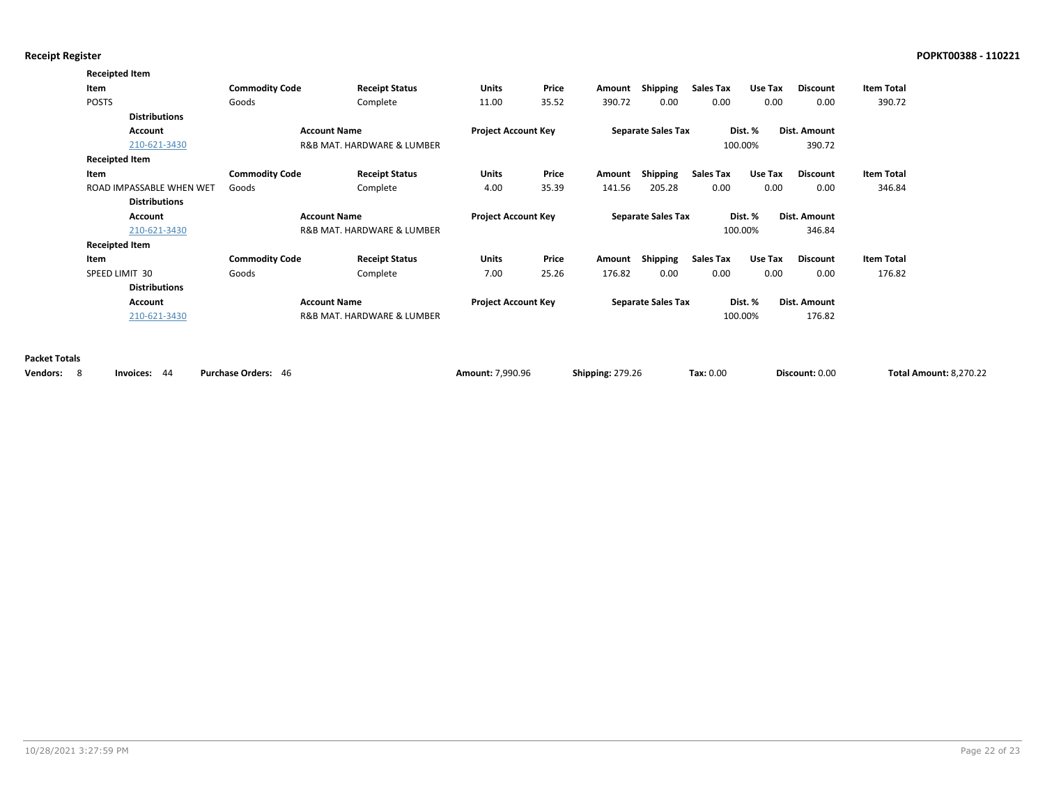|                        | <b>Receipted Item</b>    |                       |                            |                            |       |                         |                           |                  |         |                 |                               |
|------------------------|--------------------------|-----------------------|----------------------------|----------------------------|-------|-------------------------|---------------------------|------------------|---------|-----------------|-------------------------------|
|                        | Item                     | <b>Commodity Code</b> | <b>Receipt Status</b>      | Units                      | Price | Amount                  | Shipping                  | <b>Sales Tax</b> | Use Tax | <b>Discount</b> | <b>Item Total</b>             |
|                        | <b>POSTS</b>             | Goods                 | Complete                   | 11.00                      | 35.52 | 390.72                  | 0.00                      | 0.00             | 0.00    | 0.00            | 390.72                        |
|                        | <b>Distributions</b>     |                       |                            |                            |       |                         |                           |                  |         |                 |                               |
|                        | Account                  |                       | <b>Account Name</b>        | <b>Project Account Key</b> |       |                         | <b>Separate Sales Tax</b> |                  | Dist. % | Dist. Amount    |                               |
|                        | 210-621-3430             |                       | R&B MAT. HARDWARE & LUMBER |                            |       |                         |                           |                  | 100.00% | 390.72          |                               |
|                        | <b>Receipted Item</b>    |                       |                            |                            |       |                         |                           |                  |         |                 |                               |
|                        | Item                     | <b>Commodity Code</b> | <b>Receipt Status</b>      | Units                      | Price | Amount                  | Shipping                  | <b>Sales Tax</b> | Use Tax | Discount        | <b>Item Total</b>             |
|                        | ROAD IMPASSABLE WHEN WET | Goods                 | Complete                   | 4.00                       | 35.39 | 141.56                  | 205.28                    | 0.00             | 0.00    | 0.00            | 346.84                        |
|                        | <b>Distributions</b>     |                       |                            |                            |       |                         |                           |                  |         |                 |                               |
|                        | Account                  |                       | <b>Account Name</b>        | <b>Project Account Key</b> |       |                         | <b>Separate Sales Tax</b> |                  | Dist. % | Dist. Amount    |                               |
|                        | 210-621-3430             |                       | R&B MAT. HARDWARE & LUMBER |                            |       |                         |                           |                  | 100.00% | 346.84          |                               |
|                        | <b>Receipted Item</b>    |                       |                            |                            |       |                         |                           |                  |         |                 |                               |
|                        | Item                     | <b>Commodity Code</b> | <b>Receipt Status</b>      | Units                      | Price | Amount                  | Shipping                  | Sales Tax        | Use Tax | <b>Discount</b> | <b>Item Total</b>             |
|                        | SPEED LIMIT 30           | Goods                 | Complete                   | 7.00                       | 25.26 | 176.82                  | 0.00                      | 0.00             | 0.00    | 0.00            | 176.82                        |
|                        | <b>Distributions</b>     |                       |                            |                            |       |                         |                           |                  |         |                 |                               |
|                        | Account                  |                       | <b>Account Name</b>        | <b>Project Account Key</b> |       |                         | <b>Separate Sales Tax</b> |                  | Dist. % | Dist. Amount    |                               |
|                        | 210-621-3430             |                       | R&B MAT. HARDWARE & LUMBER |                            |       |                         |                           |                  | 100.00% | 176.82          |                               |
| <b>Packet Totals</b>   |                          |                       |                            |                            |       |                         |                           |                  |         |                 |                               |
|                        |                          |                       |                            |                            |       |                         |                           |                  |         |                 |                               |
| <b>Vendors:</b><br>- 8 | Invoices: 44             | Purchase Orders: 46   |                            | Amount: 7,990.96           |       | <b>Shipping: 279.26</b> |                           | Tax: 0.00        |         | Discount: 0.00  | <b>Total Amount: 8,270.22</b> |